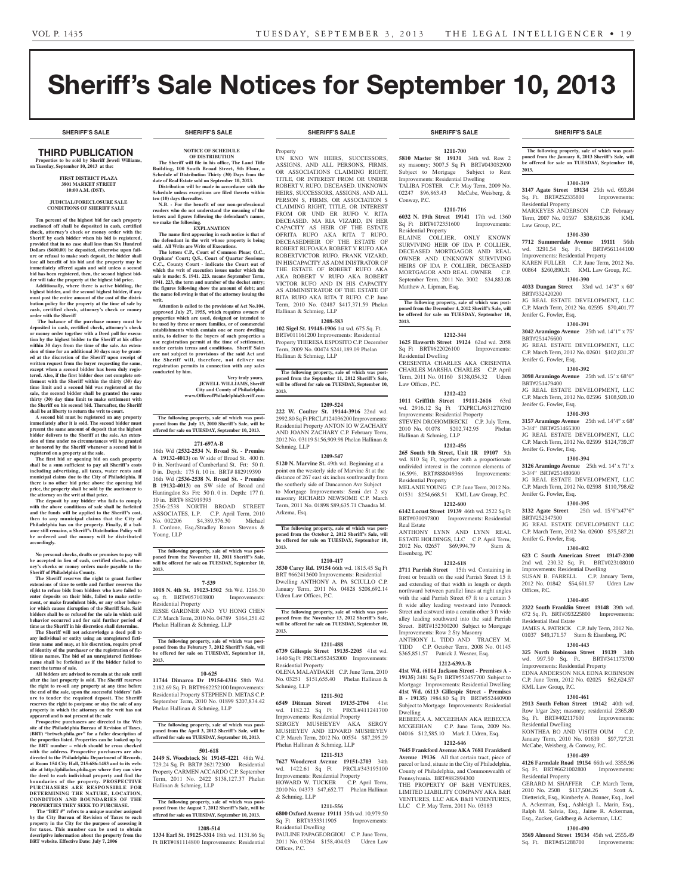# Sheriff's Sale Notices for September 10, 2013

**SHERIFF'S SALE SHERIFF'S SALE SHERIFF'S SALE SHERIFF'S SALE SHERIFF'S SALE**

#### Third PUBLICATION **Properties to be sold by Sheriff Jewell Williams, on Tuesday, September 10, 2013 at the:**

**First District Plaza 3801 Market Street 10:00 A.M. (DST).**

#### **JUDICIAL/FORECLOSURE SALE CONDITIONS OF SHERIFF SALE**

**Ten percent of the highest bid for each property auctioned off shall be deposited in cash, certified check, attorney's check or money order with the Sheriff by each bidder when his bid is registered, provided that in no case shall less than Six Hundred Dollars (\$600.00) be deposited, otherwise upon fail-ure or refusal to make such deposit, the bidder shall lose all benefit of his bid and the property may be immediately offered again and sold unless a second bid has been registered, then, the second highest bid-**

**der will take the property at the highest bid price. Additionally, where there is active bidding, the highest bidder, and the second highest bidder, if any must post the entire amount of the cost of the distribution policy for the property at the time of sale by cash, certified check, attorney's check or money order with the Sheriff**

 **The balance of the purchase money must be deposited in cash, certified check, attorney's check order together with a Deed poll for execution by the highest bidder to the Sheriff at his office within 30 days from the time of the sale. An extension of time for an additional 30 days may be granted at the discretion of the Sheriff upon receipt of written request from the buyer requesting the same,**  excent when a second bidder has been duly regis**tered. Also, if the first bidder does not complete settlement with the Sheriff within the thirty (30) day time limit and a second bid was registered at the sale, the second bidder shall be granted the same thirty (30) day time limit to make settlement with the Sheriff on his second bid. Thereafter, the Sheriff shall be at liberty to return the writ to court.**

**A second bid must be registered on any property immediately after it is sold. The second bidder must present the same amount of deposit that the highest bidder delivers to the Sheriff at the sale. An extension of time under no circumstances will be granted or honored by the Sheriff whenever a second bid is registered on a property at the sale.** 

**The first bid or opening bid on each property shall be a sum sufficient to pay all Sheriff's costs including advertising, all taxes, water rents and municipal claims due to the City of Philadelphia. If there is no other bid price above the opening bid price, the property shall be sold by the auctioneer to** 

**the attorney on the writ at that price. The deposit by any bidder who fails to comply with the above conditions of sale shall be forfeited and the funds will be applied to the Sheriff's cost, then to any municipal claims that the City of Philadelphia has on the property. Finally, if a bal-ance still remains, a Sheriff's Distribution Policy will be ordered and the money will be distributed accordingly.**

**No personal checks, drafts or promises to pay will be accepted in lieu of cash, certified checks, attorney's checks or money orders made payable to the Sheriff of Philadelphia County.**

**The Sheriff reserves the right to grant further extends of time to settle and further reserves the right to refuse bids from bidders who have failed to enter deposits on their bids, failed to make settle**ment, or make fraudulent bids, or any other behav**ior which causes disruption of the Sheriff Sale. Said bidders shall be so refused for the sale in which said behavior occurred and for said further period of time as the Sheriff in his discretion shall determine.**

**The Sheriff will not acknowledge a deed poll to any individual or entity using an unregistered fictitious name and may, at his discretion, require proof of identity of the purchaser or the registration of fictitious names. The bid of an unregistered fictitious name shall be forfeited as if the bidder failed to meet the terms of sale.**

All bidders are advised to ren **after the last property is sold. The Sheriff reserves the right to re-sell any property at any time before the end of the sale, upon the successful bidders' failure to tender the required deposit. The Sheriff reserves the right to postpone or stay the sale of any property in which the attorney on the writ has not appeared and is not present at the sale**

**Prospective purchasers are directed to the Web site of the Philadelphia Bureau of Revision of Taxes, (BRT) "brtweb.phila.gov" for a fuller description of the properties listed. Properties can be looked up by the BRT number – which should be cross checked with the address. Prospective purchasers are also directed to the Philadelphia Department of Records, at Room 154 City Hall, 215-686-1483 and to its website at http://philadox.phila.gov where they can view the deed to each individual property and find the boundaries of the property. PROSPECTIVE PURCHASERS ARE RESPONSIBLE FOR DETERMINING THE NATURE, LOCATION, CONDITION AND BOUNDARIES OF THE PROPERTIES THEY SEEK TO PURCHASE.**

"BRT #" refers to a unique number assigned **by the City Bureau of Revision of Taxes to each property in the City for the purpose of assessing it for taxes. This number can be used to obtain descriptive information about the property from the BRT website. Effective Date: July 7, 2006**

# **NOTICE OF SCHEDULE**

**OF DISTRIBUTION The Sheriff will file in his office, The Land Title Building, 100 South Broad Street, 5th Floor, a Schedule of Distribution Thirty (30) Days from the** 

**date of Real Estate sold on September 10, 2013. Distribution will be made in accordance with the Schedule unless exceptions are filed thereto within ten (10) days thereafter. N.B. - For the benefit of our non-professional readers who do not understand the meaning of the** 

**letters and figures following the defendant's names, we make the following. EXPLANATION**

**The name first appearing in each notice is that of the defendant in the writ whose property is being sold. All Writs are Writs of Executions.**

**The letters C.P., Court of Common Pleas; O.C.,**  Orphans' Court; Q.S., Court of Quarter Session **C.C., County Court - indicate the Court out of which the writ of execution issues under which the sale is made: S. 1941. 223. means September Term, 1941. 223, the term and number of the docket entry; the figures following show the amount of debt; and the name following is that of the attorney issuing the writ.**

**Attention is called to the provisions of Act No.104, approved July 27, 1955, which requires owners of properties which are used, designed or intended to be used by three or more families, or of commercial ents which contain one or more dwelling units, to deliver to the buyers of such properties a use registration permit at the time of settlement, under certain terms and conditions. Sheriff Sales are not subject to provisions of the said Act and the Sheriff will, therefore, not deliver use registration permits in connection with any sales conducted by him.**

> **Very truly yours, JEWELL WILLIAMS, Sheriff City and County of Philadelphia www.OfficeofPhiladelphiaSheriff.com**

**The following property, sale of which was postponed from the July 13, 2010 Sheriff's Sale, will be offered for sale on TUESDAY, September 10, 2013.**

**271-697A-B**

16th Wd **(2532-2534 N. Broad St. - Premise A 19132-4013)** on W side of Broad St. 400 ft. 0 in. Northward of Cumberland St. Frt: 50 ft. 0 in. Depth: 175 ft. 10 in. BRT# 882919390 16th Wd **(2536-2538 N. Broad St. - Premise B 19132-4013)** on SW side of Broad and Huntingdon Sts Frt: 50 ft. 0 in. Depth: 177 ft. 10 in. BRT# 882919395

2536-2538 NORTH BROAD STREET ASSOCIATES, L.P. C.P. April Term, 2010 No. 002206 \$4,389,576.30 Michael J. Cordone, Esq./Stradley Ronon Stevens & Young, LLP

**The following property, sale of which was postponed from the November 11, 2011 Sheriff's Sale, will be offered for sale on TUESDAY, September 10, 2013.**

## **7-539**

**1018 N. 4th St. 19123-1502** 5th Wd. 1266.30 sq. ft. BRT#057103800 Improvements: Residential Property JESSE GARDNER AND YU HONG CHEN C.P. March Term, 2010 No. 04789 \$164,251.42 Phelan Hallinan & Schmieg, LLP

**The following property, sale of which was post-poned from the Feburary 7, 2012 Sheriff's Sale, will be offered for sale on TUESDAY, September 10, 2013.**

#### **10-625**

**11744 Dimarco Dr 19154-4316** 58th Wd. 2182.69 Sq. Ft. BRT#662252100 Improvements: Residential Property STEPHEN D. METAS C.P. September Term, 2010 No. 01899 \$207,874.42 Phelan Hallinan & Schmieg, LLP

**The following property, sale of which was postponed from the April 3, 2012 Sheriff's Sale, will be offered for sale on TUESDAY, September 10, 2013.**

#### **501-618**

**2449 S. Woodstock St 19145-4221** 48th Wd. 729.24 Sq. Ft BRT# 262172300 Residential Property CARMEN ACCARDO C.P. September Term, 2011 No. 2422 \$138,127.37 Phelan Hallinan & Schmieg, LLP

#### **The following property, sale of which was postponed from the August 7, 2012 Sheriff's Sale, will be offered for sale on TUESDAY, September 10, 2013.**

#### **1208-514**

**1334 Earl St. 19125-3314** 18th wd. 1131.86 Sq Ft BRT#181114800 Improvements: Residential

Property UN KNO WN HEIRS, SUCCESSORS, ASSIGNS, AND ALL PERSONS, FIRMS, OR ASSOCIATIONS CLAIMING RIGHT, TITLE, OR INTEREST FROM OR UNDER ROBERT V. RUFO, DECEASED. UNKNOWN HEIRS, SUCCESSORS, ASSIGNS, AND ALL PERSON S, FIRMS, OR ASSOCIATION S CLAIMING RIGHT, TITLE, OR INTEREST FROM OR UND ER RUFO V. RITA DECEASED. MA RIA VIZARD, IN HER CAPACITY AS HEIR OF THE ESTATE OFRITA RUFO AKA RITA T RUFO, DECEASEDHEIR OF THE ESTATE OF ROBERT RUFOAKA ROBERT V RUFO AKA ROBERTVICTOR RUFO. FRANK VIZARD, IN HISCAPACITY AS ADM INISTRATOR OF THE ESTATE OF ROBERT RUFO AKA AKA ROBERT V RUFO AKA ROBERT VICTOR RUFO AND IN HIS CAPACITY AS ADMINISTRATOR OF THE ESTATE OF RITA RUFO AKA RITA T RUFO. C.P. June Term, 2010 No. 02487 \$417,371.59 Phelan Hallinan & Schmieg, LLP

## **1208-583**

**102 Sigel St. 19148-1906** 1st wd. 675 Sq. Ft. BRT#011161200 Improvements: Residential Property THERESA ESPOSITO C.P. December Term, 2009 No. 00474 \$241,189.09 Phelan Hallinan & Schmieg, LLP

**The following property, sale of which was post-poned from the September 11, 2012 Sheriff's Sale, will be offered for sale on TUESDAY, September 10, 2013.**

#### **1209-524**

**222 W. Coulter St. 19144-3916** 22nd wd. 2992.80 Sq Ft PRCL#124036200 Improvements: Residential Property ANTON IO W ZACHARY AND JOANN ZACHARY C.P. February Term, 2012 No. 03119 \$156,909.98 Phelan Hallinan & Schmieg, LLP

#### **1209-547**

**5120 N. Marvine St.** 49th wd. Beginning at a point on the westerly side of Marvine St at the distance of 267 east six inches southwardly from the southerly side of Duncannon Ave Subject to Mortgage Improvements: Semi det 2 sty masonry RICHARD NEWSOME C.P. March Term, 2011 No. 01898 \$89,635.71 Chandra M. Arkema, Esq.

**The following property, sale of which was post**posed from the October 2, 2012 Sheriff's Sale, will **be offered for sale on TUESDAY, September 10, 2013.**

#### **1210-417**

**3530 Carey Rd. 19154** 66th wd. 1815.45 Sq Ft BRT #662413600 Improvements: Residential Dwelling ANTHONY A. PA SCIULLO C.P. January Term, 2011 No. 04828 \$208,692.14 Udren Law Offices, P.C.

**The following property, sale of which was postponed from the November 13, 2012 Sheriff's Sale, will be offered for sale on TUESDAY, September 10, 2013.**

#### **1211-488**

**6739 Gillespie Street 19135-2205** 41st wd. 1440 Sq Ft PRCL#552452000 Improvements: Residential Property OLENA MALAYDAKH C.P. June Term, 2010

No. 03251 \$151,655.40 Phelan Hallinan & Schmieg, LLP

#### **1211-502**

**6549 Ditman Street 19135-2704** 41st wd. 1182.22 Sq Ft Improvements: Residential Property SERGEY MUSHEYEV AKA SERGY MUSHEYEV AND EDVARD MUSHEYEV C.P. March Term, 2012 No. 00554 \$87,295.29 Phelan Hallinan & Schmieg, LLP

### **1211-513**

**7627 Woodcrest Avenue 19151-2703** 34th wd. 1422.61 Sq Ft PRCL#343195100 Improvements: Residential Property HOWARD W. TUCKER C.P. April Term, 2010 No. 04373 \$47,652.77 Phelan Hallinan & Schmieg, LLP

#### **1211-556**

**6800 Oxford Avenue 19111** 35th wd. 10,979.50 Sq Ft BRT#353311905 Improvements: Residential Dwelling PAULINE PAPAGEORGIOU C.P. June Term, 2011 No. 03264 \$158,404.03 Udren Law Offices, P.C.

**1211-700**

**5810 Master St 19131** 34th wd. Row 2 sty masonry; 3007.5 Sq Ft BRT#043032900 Subject to Mortgage Subject to Rent Improvements: Residential Dwelling TALIBA FOSTER C.P. May Term, 2009 No. 02247 \$96,863.43 McCabe, Weisberg, & Conway, P.C.

#### **1211-716**

**6032 N. 19th Street 19141** 17th wd. 1360 Sq Ft BRT#172351600 Improvements: Residential Property

ELAINE COLLIER, ONLY KNOWN SURVIVING HEIR OF IDA P. COLLIER, DECEASED MORTGAGOR AND REAL OWNER AND UNKNOWN SURVIVING HEIRS OF IDA P. COLLIER, DECEASED MORTGAGOR AND REAL OWNER C.P. September Term, 2011 No. 3002 \$34,883.08 Matthew A. Lipman, Esq.

**The following property, sale of which was post-poned from the December 4, 2012 Sheriff's Sale, will be offered for sale on TUESDAY, September 10, 2013.**

## **1212-344**

**1625 Haworth Street 19124** 62nd wd. 2058 Sq Ft BRT#622026100 Improvements: Residential Dwelling CRESENTIA CHARLES AKA CRISENTIA CHARLES MARSHA CHARLES C.P. April Term, 2011 No. 01160 \$138,054.32 Udren

#### **1212-422**

Law Offices, P.C.

**1011 Griffith Street 19111-2616** 63rd wd. 2916.12 Sq Ft TXPRCL#631270200 Improvements: Residential Property STEVEN DROHOMIRECKI C.P. July Term, 2010 No. 01078 \$202,742.95 Phelan Hallinan & Schmieg, LLP

#### **1212-456 265 South 9th Street, Unit 1R 19107** 5th

wd. 810 Sq Ft, together with a proportionate undivided interest in the common elements of 16.59%. BRT#888049366 Improvements: Residential Property MELANIE YOUNG C.P. June Term, 2012 No.

01531 \$254,668.51 KML Law Group, P.C. **1212-600 6142 Locust Street 19139** 46th wd. 2522 Sq Ft

BRT#031097800 Improvements: Residential Real Estate ANTHONY LYNN AND LYNN REAL

ESTATE HOLDINGS, LLC C.P. April Term, 2012 No. 02657 \$69,994.79 Stern & Eisenberg, PC

#### **1212-618**

**2711 Parrish Street** 15th wd. Containing in front or breadth on the said Parrish Street 15 ft and extending of that width in length or depth northward between parallel lines at right angles with the said Parrish Street 67 ft to a certain 3 ft wide alley leading westward into Pennock Street and eastward into a ceratin other 3 ft wide alley leading southward into the said Parrish Street. BRT#152300200 Subject to Mortgage Improvements: Row 2 Sty Masonry ANTHONY L. TIDD AND TRACEY M.

TIDD C.P. October Term, 2008 No. 01145 \$365,851.57 Patrick J. Wesner, Esq.

#### **1212-639A-B**

**41st Wd. (6114 Jackson Street - Premises A - 19135)** 2481 Sq Ft BRT#552457700 Subject to Mortgage Improvements: Residential Dwelling **41st Wd. (6113 Gillespie Street - Premises B - 19135)** 1984.80 Sq Ft BRT#552440900 Subject to Mortgage Improvements: Residential Dwelling

REBEECA A. MCGEEHAN AKA REBECCA MCGEEHAN C.P. June Term, 2009 No. 04016 \$12,585.10 Mark J. Udren, Esq.

#### **1212-646 7645 Frankford Avenue AKA 7681 Frankford**

**Avenue 19136** All that certain tract, piece of parcel or land, situate in the City of Philadelphia, County of Philadelphia, and Commonwealth of Pennsylvania. BRT#882894300 THE PROPERTY OF B&H VENTURES

LIMITED LIABILITY COMPANY AKA B&H VENTURES, LLC AKA B&H VDENTURES, LLC C.P. May Term, 2011 No. 03183

#### **SHERIFF'S SALE SHERIFF'S SALE SHERIFF'S SALE SHERIFF'S SALE SHERIFF'S SALE**

**The following property, sale of which was post**poned from the January 8, 2013 Sheriff's Sale, will **be offered for sale on TUESDAY, September 10, 2013.**

#### **1301-319**

**3147 Agate Street 19134** 25th wd. 693.84 Sq. Ft. BRT#252335800 Improvements: Residential Property MARKEYES ANDERSON C.P. February Term, 2007 No. 01597 \$38,619.36 KML Law Group, P.C.

#### **1301-330**

**7712 Summerdale Avenue 19111** 56th wd. 3291.54 Sq. Ft. BRT#561144100 Improvements: Residential Property KAREN FULLER C.P. June Term, 2012 No. 00864 \$260,890.31 KML Law Group, P.C.

**1301-390 4033 Dungan Street** 33rd wd. 14'3" x 60' BRT#332420200

JG REAL ESTATE DEVELOPMENT, LLC C.P. March Term, 2012 No. 02595 \$70,401.77 Jenifer G. Fowler, Esq.

#### **1301-391**

BRT#251479400

Jenifer G. Fowler, Esq.

3-3/4" BRT#251465300

Jenifer G. Fowler, Esq.

3-3/4" BRT#251480600

Jenifer G. Fowler, Esq.

Jenifer G. Fowler, Esq.

Residential Real Estate

KML Law Group, P.C.

Residential Dwelling

Residential Property

BRT#252347500

Offices, P.C.

**3042 Aramingo Avenue** 25th wd. 14'1" x 75' BRT#251476600 JG REAL ESTATE DEVELOPMENT, LLC C.P. March Term, 2012 No. 02601 \$102,831.37 Jenifer G. Fowler, Esq.

**1301-392 3098 Aramingo Avenue** 25th wd. 15' x 68'6"

JG REAL ESTATE DEVELOPMENT, LLC C.P. March Term, 2012 No. 02596 \$108,920.10

**1301-393 3157 Aramingo Avenue** 25th wd. 14'4" x 68'

JG REAL ESTATE DEVELOPMENT, LLC C.P. March Term, 2012 No. 02599 \$124,739.37

**1301-394 3126 Aramingo Avenue** 25th wd. 14' x 71' x

JG REAL ESTATE DEVELOPMENT, LLC C.P. March Term, 2012 No. 02598 \$110,798.62

**1301-395 3132 Agate Street** 25th wd. 15'6"x47'6"

JG REAL ESTATE DEVELOPMENT LLC C.P. March Term, 2012 No. 02600 \$75,587.21

**1301-402 623 C South American Street 19147-2300**  2nd wd. 230.32 Sq. Ft. BRT#023108010 Improvements: Residential Dwelling SUSAN B. FARRELL C.P. January Term, 2012 No. 01842 \$54,601.57 Udren Law

**1301-405 2322 South Franklin Street 19148** 39th wd. 672 Sq. Ft. BRT#393225800 Improvements:

JAMES A. PATRICK C.P. July Term, 2012 No. 01037 \$49,171.57 Stern & Eisenberg, PC **1301-443 325 North Robinson Street 19139** 34th wd. 997.50 Sq. Ft. BRT#341173700 Improvements: Residential Property EDNA ANDERSON NKA EDNA ROBINSON C.P. June Term, 2012 No. 02025 \$62,624.57

**1301-461 2913 South Felton Street 19142** 40th wd. Row b/gar 2sty; masonry; residential 2365.80 Sq. Ft. BRT#402117600 Improvements:

KONTHEA BO AND VISITH OUM C.P. January Term, 2010 No. 01639 \$97,727.31<br>McCabe, Weisberg, & Conway, P.C. McCabe, Weisberg, & Conway, P.C. **1301-489 4126 Farmdale Road 19154** 66th wd. 3355.96 Sq. Ft. BRT#6621002800 Improvements:

GERARD M. SHAFFER C.P. March Term, 2010 No. 2508 \$117,504.26 Scott A. Dietterick, Esq., Kimberly A. Bonner, Esq., Joel A. Ackerman, Esq., Ashleigh L. Marin, Esq., Ralph M. Salvia, Esq., Jaime R. Ackerman, Esq., Zucker, Goldberg & Ackerman, LLC **1301-490 3569 Almond Street 19134** 45th wd. 2555.49 Sq. Ft. BRT#451288700 Improvements: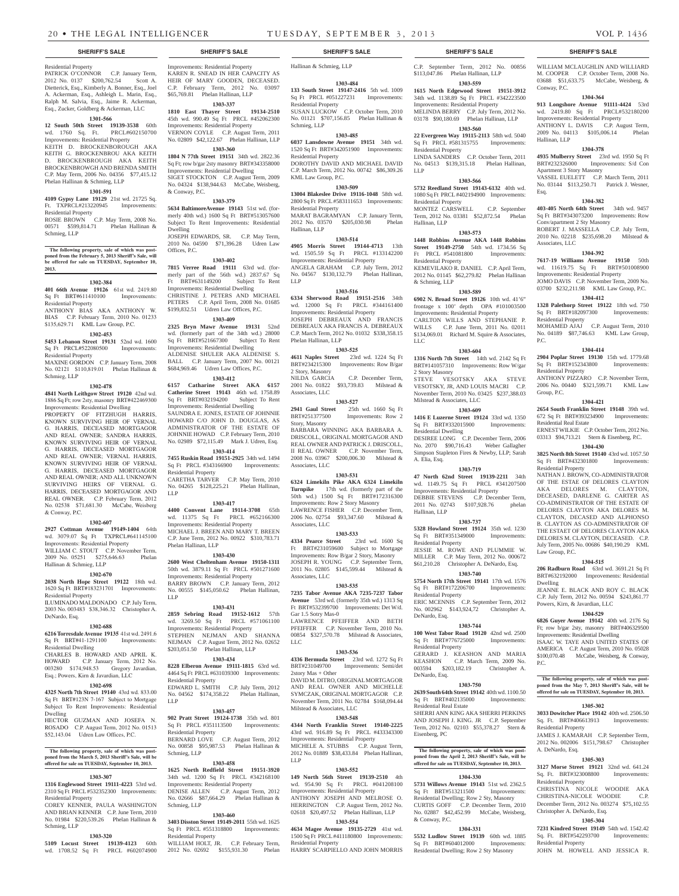## Residential Property

PATRICK O'CONNOR C.P. January Term, 2012 No. 0137 \$200,762.54 Scott A. Dietterick, Esq., Kimberly A. Bonner, Esq., Joel A. Ackerman, Esq., Ashleigh L. Marin, Esq., Ralph M. Salvia, Esq., Jaime R. Ackerman, Esq., Zucker, Goldberg & Ackerman, LLC

## **1301-566**

**12 South 50th Street 19139-3538** 60th wd. 1760 Sq. Ft. PRCL#602150700 Improvements: Residential Property KEITH D. BROCKENBOROUGH AKA KEITH G. BROCKENBROU AKA KEITH D. BROCKENBROUGH AKA KEITH BROCKENBROWGH AND BRENDA SMITH C.P. May Term, 2006 No. 04356 \$77,415.12 Phelan Hallinan & Schmieg, LLP

#### **1301-591**

**4109 Gypsy Lane 19129** 21st wd. 21725 Sq. Ft. TXPRCL#213220945 Improvements: Residential Property

ROSIE BROWN C.P. May Term, 2008 No. 00571 \$599,814.71 Phelan Hallinan & Schmieg, LLP

## **The following property, sale of which was post-poned from the February 5, 2013 Sheriff's Sale, will be offered for sale on TUESDAY, September 10, 2013.**

#### **1302-384**

**401 66th Avenue 19126** 61st wd. 2419.80 Sq Ft BRT#611410100 Improvements: Residential Property

ANTHONY BIAS AKA ANTHONY W. BIAS C.P. February Term, 2010 No. 01233 \$135,629.71 KML Law Group, P.C.

## **1302-453**

**5453 Lebanon Street 19131** 52nd wd. 1600 Sq Ft PRCL#522080500 Improvements:

Residential Property MAXINE GORDON C.P. January Term, 2008 No. 02121 \$110,819.01 Phelan Hallinan & Schmieg, LLP

#### **1302-478**

**4841 North Leithgow Street 19120** 42nd wd. 1886 Sq Ft; row 2sty, masonry BRT#422469300 Improvements: Residential Dwelling PROPERTY OF FITZHUGH HARRIS, KNOWN SURVIVING HEIR OF VERNAL G. HARRIS, DECEASED MORTGAGOR AND REAL OWNER; SANDRA HARRIS, KNOWN SURVIVING HEIR OF VERNAL G. HARRIS, DECEASED MORTGAGOR AND REAL OWNER; VERNAL HARRIS, KNOWN SURVIVING HEIR OF VERNAL G. HARRIS, DECEASED MORTGAGOR AND REAL OWNER; AND ALL UNKNOWN SURVIVING HEIRS OF VERNAL G. HARRIS, DECEASED MORTGAGOR AND REAL OWNER. C.P. February Term, 2012 No. 02538 \$71,681.30 McCabe, Weisberg & Conway, P.C.

#### **1302-607**

**2927 Cottman Avenue 19149-1404** 64th wd. 3079.07 Sq Ft TXPRCL#641145100 Improvements: Residential Property WILLIAM C. STOUT C.P. November Term, 2009 No. 05251 \$275,646.63 Phelan Hallinan & Schmieg, LLP

## **1302-670**

**2038 North Hope Street 19122** 18th wd. 1620 Sq Ft BRT#183231701 Improvements: Residential Property ILUMINADO MALDONADO C.P. July Term,

2003 No. 003483 \$38,346.32 Christopher A. DeNardo, Esq.

## **1302-688**

**6216 Torresdale Avenue 19135** 41st wd. 2491.6 Sq Ft BRT#41-1291100 Improvements: Residential Dwelling CHARLES B. HOWARD AND APRIL K.

HOWARD C.P. January Term, 2012 No. 003280 \$174,948.53 Gregory Javardian, Esq.; Powers, Kirn & Javardian, LLC

## **1302-698**

**4325 North 7th Street 19140** 43rd wd. 833.00 Sq Ft BRT#123N 7-167 Subject to Mortgage Subject To Rent Improvements: Residential Dwelling

HECTOR GUZMAN AND JOSEFA N. ROSADO C.P. August Term, 2012 No. 01513 \$52,143.04 Udren Law Offices, P.C.

## **The following property, sale of which was post-poned from the March 5, 2013 Sheriff's Sale, will be offered for sale on TUESDAY, September 10, 2013.**

#### **1303-307**

**1316 Englewood Street 19111-4223** 53rd wd. 2310 Sq Ft PRCL #532352300 Improvements: Residential Property

COREY KENNER, PAULA WASHINGTON AND BRIAN KENNER C.P. June Term, 2010 No. 01984 \$220,539.26 Phelan Hallinan & Schmieg, LLP

#### **1303-320**

**5109 Locust Street 19139-4123** 60th wd. 1708.52 Sq Ft PRCL #602074900

## **SHERIFF'S SALE SHERIFF'S SALE SHERIFF'S SALE SHERIFF'S SALE SHERIFF'S SALE**

Improvements: Residential Property KAREN R. SNEAD IN HER CAPACITY AS HEIR OF MARY GOODEN, DECEASED. C.P. February Term, 2012 No. 03097 \$65,769.81 Phelan Hallinan, LLP **1303-337 1810 East Thayer Street 19134-2510**  45th wd. 990.49 Sq Ft PRCL #452062300 Improvements: Residential Property VERNON COYLE C.P. August Term, 2011 No. 02809 \$42,122.67 Phelan Hallinan, LLP **1303-360 1804 N 77th Street 19151** 34th wd. 2822.36 Sq Ft; row b/gar 2sty masonry BRT#343358000 Improvements: Residential Dwelling SIGET STOCKTON C.P. August Term, 2009 No. 04324 \$138,944.63 McCabe, Weisberg,

& Conway, P.C.

Dwelling

Offices, P.C.

Ft BRT#631149200 Improvements: Residential Dwelling CHRISTINE J. PETERS AND MICHAEL PETERS C.P. April Term, 2008 No. 01685 \$199,832.51 Udren Law Offices, P.C. **1303-409 2325 Bryn Mawr Avenue 19131** 52nd wd. (formerly part of the 34th wd.) 28000 Sq Ft BRT#521667300 Subject To Rent Improvements: Residential Dwelling ALDENISE SHULER AKA ALDENISE S. BALL C.P. January Term, 2007 No. 00121 \$684,969.46 Udren Law Offices, P.C. **1303-412 6157 Catharine Street AKA 6157 Catherine Street 19143** 46th wd. 1758.89 Sq Ft BRT#032194200 Subject To Rent Improvements: Residential Dwelling SAUNDRA E. JONES, ESTATE OF JOHNNIE HOWARD C/O JOHN D. DOUGLAS, AS ADMINISTRATOR OF THE ESTATE OF JOHNNIE HOWAD C.P. February Term, 2010 No. 02989 \$72,115.49 Mark J. Udren, Esq. **1303-414 7455 Ruskin Road 19151-2925** 34th wd. 1494 Sq Ft PRCL #343166900 Improvements:

Residential Property

Phelan Hallinan, LLP

Residential Property

Residential Property

Schmieg, LLP

Schmieg, LLP

Residential Property

LLP

LLP

LLP

CARETHA TARVER C.P. May Term, 2010 No. 04265 \$128,225.21 Phelan Hallinan,

**1303-417 4400 Convent Lane 19114-3708** 65th wd. 11375 Sq Ft PRCL #652166300 Improvements: Residential Property MICHAEL J. BREEN AND MARY T. BREEN C.P. June Term, 2012 No. 00922 \$310,783.71

**1303-430 2600 West Cheltenham Avenue 19150-1311**  50th wd. 3879.11 Sq Ft PRCL #501271600 Improvements: Residential Property BARRY BROWN C.P. January Term, 2012 No. 00555 \$145,050.62 Phelan Hallinan,

**1303-431 2859 Sebring Road 19152-1612** 57th wd. 3269.50 Sq Ft PRCL #571061100 Improvements: Residential Property STEPHEN NEJMAN AND SHANNA NEJMAN C.P. August Term, 2012 No. 02652 \$203,051.50 Phelan Hallinan, LLP **1303-434 8228 Elberon Avenue 19111-1815** 63rd wd. 4464 Sq Ft PRCL #631039300 Improvements:

EDWARD L. SMITH C.P. July Term, 2012 No. 04562 \$174,358.22 Phelan Hallinan,

**1303-457 902 Pratt Street 19124-1738** 35th wd. 801 Sq Ft PRCL #351113500 Improvements:

BERNARD LOVE C.P. August Term, 2012 \$95,987.53 Phelan Hall

**1303-458 1625 North Redfield Street 19151-3920**  34th wd. 1200 Sq Ft PRCL #342168100 Improvements: Residential Property DENISE ALLEN C.P. August Term, 2012 No. 02666 \$87,664.29 Phelan Hallinan &

**1303-460 3403 Disston Street 19149-2011** 55th wd. 1625 Sq Ft PRCL #551318800 Improvements:

WILLIAM HOLT, JR. C.P. February Term, 2012 No. 02692 \$155,931.30 Phelan

**1303-379 5634 BaltimoreAvenue 19143** 51st wd. (formerly 40th wd.) 1600 Sq Ft BRT#513057600 Subject To Rent Improvements: Residential

JOSEPH EDWARDS, SR. C.P. May Term, 2010 No. 04590 \$71,396.28 Udren Law

**1303-402 7815 Verree Road 19111** 63rd wd. (formerly part of the 56th wd.) 2837.67 Sq<br>Ft BRT#631149200 Subject To Rent Hallinan & Schmieg, LLP

## **1303-484**

**133 South Street 19147-2416** 5th wd. 1009 Sq Ft PRCL #051227231 Improvements: Residential Property

SUSAN LUCKOW C.P. October Term, 2010 No. 01121 \$707,156.85 Phelan Hallinan & Schmieg, LLP

## **1303-485**

**6037 Lansdowne Avenue 19151** 34th wd. 1520 Sq Ft BRT#342051900 Improvements: Residential Property DOROTHY DAVID AND MICHAEL DAVID C.P. March Term, 2012 No. 00742 \$86,309.26 KML Law Group, P.C.

### **1303-509**

**13004 Blakeslee Drive 19116-1048** 58th wd. 2800 Sq Ft PRCL #583111653 Improvements: Residential Property MARAT BAGRAMYAN C.P. January Term,

2012 No. 03570 \$205,030.98 Phelan Hallinan, LLP

## **1303-514**

**4905 Morris Street 19144-4713** 13th wd. 1505.59 Sq Ft PRCL #133142200 Improvements: Residential Property ANGELA GRAHAM C.P. July Term, 2012 No. 04567 \$130,132.79 Phelan Hallinan, LLP

## **1303-516**

**6334 Sherwood Road 19151-2516** 34th wd. 12000 Sq Ft PRCL #344161400 Improvements: Residential Property JOSEPH DEBREAUX AND FRANCIS DEBREAUX AKA FRANCIS A. DEBREAUX C.P. March Term, 2012 No. 01032 \$338,358.15 Phelan Hallinan, LLP

#### **1303-525**

**4611 Naples Street** 23rd wd. 1224 Sq Ft BRT#234215300 Improvements: Row B/gar 2 Story, Masonry NILDA GARCIA C.P. December Term, 2001 No. 01822 \$93,739.83 Milstead & Associates, LLC

**1303-527**<br>**2941 Gaul Street** 25th **2941 Gaul Street** 25th wd. 1660 Sq Ft Improvements: Row 2 Story, Masonry BARBARA WINNING AKA BARBARA A. DRISCOLL, ORIGINAL MORTGAGOR AND REAL OWNER AND PATRICK J. DRISCOLL, II REAL OWNER C.P. November Term, 2008 No. 03967 \$200,006.30 Milstead & Associates, LLC

#### **1303-531**

**6324 Limekiln Pike AKA 6324 Limekiln Turnpike** 17th wd. (formerly part of the 50th wd.) 1500 Sq Ft BRT#172316300 Improvements: Row 2 Story Masonry LAWRENCE FISHER C.P. December Term, 2006 No. 02754 \$93,347.60 Milstead & Associates, LLC

## **1303-533**

**4334 Pearce Street** 23rd wd. 1600 Sq Ft BRT#231059600 Subject to Mortgage Improvements: Row B/gar 2 Story, Masonry JOSEPH R. YOUNG C.P. September Term, 2011 No. 02805 \$145,599.44 Milstead & Associates, LLC

#### **1303-535**

**7235 Tabor Avenue AKA 7235-7237 Tabor Avenue** 53rd wd. (formerly 35th wd.) 1313 Sq Ft BRT#532399700 Improvements: Det W/d. Gar 1.5 Sotry Mas-0

LAWRENCE PFEIFFER AND BETH PFEIFFER C.P. November Term, 2010 No. 00854 \$327,570.78 Milstead & Associates, LLC

#### **1303-536**

**4336 Bermuda Street** 23rd wd. 1272 Sq Ft BRT#231049700 Improvements: Semi/det 2story Mas + Other DAVID M. DITRO, ORIGINAL MORTGAGOR AND REAL OWNER AND MICHELLE SYMCZAK, ORIGINAL MORTGAGOR C.P. November Term, 2011 No. 02784 \$168,094.44 Milstead  $\&$  Associates, LLC

#### **1303-548**

**4344 North Franklin Street 19140-2225**  43rd wd. 916.89 Sq Ft PRCL #433343300 Improvements: Residential Property<br>MICHELE A. STUBBS C.P. Au MICHELE A. STUBBS C.P. August Term,

2012 No. 01889 \$38,433.84 Phelan Hallinan, LLP

### **1303-552**

**149 North 56th Street 19139-2510** 4th wd. 954.90 Sq Ft PRCL #041208100 Improvements: Residential Property ANTHONY JOSEPH AND MELROSE O. HERRINGTON C.P. August Term, 2012 No. 02618 \$20,497.52 Phelan Hallinan, LLP

#### **1303-554**

**4634 Magee Avenue 19135-2729** 41st wd. 1500 Sq Ft PRCL #411180800 Improvements: Residential Property

HARRY SCARPIELLO AND JOHN MORRIS

### C.P. September Term, 2012 No. 00856 \$113,047.86 Phelan Hallinan, LLP

WILLIAM MCLAUGHLIN AND WILLIARD M. COOPER C.P. October Term, 2008 No. 03688 \$51,633.75 McCabe, Weisberg, &

**1304-364 913 Longshore Avenue 91111-4424** 53rd wd. 2419.80 Sq Ft PRCL#532180200 Improvements: Residential Property ANTHONY L. DAVIS C.P. August Term,<br>2009 No. 04113 \$105.006.14 Phelan 2009 No. 04113 \$105,006.14

**1304-378 4935 Mulberry Street** 23rd wd. 1950 Sq Ft BRT#232326000 Improvements: S/d Con

VASSEL EUELETT C.P. March Term, 2011 No. 03144 \$113,250.71 Patrick J. Wesner,

**1304-382 403-405 North 64th Street** 34th wd. 9457 Sq Ft BRT#343073200 Improvements: Row

ROBERT J. MASSELLA C.P. July Term, 2010 No. 02218 \$235,698.20 Milstead &

**1304-392 7617-19 Williams Avenue 19150** 50th wd. 11619.75 Sq Ft BRT#501008900 Improvements: Residential Property JOMO DAVIS C.P. November Term, 2009 No. 03700 \$232,211.98 KML Law Group, P.C. **1304-412 1328 Palethorp Street 19122** 18th wd. 750 Sq Ft BRT#182097300 Improvements:

MOHAMED AJAJ C.P. August Term, 2010 No. 04189 \$87,746.63 KML Law Group,

**1304-414 2904 Poplar Street 19130** 15th wd. 1779.68 Sq Ft BRT#152343800 Improvements:

ANTHONY PIZZARO C.P. November Term, 2006 No. 00440 \$321,599.71 KML Law

**1304-421 2654 South Franklin Street 19148** 39th wd. 672 Sq Ft BRT#393234900 Improvements:

ERNEST WILKIE C.P. October Term, 2012 No. 03313 \$94,713.21 Stern & Eisenberg, P.C. **1304-430 3825 North 8th Street 19140** 43rd wd. 1057.50 Sq Ft BRT#432301800 Improvements:

NATHAN J. BROWN, CO-ADMINISTRATOR OF THE ESTAE OF DELORES CLAYTON AKA DELORES M. CLAYTON, DECEASED, DARLENE G. CARTER AS CO-ADMINISTRATOR OF THE ESTATE OF DELORES CLAYTON AKA DELORES M. CLAYTON, DECASED AND ALPHONSO B. CLAYTON AS CO-ADMINSTRATOR OF THE ESTAET OF DELORES CLAYTON AKA DELORES M. CLAYTON, DECEASED. C.P. July Term, 2005 No. 00686 \$40,190.29 KML

**1304-515 206 Radburn Road** 63rd wd. 3691.21 Sq Ft BRT#632192000 Improvements: Residential

JEANNE E. BLACK AND ROY C. BLACK C.P. July Term, 2012 No. 00594 \$243,861.77

**1304-529 6826 Guyer Avenue 19142** 40th wd. 2176 Sq Ft; row b/gar 2sty, masonry BRT#406329500 Improvements: Residential Dwelling ISAAC W. TAYE AND UNITED STATES OF AMERICA C.P. August Term, 2010 No. 05028 \$100,070.48 McCabe, Weisberg, & Conway,

**The following property, sale of which was post-poned from the May 7, 2013 Sheriff's Sale, will be offered for sale on TUESDAY, September 10, 2013. 1305-302 3033 Dowitcher Place 19142** 40th wd. 2506.50 Sq. Ft. BRT#406613913 Improvements:

JAMES J. KAMARAH C.P. September Term, 2012 No. 002006 \$151,798.67 Christopher

**1305-303 3127 Morse Street 19121** 32nd wd. 641.24 Sq. Ft. BRT#323008800 Improvements:

CHRISTINA NICOLE WOODIE AKA CHRISTINA-NICOLE WOODIE C.P. December Term, 2012 No. 003274 \$75,102.55

**1305-304 7231 Kindred Street 19149** 54th wd. 1542.42 Sq. Ft. BRT#542293700 Improvements:

JOHN M. HOWELL AND JESSICA R.

Powers, Kirn, & Javardian, LLC

Conway, P.C.

Hallinan, LLP

Esq.

Apartment 3 Story Masonry

Conv/apartment 2 Sty Masonry

Associates, LLC

Residential Property

Residential Property

Residential Real Estate

Residential Property

Law Group, P.C.

Dwelling

P.C.

Residential Property

A. DeNardo, Esq.

Residential Property

Residential Property

Christopher A. DeNardo, Esq.

Group, P.C.

 $PC$ .

**1303-559 1615 North Edgewood Street 19151-3912**  34th wd. 1138.89 Sq Ft PRCL #342223500 Improvements: Residential Property MELINDA BERRY C.P. July Term, 2012 No.

## 03178 \$90,180.69 Phelan Hallinan, LLP **1303-560**

**22 Evergreen Way 19115-2113** 58th wd. 5040 Sq Ft PRCL #581315755 Improvements: Residential Property

LINDA SANDERS C.P. October Term, 2011 No. 04513 \$139,315.18 Phelan Hallinan, LLP

#### **1303-566**

**5732 Reedland Street 19143-6132** 40th wd. 1080 Sq Ft PRCL #402194900 Improvements: Residential Property MONTEZ CARSWELL C.P. September Term, 2012 No. 03381 \$52,872.54 Phelan

Hallinan, LLP **1303-573**

## **1448 Robbins Avenue AKA 1448 Robbins**

**Street 19149-2750** 54th wd. 1734.56 Sq Ft PRCL #541081800 Improvements: Residential Property KEMEVILAKO R. DANIEL C.P. April Term, 2012 No. 01145 \$62,279.82 Phelan Hallinan & Schmieg, LLP **1303-589**

## **6902 N. Broad Street 19126** 10th wd. 41'6"

frontage x 100' depth OPA #101003500 Improvements: Residential Property CARLTON WILLS AND STEPHANIE P. WILLS C.P. June Term, 2011 No. 02011 \$134,069.01 Richard M. Squire & Associates, LLC

### **1303-604**

**1316 North 7th Street** 14th wd. 2142 Sq Ft BRT#141057310 Improvements: Row W/gar 2 Story Masonry STEVE VESOTSKY AKA STEVE VESOTSKY, JR, AND LOUIS MACRI C.P. November Term, 2010 No. 03425 \$237,388.03 Milstead & Associates, LLC

## **1303-609**

**1416 E Luzerne Street 19124** 33rd wd. 1350 Sq Ft BRT#332015900 Improvements: Residential Dwelling DESIREE LONG C.P. December Term, 2006 No. 2070 \$90,716.43 Weber Gallagher Simpson Stapleton Fires & Newby, LLP; Sarah A. Elia, Esq.

## **1303-719**

**47 North 62nd Street 19139-2211** 34th wd. 1149.75 Sq Ft PRCL #341207500 Improvements: Residential Property DEBBIE STEVENS C.P. December Term, 2011 No. 02743 \$107,928.76 phelan Hallinan, LLP

#### **1303-737 5328 Howland Street 19124** 35th wd. 1230

Sq Ft BRT#351349000 Improvements: Residential Property JESSIE M. ROWE AND PLUMMIE W. MILLER C.P. May Term, 2012 No. 000672 \$61,210.28 Christopher A. DeNardo, Esq.

**1303-740**

**5754 North 17th Street 19141** 17th wd. 1576 Sq Ft BRT#172206700 Improvements: Residential Property

ERIC MCENNIS C.P. September Term, 2012 No. 002962 \$143,924,72 Christopher A. DeNardo, Esq.

### **1303-744**

**100 West Tabor Road 19120** 42nd wd. 2500 Sq Ft BRT#776725000 Improvements: Residential Property GERARD J. KEASHON AND MARIA KEASHON C.P. March Term, 2009 No. 003594 \$203,182.19 Christopher A. DeNardo, Esq.

#### **1303-750**

**2639 South 64th Street 19142** 40th wd. 1100.50<br>
Sq Ft BRT#402135000 Improvements: Sq Ft BRT#402135000 Residential Real Estate

SHERRI ANN KING AKA SHERRI PERKINS AND JOSEPH J. KING. JR C.P. September Term, 2012 No. 02103 \$55,378.27 Stern & Eisenberg, PC

#### **The following property, sale of which was postponed from the April 2, 2013 Sheriff's Sale, will be offered for sale on TUESDAY, September 10, 2013.**

**1304-330 5731 Willows Avenue 19143** 51st wd. 2362.5 Sq Ft BRT#513211500 Improvements: Residential Dwelling; Row 2 Sty, Masonry CURTIS GOFF C.P. December Term, 2010 No. 02887 \$42,452.99 McCabe, Weisberg,

**1304-331 5532 Ludlow Street 19139** 60th wd. 1885 Sq Ft BRT#604012000 Improvements: Residential Dwelling; Row 2 Sty Masonry

& Conway, P.C.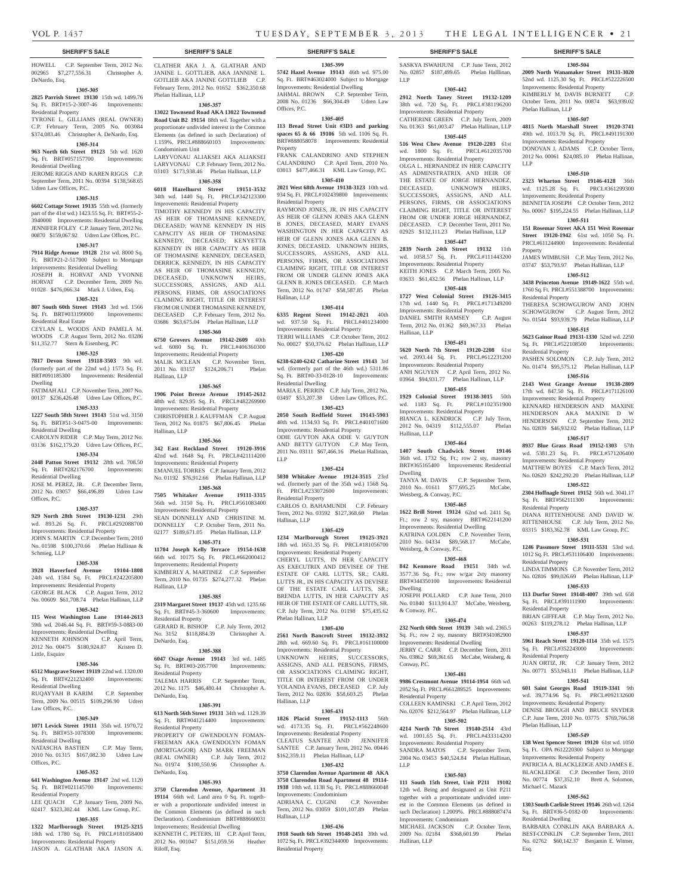#### **SHERIFF'S SALE SHERIFF'S SALE SHERIFF'S SALE SHERIFF'S SALE SHERIFF'S SALE**

HOWELL C.P. September Term, 2012 No. 002965 \$7,277,556.31 Christopher A. DeNardo, Esq.

## **1305-305**

**2825 Parrish Street 19130** 15th wd. 1499.76 Sq. Ft. BRT#15-2-3007-46 Improvements: Residential Property

TYRONE L. GILLIAMS (REAL OWNER) C.P. February Term, 2005 No. 003084 \$374,083.46 Christopher A. DeNardo, Esq.

#### **1305-314**

**963 North 6th Street 19123** 5th wd. 1620 Sq. Ft. BRT#057157700 Improvements:

Residential Dwelling JEROME RIGGS AND KAREN RIGGS C.P. September Term, 2011 No. 00394 \$138,568.65

Udren Law Offices, P.C.

### **1305-315**

**6602 Cottage Street 19135** 55th wd. (formerly part of the 41st wd.) 1423.55 Sq. Ft. BRT#55-2- 3940000 Improvements: Residential Dwelling JENNIFER FOLEY C.P. January Term, 2012 No. 00870 \$159,067.92 Udren Law Offices, P.C.

#### **1305-317**

**7914 Ridge Avenue 19128** 21st wd. 8000 Sq. Ft. BRT#21-2-517900 Subject to Mortgage Improvements: Residential Dwelling JOSEPH R. HORVAT AND YVONNE HORVAT C.P. December Term, 2009 No. 01028 \$476,066.34 Mark J. Udren, Esq.

## **1305-321**

**807 South 60th Street 19143** 3rd wd. 1566 Sq. Ft. BRT#033199000 Improvements: Residential Real Estate

## CEYLAN L. WOODS AND PAMELA M.

WOODS C.P. August Term, 2012 No. 03286 \$11,352.77 Stern & Eisenberg, PC

## **1305-325**

**7817 Devon Street 19118-3503** 9th wd. (formerly part of the 22nd wd.) 1573 Sq. Ft. BRT#091185300 Improvements: Residential

Dwelling FATIMAH ALI C.P. November Term, 2007 No. 00137 \$236,426.48 Udren Law Offices, P.C.

## **1305-333**

**1227 South 58th Street 19143** 51st wd. 3150 Sq. Ft. BRT#51-3-0475-00 Improvements:

Residential Dwelling CAROLYN RIDER C.P. May Term, 2012 No. 03136 \$162,179.20 Udren Law Offices, P.C.

#### **1305-334**

**2448 Patton Street 19132** 28th wd. 708.50 Sq. Ft. BRT#282176700 Improvements: Residential Dwelling

#### JOSE M. PEREZ, JR. C.P. December Term, 2012 No. 03057 \$66,496.89 Udren Law Offices, P.C.

**1305-337**

**929 North 28th Street 19130-1231** 29th wd. 893.26 Sq. Ft. PRCL#292088700 Improvements: Residential Property JOHN S. MARTIN C.P. December Term, 2010 No. 01598 \$100,370.66 Phelan Hallinan & Schmieg, LLP

#### **1305-338**

**3928 Haverford Avenue 19104-1808**  24th wd. 1584 Sq. Ft. PRCL#242205800 Improvements: Residential Property GEORGE BLACK C.P. August Term, 2012 No. 00609 \$61,708.74 Phelan Hallinan, LLP

#### **1305-342**

**115 West Washington Lane 19144-2613**  59th wd. 2046.44 Sq. Ft. BRT#59-3-0883-00 Improvements: Residential Dwelling KENNETH JOHNSON C.P. April Term,

2012 No. 00475 \$180,924.87 Kristen D. Little, Esquire

## **1305-346**

**6512 Musgrave Street 19119** 22nd wd. 1320.00 Sq. Ft. BRT#221232400 Improvements:

Residential Dwelling RUQAYYAH B KARIM C.P. September

Term, 2009 No. 00515 \$109,296.90 Udren Law Offices, P.C.

## **1305-349**

**1071 Levick Street 19111** 35th wd. 1970.72 Sq. Ft. BRT#53-1078300 Improvements: Residential Dwelling

#### NATASCHA BASTIEN C.P. May Term, 2010 No. 01315 \$167,082.30 Udren Law Offices, P.C.

#### **1305-352**

**641 Washington Avenue 19147** 2nd wd. 1120 Sq. Ft. BRT#021145700 Improvements: Residential Property

## LEE QUACH C.P. January Term, 2009 No. 02417 \$323,302.44 KML Law Group, P.C.

**1305-355 1322 Marlborough Street 19125-3215**  18th wd. 1780 Sq. Ft. PRCL#181058400 Improvements: Residential Property JASON A. GLATHAR AKA JASON A.

CLATHER AKA J. A. GLATHAR AND JANINE L. GOTTLIEB, AKA JANNINE L. GOTLIEB AKA JANINE GOTTLIEB C.P. February Term, 2012 No. 01652 \$362,350.68 Phelan Hallinan, LLP

#### **1305-357**

**13022 Townsend Road AKA 13022 Townsend Road Unit B2 19154** 88th wd. Together with a proportionate undivided interest in the Common Elements (as defined in such Declaration) of 1.159%. PRCL#888660103 Improvements: Condominium Unit LARYVONAU ALIAKSEI AKA ALIAKSEI LARYVONAU C.P. February Term, 2012 No.

## 03103 \$173,938.46 Phelan Hallinan, LLP **1305-358**

**6018 Hazelhurst Street 19151-3532**  34th wd. 1440 Sq. Ft. PRCL#342123300 Improvements: Residential Property

TIMOTHY KENNEDY IN HIS CAPACITY AS HEIR OF THOMASINE KENNEDY, DECEASED; WAYNE KENNEDY IN HIS CAPACITY AS HEIR OF THOMASINE KENNEDY, DECEASED; KENYETTA KENNEDY IN HER CAPACITY AS HEIR OF THOMASINE KENNEDY, DECEASED, DERRICK KENNEDY, IN HIS CAPACITY AS HEIR OF THOMASINE KENNEDY, DECEASED, UNKNOWN HEIRS, SUCCESSORS, ASSIGNS, AND ALL PERSONS, FIRMS, OR ASSOCIATIONS CLAIMING RIGHT, TITLE OR INTEREST FROM OR UNDER THOMASINE KENNEDY, DECEASED C.P. February Term, 2012 No. 03686 \$63,675.04 Phelan Hallinan, LLP

## **1305-360**

**6750 Grovers Avenue 19142-2609** 40th wd. 6080 Sq. Ft. PRCL#406360300 Improvements: Residential Property MALIK MCLEAN C.P. November Term, 2011 No. 03157 \$124,206.71 Phelan Hallinan, LLP

## **1305-365**

**1906 Point Breeze Avenue 19145-2612**  48th wd. 829.95 Sq. Ft. PRCL#482269900 Improvements: Residential Property CHRISTOPHER J. KAUFFMAN C.P. August

Term, 2012 No. 01875 \$67,806.45 Phelan Hallinan, LLP

**1305-366**

#### **342 East Rockland Street 19120-3916**  42nd wd. 1648 Sq. Ft. PRCL#421114200 Improvements: Residential Property EMANUEL TORRES C.P. January Term, 2012 No. 01192 \$76,912.66 Phelan Hallinan, LLP

**1305-368**

**7505 Whitaker Avenue 19111-3315**  56th wd. 3150 Sq. Ft. PRCL#561083400 Improvements: Residential Property SEAN DONNELLY AND CHRISTINE M. DONNELLY C.P. October Term, 2011 No. 02177 \$189,671.05 Phelan Hallinan, LLP

## **1305-371**

**11704 Joseph Kelly Terrace 19154-1638**  66th wd. 10175 Sq. Ft. PRCL#662000412 Improvements: Residential Property KIMBERLY A. MARTINEZ C.P. September Term, 2010 No. 01735 \$274,277.32 Phelan Hallinan, LLP

#### **1305-385**

**2319 Margaret Street 19137** 45th wd. 1235.66 Sq. Ft. BRT#45-3-360600 Improvements: Residential Property GERARD R. BISHOP C.P. July Term, 2012 No. 3152 \$118,884.39 Christopher A. DeNardo, Esq.

#### **1305-388**

**6047 Osage Avenue 19143** 3rd wd. 1485 Sq. Ft. BRT#03-2057700 Improvements: Residential Property

TALEMA HARRIS C.P. September Term, 2012 No. 1175 \$46,480.44 Christopher A. DeNardo, Esq.

#### **1305-391**

**613 North 56th Street 19131** 34th wd. 1129.39 Sq. Ft. BRT#041214400 Improvements: Residential Property PROPERTY OF GWENDOLYN FOMAN-FREEMAN AKA GWENDOLYN FOMAN (MORTGAGOR) AND MARK FREEMAN

(REAL OWNER) C.P. July Term, 2012 No. 01974 \$100,550.96 Christopher A. DeNardo, Esq.

## **1305-393**

**3750 Clarendon Avenue, Apartment 31 19114** 66th wd. Land area 0 Sq. Ft. together with a proportionate undivided interest in the Common Elements (as defined in such Declaration). Condominium BRT#888660031 Improvements: Residential Dwelling KENNETH C. PETERS, III C.P. April Term,

2012 No. 001047 \$151,059.56 Heather Riloff, Esq.

**1305-399 5742 Hazel Avenue 19143** 46th wd. 975.00 Sq. Ft. BRT#463024000 Subject to Mortgage Improvements: Residential Dwelling JAHMAL BROWN C.P. September Term, 2008 No. 01236 \$66,304.49 Udren Law Offices, P.C.

## **1305-405**

**113 Bread Street Unit #3D3 and parking spaces 65 & 66 19106** 5th wd. 1106 Sq. Ft. BRT#888058078 Improvements: Residential Property FRANK CALANDRINO AND STEPHEN

CALANDRINO C.P. April Term, 2010 No. 03013 \$477,466.31 KML Law Group, P.C. **1305-410**

**2021 West 68th Avenue 19138-3123** 10th wd. 934 Sq. Ft. PRCL#102439800 Improvements: Residential Property

RAYMOND JONES, JR. IN HIS CAPACITY AS HEIR OF GLENN JONES AKA GLENN B JONES, DECEASED, MARY EVANS WASHINGTON IN HER CAPACITY AS HEIR OF GLENN JONES AKA GLENN B. JONES, DECEASED. UNKNOWN HEIRS, SUCCESSORS, ASSIGNS, AND ALL PERSONS, FIRMS, OR ASSOCIATIONS CLAIMING RIGHT, TITLE OR INTEREST FROM OR UNDER GLENN JONES AKA GLENN B. JONES DECEASED. C.P. March Term, 2012 No. 01747 \$58,587.85 Phelan Hallinan, LLP

#### **1305-414**

**6335 Regent Street 19142-2021** 40th wd. 937.50 Sq. Ft. PRCL#401234000 Improvements: Residential Property TERRI WILLIAMS C.P. October Term, 2012

No. 00027 \$50,376.62 Phelan Hallinan, LLP **1305-420**

**6238-6240-6242 Catharine Street 19143** 3rd wd. (formerly part of the 46th wd.) 5311.86 Sq. Ft. BRT#0-33-0128-10 Improvements: Residential Dwelling MARIA E. PERRIN C.P. July Term, 2012 No.

03497 \$53,207.38 Udren Law Offices, P.C. **1305-423**

**2050 South Redfield Street 19143-5903**  40th wd. 1134.93 Sq. Ft. PRCL#401071600 Improvements: Residential Property ODIE GUYTON AKA ODIE V. GUYTON AND BETTY GUTYON C.P. May Term, 2011 No. 03111 \$67,466.16 Phelan Hallinan, LLP

#### **1305-424**

**5030 Whitaker Avenue 19124-3515** 23rd wd. (formerly part of the 35th wd.) 1568 Sq. Ft. PRCL#233072600 Improvements: Residential Property

CARLOS O. BAHAMUNDI C.P. February Term, 2012 No. 03592 \$127,368.60 Phelan Hallinan, LLP

#### **1305-429**

**1234 Marlborough Street 19125-3921**  18th wd. 1651.35 Sq. Ft. PRCL#181056700 Improvements: Residential Property CHERYL LUTTS, IN HER CAPACITY AS EXECUTRIX AND DEVISEE OF THE ESTATE OF CARL LUTTS, SR.; CARL LUTTS JR., IN HIS CAPACITY AS DEVISEE OF THE ESTATE CARL LUTTS, SR.; BRENDA LUTTS, IN HER CAPACITY AS HEIR OF THE ESTATE OF CARL LUTTS, SR. C.P. July Term, 2012 No. 01198 \$75,435.62 Phelan Hallinan, LLP

### **1305-430**

**2561 North Bancroft Street 19132-3932**  28th wd. 669.60 Sq. Ft. PRCL#161100000 Improvements: Residential Property UNKNOWN HEIRS, SUCCESSORS, ASSIGNS, AND ALL PERSONS, FIRMS, OR ASSOCIATIONS CLAIMING RIGHT, TITLE OR INTEREST FROM OR UNDER YOLANDA EVANS, DECEASED C.P. July Term, 2012 No. 02836 \$58,603.25 Phelan Hallinan, LLP

#### **1305-431**

**1826 Placid Street 19152-1113** 56th wd. 4173.35 Sq. Ft. PRCL#562248600 Improvements: Residential Property CLEATUS SANTEE AND JENNIFER SANTEE C.P. January Term, 2012 No. 00446 \$162,359.11 Phelan Hallinan, LLP

### **1305-432**

**3750 Clarendon Avenue Apartment 48 AKA 3750 Clarendon Road Apartment 48 19114- 1938** 10th wd. 1138 Sq. Ft. PRCL#888660048 Improvements: Condominium ADRIANA C. CUGINI C.P. November Term, 2012 No. 03059 \$101,107.89 Phelan Hallinan, LLP

#### **1305-436**

**1918 South 6th Street 19148-2451** 39th wd. 1072 Sq. Ft. PRCL#392344000 Improvements: Residential Property

DANIEL SMITH RAMSEY

Improvements: Residential Property ANH NGUYEN C.P. April Term, 2012 No. 03964 \$94,931.77 Phelan Hallinan, LLP **1305-455 1929 Colonial Street 19138-3015** 50th wd. 1183 Sq. Ft. PRCL#102351900 Improvements: Residential Property BIANCA L. KENDRICK C.P. July Term, 2012 No. 04319 \$112,555.07 Phelan

Hallinan, LLP

Hallinan, LLP

Dwelling

Dwelling

& Conway, P.C.

Conway, P.C.

LLP

Residential Property

Term, 2012 No. 01362 \$69,367.33 Phelan

**1305-451 5620 North 7th Street 19120-2208** 61st wd. 2093.44 Sq. Ft. PRCL#612231200

**1305-464 1407 South Chadwick Street 19146**  36th wd. 1732 Sq. Ft.; row 2 sty, masonry BRT#365165400 Improvements: Residential

TANYA M. DAVIS C.P. September Term, 2010 No. 01611 \$77,695.25 McCabe,

**1305-465 1622 Brill Street 19124** 62nd wd. 2411 Sq. Ft.; row 2 sty, masonry BRT#622141200 Improvements: Residential Dwelling KATRINA GOLDEN C.P. November Term, 2010 No. 04334 \$89,568.17 McCabe,

**1305-468 842 Kenmore Road 19151** 34th wd. 3577.36 Sq. Ft.; row w/gar 2sty masonry BRT#344350100 Improvements: Residential

JOSEPH POLLARD C.P. June Term, 2010 No. 01840 \$113,914.37 McCabe, Weisberg,

**1305-474 232 North 60th Street 19139** 34th wd. 2365.5 Sq. Ft.; row 2 sty, masonry BRT#341082900 Improvements: Residential Dwelling JERRY C. CARR C.P. December Term, 2011 No. 03862 \$69,361.65 McCabe, Weisberg, &

**1305-481 9986 Crestmont Avenue 19114-1954** 66th wd. 2052 Sq. Ft. PRCL#661289525 Improvements:

COLLEEN KAMINSKI C.P. April Term, 2012 No. 02076 \$212,564.97 Phelan Hallinan, LLP **1305-502 4214 North 7th Street 19140-2514** 43rd wd. 1001.65 Sq. Ft. PRCL#433314200 Improvements: Residential Property SANDRA MATOS C.P. September Term, 2004 No. 03453 \$40,524.84 Phelan Hallinan,

**1305-503 111 South 15th Street, Unit P211 19102**  12th wd. Being and designated as Unit P211 together with a proportionate undivided interest in the Common Elements (as defined in such Declaration) 1.2009%. PRCL#888087474

MICHAEL JACKSON C.P. October Term,<br>2009 No. 02184 \$368,601.99 Phelan 2009 No. 02184 \$368,601.99

Improvements: Condominium

Hallinan, LLP

Weisberg, & Conway, P.C.

Weisberg, & Conway, P.C.

LLP

SASKYA ISWAHJUNI C.P. June Term, 2012 No. 02857 \$187,499.65 Phelan Halllinan,

**1305-504 2009 North Wanamaker Street 19131-3020**  52nd wd. 1125.30 Sq. Ft. PRCL#522226500 Improvements: Residential Property KIMBERLY M. DAVIS BURNETT C.P. October Term, 2011 No. 00874 \$63,939.02

**1305-507 4815 North Marshall Street 19120-3741**  49th wd. 1013.70 Sq. Ft. PRCL#491191300 Improvements: Residential Property DONOVAN J. ADAMS C.P. October Term, 2012 No. 00061 \$24,085.10 Phelan Hallinan,

**1305-510 2323 Wharton Street 19146-4128** 36th wd. 1125.28 Sq. Ft. PRCL#361299300 Improvements: Residential Property BENNITTA JOSEPH C.P. October Term, 2012 No. 00067 \$195,224.55 Phelan Hallinan, LLP **1305-511 151 Rosemar Street AKA 151 West Rosemar Street 19120-1942** 61st wd. 1050 Sq. Ft. PRCL#611244900 Improvements: Residential

JAMES WIMBUSH C.P. May Term, 2012 No. 03747 \$53,793.97 Phelan Hallinan, LLP **1305-512 3438 Princeton Avenue 19149-1622** 55th wd. 1760 Sq. Ft. PRCL#551388700 Improvements:

THERESA SCHOWGUROW AND JOHN SCHOWGUROW C.P. August Term, 2012 No. 01544 \$93,939.79 Phelan Hallinan, LLP **1305-515 5623 Gainor Road 19131-1330** 52nd wd. 2250 Sq. Ft. PRCL#522108500 Improvements:

PASHEN SOLOMON C.P. July Term, 2012 No. 01474 \$95,575.12 Phelan Hallinan, LLP **1305-516 2143 West Grange Avenue 19138-2809**  17th wd. 847.50 Sq. Ft. PRCL#171126100 Improvements: Residential Property KENNARD HENDERSON AND MAXINE HENDERSON AKA MAXINE D W HENDERSON C.P. September Term, 2012 No. 02839 \$46,932.02 Phelan Hallinan, LLP **1305-517 8937 Blue Grass Road 19152-1303** 57th wd. 5381.23 Sq. Ft. PRCL#571206400 Improvements: Residential Property MATTHEW BOYES C.P. March Term, 2012 No. 02620 \$242,292.20 Phelan Hallinan, LLP **1305-522 2304 Hoffnagle Street 19152** 56th wd. 3041.17 Sq. Ft. BRT#562111300 Improvements:

DIANA RITTENHOUSE AND DAVID W. RITTENHOUSE C.P. July Term, 2012 No. 03315 \$183,362.78 KML Law Group, P.C. **1305-531 1246 Passmore Street 19111-5531** 53rd wd. 1012 Sq. Ft. PRCL#531106400 Improvements:

LINDA TIMMONS C.P. November Term, 2012 No. 02816 \$99,026.69 Phelan Hallinan, LLP **1305-533 113 Durfor Street 19148-4007** 39th wd. 658 Sq. Ft. PRCL#391111900 Improvements:

BRIAN GIFFEAR C.P. May Term, 2012 No. 00263 \$119,278.12 Phelan Hallinan, LLP **1305-537 5961 Reach Street 19120-1114** 35th wd. 1575 Sq. Ft. PRCL#352243000 Improvements:

JUAN ORTIZ, JR. C.P. January Term, 2012 No. 00771 \$53,943.11 Phelan Hallinan, LLP **1305-541 601 Saint Georges Road 19119-3341** 9th wd. 39,774.96 Sq. Ft. PRCL#092132600

**1305-549 138 West Spencer Street 19120** 61st wd. 1050 Sq. Ft. OPA #612220300 Subject to Mortgage Improvements: Residential Property PATRICIA A. BLACKLEDGE AND JAMES E. BLACKLEDGE C.P. December Term, 2010 No. 00774 \$37,352.10 Brett A. Solomon,

**1305-562 1303 South Carlisle Street 19146** 26th wd. 1264 Sq. Ft. BRT#36-5-0182-00 Improvements:

BARBARA CONKLIN AKA BARBARA A. BEST-CONKLIN C.P. September Term, 2011 No. 02762 \$60,142.37 Benjamin E. Witmer,

Improvements: Residential Property DENISE BROUGH AND BRUCE SNYDER C.P. June Term, 2010 No. 03775 \$769,766.58

Phelan Hallinan, LLP

LLP

Property

Residential Property

Residential Property

Residential Property

Residential Property

Residential Property

Residential Property

Phelan Hallinan, LLP

Michael C. Mazack

Residential Dwelling

Esq.

**1305-442 2912 North Taney Street 19132-1209**  38th wd. 720 Sq. Ft. PRCL#381196200 Improvements: Residential Property CATHERINE GREEN C.P. July Term, 2009 No. 01363 \$61,003.47 Phelan Hallinan, LLP **1305-445 516 West Chew Avenue 19120-2203** 61st wd. 1800 Sq. Ft. PRCL#612035700 Improvements: Residential Property OLGA L. HERNANDEZ IN HER CAPACITY AS ADMINSTRATRIX AND HEIR OF THE ESTATE OF JORGE HERNANDEZ, DECEASED. UNKNOWN HEIRS, SUCCESSORS, ASSIGNS, AND ALL PERSONS, FIRMS, OR ASSOCIATIONS CLAIMING RIGHT, TITLE OR INTEREST FROM OR UNDER JORGE HERNANDEZ, DECEASED. C.P. December Term, 2011 No. 02925 \$132,111.23 Phelan Hallinan, LLP **1305-447 2839 North 24th Street 19132** 11th wd. 1058.57 Sq. Ft. PRCL#111443200 Improvements: Residential Property KEITH JONES C.P. March Term, 2005 No. 03633 \$61,432.56 Phelan Hallinan, LLP **1305-448 1727 West Colonial Street 19126-3415**  17th wd. 1440 Sq. Ft. PRCL#171349200 Improvements: Residential Property<br>DANIEL SMITH RAMSEY C.P. August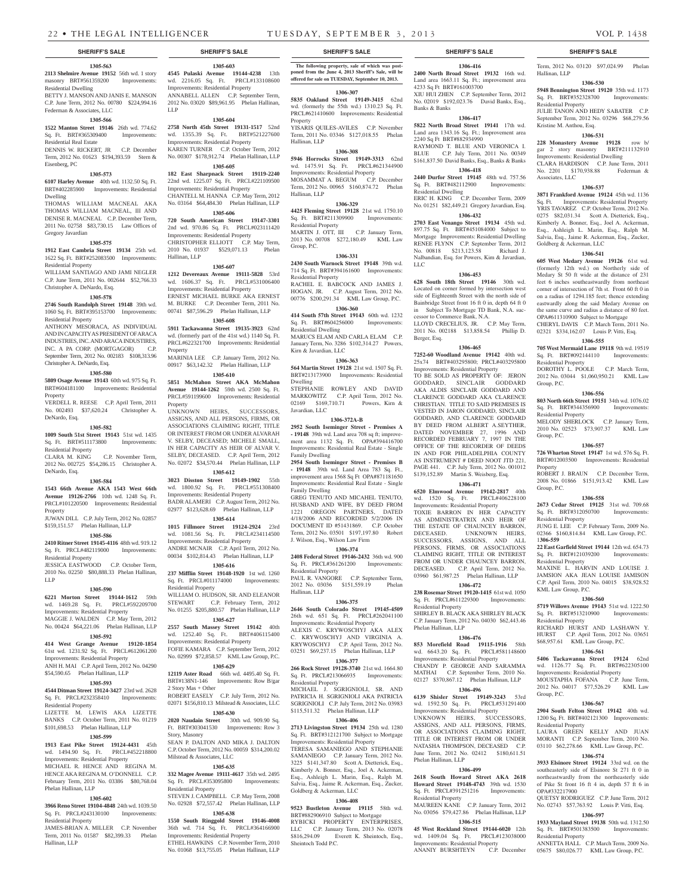**1305-603 4545 Pulaski Avenue 19144-4238** 13th wd. 2216.05 Sq. Ft. PRCL#133108600

**1305-604 2758 North 45th Street 19131-1517** 52nd wd. 1355.39 Sq. Ft. BRT#521227600 Improvements: Residential Property KAREN TURNER C.P. October Term, 2012 No. 00307 \$178,912.74 Phelan Hallinan, LLP **1305-605 182 East Sharpnack Street 19119-2240**  22nd wd. 1225.07 Sq. Ft. PRCL#221109500

Improvements: Residential Property ANNABELL ALLEN C.P. September Term, 2012 No. 03020 \$89,961.95 Phelan Hallinan,

Improvements: Residential Property CHANTELL M. HANNA C.P. May Term, 2012 No. 03164 \$64,484.30 Phelan Hallinan, LLP **1305-606 720 South American Street 19147-3301**  2nd wd. 970.86 Sq. Ft. PRCL#023111420 Improvements: Residential Property CHRISTOPHER ELLIOTT C.P. May Term, 2010 No. 01937 \$529,071.13 Phelan

**1305-607 1212 Devereaux Avenue 19111-5828** 53rd wd. 1606.37 Sq. Ft. PRCL#531006400

MARINIA LEE C.P. January Term, 2012 No. 00917 \$63,142.32 Phelan Hallinan, LLP **1305-610 5851 McMahon Street AKA McMahon Avenue 19144-1262** 59th wd. 2500 Sq. Ft. PRCL#591199600 Improvements: Residential

UNKNOWN HEIRS, SUCCESSORS, ASSIGNS, AND ALL PERSONS, FIRMS, OR ASSOCIATIONS CLAIMING RIGHT, TITLE OR INTEREST FROM OR UNDER ALVARAH V. SELBY, DECEASED; MICHELE SMALL, IN HER CAPACITY AS HEIR OF ALVAR V. SELBY, DECEASED. C.P. April Term, 2012 No. 02072 \$34,570.44 Phelan Hallinan, LLP **1305-612 3023 Disston Street 19149-1902** 55th wd. 1800.92 Sq. Ft. PRCL#551308400 Improvements: Residential Property BADR ALAMERI C.P. August Term, 2012 No. 02977 \$123,628.69 Phelan Hallinan, LLP **1305-614 1015 Fillmore Street 19124-2924** 23rd wd. 1081.56 Sq. Ft. PRCL#234114500 Improvements: Residential Property ANDRE MCNAIR C.P. April Term, 2012 No. 00034 \$102,814.43 Phelan Hallinan, LLP **1305-616 237 Mifflin Street 19148-1920** 1st wd. 1260 Sq. Ft. PRCL#011174000 Improvements:

Improvements: Residential Property ERNEST MICHAEL BURKE AKA ERNEST M. BURKE C.P. December Term, 2011 No. 00741 \$87,596.29 Phelan Hallinan, LLP **1305-608 5911 Tackawanna Street 19135-3923** 62nd wd. (formerly part of the 41st wd.) 1140 Sq. Ft. PRCL#622321700 Improvements: Residential

Hallinan, LLP

Property

Property

Residential Property

2 Story Mas + Other

Story, Masonry

Residential Property

Milstead & Associates, LLC

WILLIAM O. HUDSON, SR. AND ELEANOR<br>STEWART C.P. February Term, 2012

No. 01255 \$205,880.57 Phelan Hallinan, LLP **1305-627 2557 South Massey Street 19142** 40th wd. 1252.40 Sq. Ft. BRT#406115400 Improvements: Residential Property FOFIE KAMARA C.P. September Term, 2012 No. 02999 \$72,858.57 KML Law Group, P.C. **1305-629 12119 Aster Road** 66th wd. 4495.40 Sq. Ft. BRT#138N1-146 Improvements: Row B/gar

ROBERT EASELY C.P. July Term, 2012 No. 02071, \$156,810.13 Milstead  $\&$  Associates, LLC. **1305-630 2020 Naudain Street** 30th wd. 909.90 Sq. Ft. BRT#303041530 Improvements: Row 3

SEAN P. DALTON AND MIKA J. DALTON C.P. October Term, 2012 No. 00059 \$314,200.02

**1305-635 332 Magee Avenue 19111-4617** 35th wd. 2495 Sq. Ft. PRCL#353095800 Improvements:

STEVEN J. CAMPBELL C.P. May Term, 2008 No. 02928 \$72,557.42 Phelan Hallinan, LLP **1305-638 1550 South Ringgold Street 19146-4008**  36th wd. 714 Sq. Ft. PRCL#364166900 Improvements: Residential Property ETHEL HAWKINS C.P. November Term, 2010 No. 01068 \$13,755.05 Phelan Hallinan, LLP

C.P. February Term, 2012

LLP

**1305-563 2113 Shelmire Avenue 19152** 56th wd. 1 story masonry BRT#561359200 Improvements:

BETTY J. MANSON AND JANIS E. MANSON C.P. June Term, 2012 No. 00780 \$224,994.16

**1305-566 1522 Manton Street 19146** 26th wd. 774.62 Sq. Ft. BRT#365309400 Improvements:

DENNIS W. RICKERT, JR C.P. December Term, 2012 No. 01623 \$194,393.59 Stern &

**1305-573 6107 Harley Avenue** 40th wd. 1132.50 Sq. Ft. BRT#402285900 Improvements: Residential

THOMAS WILLIAM MACNEAL AKA THOMAS WILLIAM MACNEAL, III AND DENISE R. MACNEAL C.P. December Term, 2011 No. 02758 \$83,730.15 Law Offices of

**1305-575 1912 East Cambria Street 19134** 25th wd. 1622 Sq. Ft. BRT#252083500 Improvements:

WILLIAM SANTIAGO AND JAMI NEGLER C.P. June Term, 2011 No. 002644 \$52,766.33

**1305-578 2746 South Randolph Street 19148** 39th wd. 1060 Sq. Ft. BRT#395153700 Improvements:

ANTHONY MESORACA, AS INDIVIDUAL AND IN CAPACITY AS PRESIDENT OF ARACA INDUSTRIES, INC. AND ARACA INDUSTIRES, INC. A PA CORP. (MORTGAGOR) C.P. September Term, 2012 No. 002183 \$108,313.96

**1305-580 5809 Osage Avenue 19143** 60th wd. 975 Sq. Ft. BRT#604181100 Improvements: Residential

VERDELL R. REESE C.P. April Term, 2011 No. 002493 \$37,620.24 Christopher A.

**1305-582 1009 South 51st Street 19143** 51st wd. 1435 Sq. Ft. BRT#511173800 Improvements:

CLARA M. KING C.P. November Term, 2012 No. 002725 \$54,286.15 Christopher A.

**1305-584 1543 66th Avenue AKA 1543 West 66th Avenue 19126-2766** 10th wd. 1248 Sq. Ft. PRCL#101220500 Improvements: Residential

JUWAN DILL C.P. July Term, 2012 No. 02857 \$159,151.57 Phelan Hallinan, LLP **1305-586 2410 Ritner Street 19145-4116** 48th wd. 919.12 Sq. Ft. PRCL#482119000 Improvements:

JESSICA EASTWOOD C.P. October Term, 2010 No. 02250 \$80,888.33 Phelan Hallinan,

**1305-590 6221 Morton Street 19144-1612** 59th wd. 1469.28 Sq. Ft. PRCL#592209700 Improvements: Residential Property MAGGIE J. WALDEN C.P. May Term, 2012 No. 00424 \$64,221.06 Phelan Hallinan, LLP **1305-592 414 West Grange Avenue 19120-1854**  61st wd. 1231.92 Sq. Ft. PRCL#612061200 Improvements: Residential Property ANH H. MAI C.P. April Term, 2012 No. 04290 \$54,590.65 Phelan Hallinan, LLP **1305-593 4544 Ditman Street 19124-3427** 23rd wd. 2628 Sq. Ft. PRCL#232358410 Improvements:

LIZETTE M. LEWIS AKA LIZETTE BANKS C.P. October Term, 2011 No. 01219 \$101,698.53 Phelan Hallinan, LLP **1305-599 1913 East Pike Street 19124-4431** 45th wd. 1494.90 Sq. Ft. PRCL#452218800 Improvements: Residential Property MICHAEL R. HENCE AND REGINA M. HENCE AKA REGINA M. O'DONNELL C.P. February Term, 2011 No. 03386 \$80,768.04

**1305-602 3966 Reno Street 19104-4848** 24th wd. 1039.50 Sq. Ft. PRCL#243130100 Improvements:

JAMES-BRIAN A. MILLER C.P. November Term, 2011 No. 01587 \$82,399.33 Phelan

Residential Dwelling

Residential Real Estate

Eisenberg, PC

Dwelling

Gregory Javardian

Residential Property

Residential Property

Property

DeNardo, Esq.

DeNardo, Esq.

Property

LLP

Residential Property

Residential Property

Residential Property

Phelan Hallinan, LLP

Residential Property

Hallinan, LLP

Christopher A. DeNardo, Esq.

Christopher A. DeNardo, Esq.

Federman & Associates, LLC

## **SHERIFF'S SALE SHERIFF'S SALE SHERIFF'S SALE SHERIFF'S SALE SHERIFF'S SALE**

**The following property, sale of which was post-poned from the June 4, 2013 Sheriff's Sale, will be offered for sale on TUESDAY, September 10, 2013.**

**1306-307 5835 Oakland Street 19149-3415** 62nd wd. (formerly the 55th wd.) 1310.23 Sq. Ft. PRCL#621410600 Improvements: Residential Property

YISARIS QUILES-AVILES C.P. November Term, 2011 No. 03346 \$127,018.55 Phelan Hallinan, LLP

#### **1306-308**

**5946 Horrocks Street 19149-3313** 62nd wd. 1475.91 Sq. Ft. PRCL#621344900 Improvements: Residential Property MOSAMMAT A. BEGUM C.P. December Term, 2012 No. 00965 \$160,874.72 Phelan Hallinan, LLP

## **1306-329**

**4425 Fleming Street 19128** 21st wd. 1750.10 Sq. Ft. BRT#211309900 Improvements: Residential Property MARTIN J. OTT, III C.P. January Term, 2013 No. 00708 \$272,180.49 KML Law Group, P.C.

#### **1306-331**

**2430 South Warnock Street 19148** 39th wd. 714 Sq. Ft. BRT#394161600 Improvements: Residential Property RACHEL E. BABCOCK AND JAMES J. HOGAN, JR. C.P. August Term, 2012 No.

00776 \$200,291.34 KML Law Group, P.C. **1306-360**

## **414 South 57th Street 19143** 60th wd. 1232 Sq. Ft. BRT#604256000 Improvements:

Residential Dwelling MARUCS ELAM AND CARLA ELAM C.P. January Term, No. 3286 \$102,314.27 Powers, Kirn & Javardian, LLC

## **1306-363**

**564 Martin Street 19128** 21st wd. 1507 Sq. Ft. BRT#213173900 Improvements: Residential Dwelling

STEPHANIE ROWLEY AND DAVID MARKOWITZ C.P. April Term, 2012 No. 02169 \$169,710.71 Powers, Kirn & Javardian, LLC

## **1306-372A-B**

**2952 South Iseminger Street - Premises A - 19148** 39th wd. Land area 708 sq ft; improvement area 1132 Sq. Ft. OPA#394416700 Improvements: Residential Real Estate - Single Family Dwelling

**2954 South Iseminger Street - Premises B - 19148** 39th wd. Land Area 783 Sq. Ft., improvement area 1568 Sq Ft OPA#871181650 Improvements: Residential Real Estate - Single Family Dwelling

GREG TENUTO AND MICAHEL TENUTO, HUSBAND AND WIFE, BY DEED FROM 1221 OREGON PARTNERS, DATED 4/18/2006 AND RECORDED 5/2/2006 IN DOCUMENT ID #51431869. C.P. October Term, 2012 No. 03501 \$197,197.80 Robert J. Wilson, Esq., Wilson Law Firm

## **1306-374**

**2408 Federal Street 19146-2432** 36th wd. 900 Sq. Ft. PRCL#361261200 Improvements: Residential Property

PAUL R. VANGORE C.P. September Term, 2012 No. 03036 \$151,559.19 Phelan Hallinan, LLP

#### **1306-375**

**2646 South Colorado Street 19145-4509**  26th wd. 651 Sq. Ft. PRCL#262041100 Improvements: Residential Property ALEXIS C. KRYWOSCHYJ AKA ALEX C. KRYWOSCHYJ AND VIRGINIA A. KRYWOSCHYJ C.P. April Term, 2012 No. 03251 \$69,237.15 Phelan Hallinan, LLP

#### **1306-377**

**266 Rock Street 19128-3740** 21st wd. 1664.80 Sq. Ft. PRCL#213066935 Improvements: Residential Property MICHAEL J. SGRIGNIOLI, SR. AND PATRICIA H. SGRIGNIOLI AKA PATRICIA SGRIGNIOLI C.P. July Term, 2012 No. 03983 \$115,511.32 Phelan Hallinan, LLP

#### **1306-406**

**2713 Livingston Street 19134** 25th wd. 1280 Sq. Ft. BRT#312121700 Subject to Mortgage Improvements: Residential Property TERESA SAMANIEGO AND STEPHANIE SAMANIEGO C.P. January Term, 2012 No. 3225 \$141,347.80 Scott A. Dietterick, Esq., Kimberly A. Bonner, Esq., Joel A. Ackerman,

Esq., Ashleigh L. Marin, Esq., Ralph M. Salvia, Esq., Jaime R. Ackerman, Esq., Zucker, Goldberg & Ackerman, LLC

## **1306-408**

**9523 Bustleton Avenue 19115** 58th wd. BRT#882906910 Subject to Mortgage

RYBICKI PROPERTY ENTERPRISES, LLC C.P. January Term, 2013 No. 02078 \$816,294.09 Everett K. Sheintoch, Esq., Sheintoch Todd P.C.

**1306-416 2400 North Broad Street 19132** 16th wd. Land area 1663.11 Sq. Ft.; improvement area 4233 Sq Ft BRT#161003700 XIU HUI ZHEN C.P. September Term, 2012 No. 02019 \$192,023.76 David Banks, Esq.,

#### **1306-417**

Banks & Banks

**5822 North Broad Street 19141** 17th wd. Land area 1343.16 Sq. Ft.; Improvement area 2240 Sq Ft BRT#882934990

RAYMOND T. BLUE AND VERONICA I. BLUE C.P. July Term, 2011 No. 00349 \$161,837.50 David Banks, Esq., Banks & Banks **1306-418**

## **2440 Durfor Street 19145** 48th wd. 757.56

Sq. Ft. BRT#482112900 Improvements: Residential Dwelling ERIC H. KING C.P. December Term, 2009 No. 01251 \$82,449.21 Gregory Javardian, Esq.

**1306-432**

**2703 East Venango Street 19134** 45th wd. 897.75 Sq. Ft. BRT#451084000 Subject to Mortgage Improvements: Residential Dwelling RENEE FLYNN C.P. September Term, 2012 No. 00818 \$213,123.58 Richard J. Nalbandian, Esq. for Powers, Kim & Javardian, LLC

#### **1306-453**

**628 South 18th Street 19146** 30th wd. Located on corner formed by intersection west side of Eighteenth Street with the north side of Bainbridge Street front 16 ft 0 in, depth 64 ft 0 in Subject To Mortgage TD Bank, N.A. successor to Commerce Bank, N.A.

LLOYD CRECELIUS, JR. C.P. May Term, 2011 No. 002188 \$13,858.54 Phillip D. Berger, Esq.

#### **1306-465**

**7252-60 Woodland Avenue 19142** 40th wd. 25x74 BRT#403295800; PRCL#403295800 Improvements: Residential Property

TO BE SOLD AS PROPERTY OF: JERON GODDARD, SINCLAIR GODDARD AKA ALDIS SINCLAIR GODDARD AND CLARENCE GODDARD AKA CLARENCE CHRISTIAN. TITLE TO SAID PREMISES IS VESTED IN JARON GODDARD, SINCLAIR GODDARD, AND CLARENCE GODDARD BY DEED FROM ALBERT A.SEYTHER, DATED NOVEMBER 27, 1996 AND RECORDED FEBRUARY 7, 1997 IN THE OFFICE OF THE RECORDER OF DEEDS IN AND FOR PHILADELPHIA COUNTY AS INSTRUMENT # DEED NOOT JTD 221, PAGE 441. C.P. July Term, 2012 No. 001012 \$139,152.89 Martin S. Weisberg, Esq.

**1306-471 6520 Elmwood Avenue 19142-2817** 40th wd. 1520 Sq. Ft. PRCL#406228100

Improvements: Residential Property TOXIE BARRON IN HER CAPACITY AS ADMINISTRATRIX AND HEIR OF THE ESTATE OF CHAUNCEY BARRON,<br>DECEASED. UNKNOWN HEIRS, UNKNOWN HEIRS, SUCCESSORS, ASSIGNS, AND ALL PERSONS, FIRMS, OR ASSOCIATIONS CLAIMING RIGHT, TITLE OR INTEREST FROM OR UNDER CHAUNCEY BARRON, DECEASED. C.P. April Term, 2012 No. 03960 \$61,987.25 Phelan Hallinan, LLP

#### **1306-472 238 Rosemar Street 19120-1415** 61st wd. 1050

Sq. Ft. PRCL#611229300 Improvements: Residential Property SHIRLEY B. BLACK AKA SHIRLEY BLACK

C.P. January Term, 2012 No. 04030 \$62,443.46 Phelan Hallinan, LLP

## **1306-476**

**853 Morefield Road 19115-1916** 58th wd. 6643.20 Sq. Ft. PRCL#581148600 Improvements: Residential Property CHANDY P. GEORGE AND SARAMMA MATHAI C.P. September Term, 2010 No. 02127 \$370,867.12 Phelan Hallinan, LLP

**1306-496 6139 Shisler Street 19149-3243** 53rd

wd. 1592.50 Sq. Ft. PRCL#531291400 Improvements: Residential Property UNKNOWN HEIRS, SUCCESSORS,

ASSIGNS, AND ALL PERSONS, FIRMS, OR ASSOCIATIONS CLAIMING RIGHT, TITLE OR INTEREST FROM OR UNDER NATASHA THOMPSON, DECEASED C.P. June Term, 2012 No. 02412 \$180,611.51 Phelan Hallinan, LLP

#### **1306-499**

**2618 South Howard Street AKA 2618 Howard Street 19148-4743** 39th wd. 1530 Sq. Ft. PRCL#391251216 Improvements: Residential Property

MAUREEN KANE C.P. January Term, 2012 No. 03056 \$79,427.86 Phelan Hallinan, LLP **1306-515**

### **45 West Rockland Street 19144-6020** 12th

wd. 1409.04 Sq. Ft. PRCL#123038000 Improvements: Residential Property

ANANIY BURSHTEYN C.P. December ANNETTA HALL C.P. March Term, 2009 No. 05675 \$80,026.77 KML Law Group, P.C.

Term, 2012 No. 03120 \$97,024.99 Phelan Hallinan, LLP

### **1306-530**

**5948 Bennington Street 19120** 35th wd. 1173 Sq. Ft. BRT#352328700 Improvements: Residential Property JULIE TANON AND HEDY SABATER C.P.

September Term, 2012 No. 03296 \$68,279.56 Kristine M. Anthou, Esq.

## **1306-531**

**228 Monastery Avenue 19128** row b/ gar 2 story masonry BRT#211132910 Improvements: Residential Dwelling CLARA HARDISON C.P. June Term, 2011

No. 2201 \$170,938.88 Federman & Associates, LLC **1306-537**

**3871 Frankford Avenue 19124** 45th wd. 1136 Sq. Ft. Improvements: Residential Property YRIS TAVAREZ C.P. October Term, 2012 No. 0275 \$82,031.34 Scott A. Dietterick, Esq., Kimberly A. Bonner, Esq., Joel A. Ackerman, Esq., Ashleigh L. Marin, Esq., Ralph M. Salvia, Esq., Jaime R. Ackerman, Esq., Zucker, Goldberg & Ackerman, LLC

## **1306-541**

**605 West Medary Avenue 19126** 61st wd. (formerly 12th wd.) on Northerly side of Medary St 50 ft wide at the distance of 231 feet 6 inches southeastwardly from northeast corner of intersection of 7th st. Front 60 ft 0 in on a radius of 1294.185 feet; thence extending eastwardly along the said Medary Avenue on the same curve and radius a distance of 80 feet. OPA#611310900 Subject to Mortgage CHERYL DAVIS C.P. March Term, 2011 No.

02321 \$334,162.07 Louis P. Vitti, Esq.

## **1306-555**

**705 West Mermaid Lane 19118** 9th wd. 19519 Sq. Ft. BRT#092144110 Improvements: Residential Property DOROTHY L. POOLE C.P. March Term, 2012 No. 03044 \$1,060,950.21 KML Law

## **1306-556**

Group, P.C.

**803 North 66th Street 19151** 34th wd. 1076.02<br>Sq. Ft. BRT#344356900 Improvements: Sq. Ft. BRT#344356900 Residential Property

MELODY SHERLOCK C.P. January Term, 2010 No. 02523 \$73,907.37 KML Law Group, P.C.

#### **1306-557**

**726 Wharton Street 19147** 1st wd. 576 Sq. Ft. BRT#012003500 Improvements: Residential Property ROBERT J. BRAUN C.P. December Term,

2008 No. 01866 \$151,913.42 KML Law Group, P.C.

## **1306-558**

**2673 Cedar Street 19125** 31st wd. 709.68 Sq. Ft. BRT#312050700 Residential Property

JUNG E. LEE C.P. February Term, 2009 No. 02366 \$160,814.84 KML Law Group, P.C. 1**306-559**

**22 East Garfield Street 19144** 12th wd. 654.73 Sq. Ft. BRT#121039200 Improvements: Residential Property

MAXINE L. HARVIN AND LOUISE J. JAMSION AKA JEAN LOUISE JAMISON C.P. April Term, 2010 No. 04015 \$38,928.52 KML Law Group, P.C.

#### **1306-560**

**5719 Willows Avenue 19143** 51st wd. 1222.50 Sq. Ft. BRT#513210900 Improvements:

Residential Property RICHARD HURST AND LASHAWN Y.

## HURST C.P. April Term, 2012 No. 03651 \$68,957.61 KML Law Group, P.C.

#### **1306-561**

**5406 Tackawanna Street 19124** 62nd wd. 1126.77 Sq. Ft. BRT#622305100 Improvements: Residential Property MOUSTAPHA FOFANA C.P. June Term,

2012 No. 04017 \$77,526.29 KML Law Group, P.C. **1306-567**

**2904 South Felton Street 19142** 40th wd. 1200 Sq. Ft. BRT#402121300 Improvements:

LAURA GREEN KELLY AND JUAN MORANTI C.P. September Term, 2010 No. 03110 \$62,278.66 KML Law Group, P.C. **1306-574 3933 Elsinore Street 19124** 33rd wd. on the southeasterly side of Elsinore St 271 ft 0 in northeastwardly from the northeasterly side of Pike St front 16 ft 4 in, depth 57 ft 6 in

QUETSY RODRIGUEZ C.P. June Term, 2012 No. 02743 \$57,763.92 Louis P. Vitti, Esq. **1306-597 1933 Mayland Street 19138** 50th wd. 1312.50 Sq. Ft. BRT#501383500 Improvements:

Residential Property

OPA#332217900

Residential Property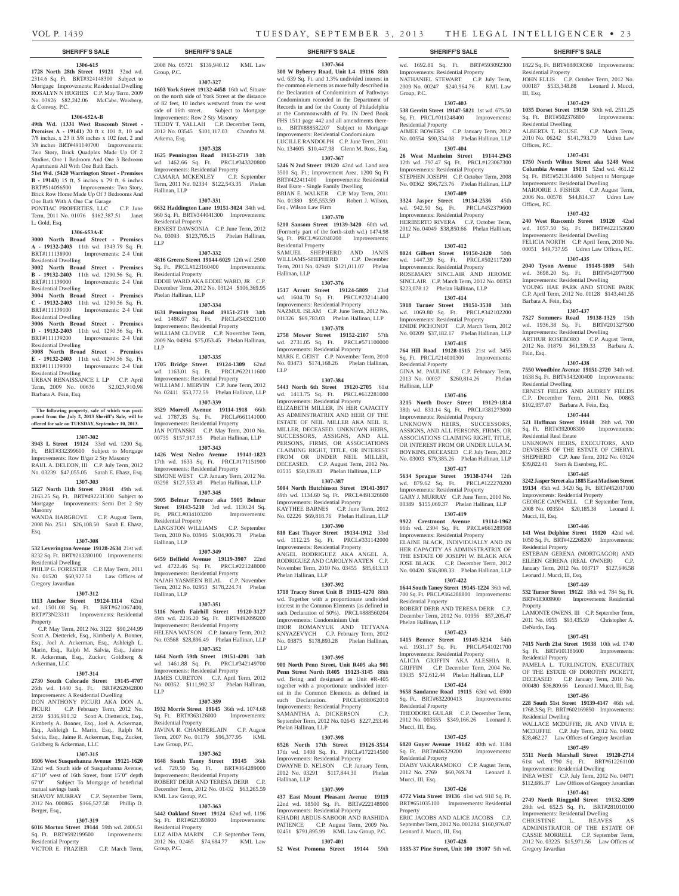#### **SHERIFF'S SALE SHERIFF'S SALE SHERIFF'S SALE SHERIFF'S SALE SHERIFF'S SALE**

#### **1306-615**

**1728 North 28th Street 19121** 32nd wd. 2314.6 Sq. Ft. BRT#324148300 Subject to Mortgage Improvements: Residential Dwelling ROSALYN N HUGHES C.P. May Term, 2009 No. 03826 \$82,242.06 McCabe, Weisberg, & Conway, P.C.

#### **1306-652A-B**

**49th Wd. (1331 West Ruscomb Street - Premises A - 19141)** 20 ft x 101 ft, 10 and 7/8 inches, x 23 ft 5/8 inches x 102 feet, 2 and 3/8 inches BRT#491140700 Improvements: Two Story, Brick Quadplex Made Up Of 2 Studios, One 1 Bedroom And One 3 Bedroom

### Apartments All With One Bath Each. **51st Wd. (5420 Warrington Street - Premises**

**B - 19143)** 15 ft, 5 inches x 79 ft, 6 inches BRT#514056500 Improvements: Two Story, Brick Row Home Made Up Of 3 Bedrooms And One Bath With A One Car Garage

PONTIAC PROPERTIES, LLC C.P. June Term, 2011 No. 01076 \$162,387.51 Janet L. Gold, Esq.

#### **1306-653A-E**

**3000 North Broad Street - Premises A - 19132-2403** 11th wd. 1343.79 Sq. Ft. Improvements: 2-4 Unit Residential Dwelling

**3002 North Broad Street - Premises B - 19132-2403** 11th wd. 1290.56 Sq. Ft. BRT#111139000 Improvements: 2-4 Unit Residential Dwelling

#### **3004 North Broad Street - Premises C - 19132-2403** 11th wd. 1290.56 Sq. Ft. BRT#111139100 Improvements: 2-4 Unit Residential Dwelling

**3006 North Broad Street - Premises D - 19132-2403** 11th wd. 1290.56 Sq. Ft. BRT#111139200 Improvements: 2-4 Unit

Residential Dwelling **3008 North Broad Street - Premises** 

**E - 19132-2403** 11th wd. 1290.56 Sq. Ft. BRT#111139300 Improvements: 2-4 Unit Residential Dwelling

URBAN RENAISSANCE I, LP C.P. April Term, 2009 No. 00636 \$2,023,910.98 Barbara A. Fein, Esq.

**The following property, sale of which was post-poned from the July 2, 2013 Sheriff's Sale, will be offered for sale on TUESDAY, September 10, 2013.**

#### **1307-302**

**3943 L Street 19124** 33rd wd. 1200 Sq. Ft. BRT#332399600 Subject to Mortgage Improvements: Row B/gar 2 Sty Masonry RAUL A. DELEON, III C.P. July Term, 2012 No. 03239 \$47,055.05 Sarah E. Ehasz, Esq. **1307-303**

## **5127 North 11th Street 19141** 49th wd.

2163.25 Sq. Ft. BRT#492231300 Subject to Improvements: Semi Det 2 Sty Masonry

WANDA HARGROVE C.P. August Term, 2008 No. 2511 \$26,108.50 Sarah E. Ehasz, Esq.

### **1307-308**

**532 Leverington Avenue 19128-2634** 21st wd. 8232 Sq. Ft. BRT#213280100 Improvements: Residential Dwelling PHILIP G. FORESTER C.P. May Term, 2011

No. 01520 \$60,927.51 Law Offices of Gregory Javardian

## **1307-312**

**1113 Anchor Street 19124-1114** 62nd wd. 1501.08 Sq. Ft. BRT#621067400, BRT#73N23311 Improvements: Residential Property

 C.P. May Term, 2012 No. 3122 \$90,244.99 Scott A. Dietterick, Esq., Kimberly A. Bonner, Esq., Joel A. Ackerman, Esq., Ashleigh L. Marin, Esq., Ralph M. Salvia, Esq., Jaime R. Ackerman, Esq., Zucker, Goldberg & Ackerman, LLC

## **1307-314**

**2730 South Colorado Street 19145-4707**  26th wd. 1440 Sq. Ft. BRT#262042800 Improvements: A Residential Dwelling DON ANTHONY PICURI AKA DON A. PICURI C.P. February Term, 2012 No. 2859 \$336,910.32 Scott A. Dietterick, Esq., Kimberly A. Bonner, Esq., Joel A. Ackerman, Esq., Ashleigh L. Marin, Esq., Ralph M. Salvia, Esq., Jaime R. Ackerman, Esq., Zucker, Goldberg & Ackerman, LLC

#### **1307-315**

**1606 West Susquehanna Avenue 19121-1620**  32nd wd. South side of Susquehanna Avenue,  $47'10''$  west of 16th Street, front  $15'0''$  depth 67'0" Subject To Mortgage of beneficial mutual savings bank SHAVOY MURRAY C.P. September Term, 2012 No. 000865 \$166,527.58 Phillip D.

**1307-319 6016 Morton Street 19144** 59th wd. 2406.51

Berger, Esq.,

Sq. Ft. BRT#592199500 Improvements: Residential Property VICTOR E. FRAZIER C.P. March Term,

2008 No. 05721 \$139,940.12 KML Law

Group, P.C. **1307-327 1603 York Street 19132-4458** 16th wd. Situate

on the north side of York Street at the distance of 82 feet, 10 inches westward from the west side of 16th street. Subject to Mortgage Improvements: Row 2 Sty Masonry TEDDY T. YALLAH C.P. December Term, 2012 No. 03545 \$101,117.03 Chandra M. Arkema, Esq.

## **1307-328**

**1625 Pennington Road 19151-2719** 34th wd. 1462.66 Sq. Ft. PRCL#343320800 Improvements: Residential Property CAMARA MCKENLEY C.P. September Term, 2011 No. 02334 \$122,543.35 Phelan Hallinan, LLP

#### **1307-331**

**6632 Haddington Lane 19151-3024** 34th wd. 960 Sq. Ft. BRT#344041300 Improvements: Residential Property ERNEST DAWSONIA C.P. June Term, 2012 No. 03093 \$123,705.15 Phelan Hallinan,

## **1307-332**

LLP

**4816 Greene Street 19144-6029** 12th wd. 2500 Sq. Ft. PRCL#123160400 Improvements: Residential Property EDDIE WARD AKA EDDIE WARD, JR C.P. December Term, 2012 No. 03124 \$106,369.95 Phelan Hallinan, LLP

#### **1307-334**

**1631 Pennington Road 19151-2719** 34th wd. 1486.67 Sq. Ft. PRCL#343321100 Improvements: Residential Property WILLIAM CLOVER C.P. November Term, 2009 No. 04994 \$75,053.45 Phelan Hallinan, LLP

#### **1307-335**

**1705 Bridge Street 19124-1309** 62nd wd. 1163.01 Sq. Ft. PRCL#622111600 Improvements: Residential Property WILLIAM J. MERVIN C.P. June Term, 2012 No. 02411 \$53,772.59 Phelan Hallinan, LLP

**1307-339 3529 Morrell Avenue 19114-1918** 66th wd. 1787.35 Sq. Ft. PRCL#661141000 Improvements: Residential Property

JAN POTANSKI C.P. May Term, 2010 No. 00735 \$157,917.35 Phelan Hallinan, LLP **1307-343**

**1426 West Nedro Avenue 19141-1823**  17th wd. 1633 Sq. Ft. PRCL#171151900 Improvements: Residential Property SIMONE WEST C.P. January Term, 2012 No. 03298 \$127,553.49 Phelan Hallinan, LLP

#### **1307-345**

**5905 Belmar Terrace aka 5905 Belmar Street 19143-5210** 3rd wd. 1130.24 Sq. Ft. PRCL#034103200 Improvements: Residential Property LANGSTON WILLIAMS C.P. September

Term, 2010 No. 03946 \$104,906.78 Phelan Hallinan, LLP **1307-349**

**6459 Belfield Avenue 19119-3907** 22nd wd. 4722.46 Sq. Ft. PRCL#221248000 Improvements: Residential Property NAJAH YASMEEN BILAL C.P. November Term, 2012 No. 02953 \$178,224.74 Phelan Hallinan, LLP

#### **1307-351**

**5116 North Fairhill Street 19120-3127**  49th wd. 2216.20 Sq. Ft. BRT#492099200 Improvements: Residential Property HELENA WATSON C.P. January Term, 2012

## No. 03568 \$28,896.49 Phelan Hallinan, LLP

**1307-352**

**1464 North 59th Street 19151-4201** 34th wd. 1461.88 Sq. Ft. PRCL#342149700 Improvements: Residential Property JAMES CURETON C.P. April Term, 2012 No. 00352 \$111,992.37 Phelan Hallinan,

## **1307-359**

LLP

**1932 Morris Street 19145** 36th wd. 1074.68 Sq. Ft. BRT#363126000 Improvements: Residential Property JAVINA R. CHAMBERLAIN C.P. August Term, 2007 No. 01179 \$96,377.95 KML

Law Group, P.C. **1307-362**

#### **1648 South Taney Street 19145** 36th wd. 720.50 Sq. Ft. BRT#364289000 Improvements: Residential Property ROBERT DERR AND TERESA DERR C.P. December Term, 2012 No. 01432 \$63,265.59 KML Law Group, P.C.

**1307-363**

**5442 Oakland Street 19124** 62nd wd. 1196 Sq. Ft. BRT#621393900 Improvements: Residential Property LUZ AIDA MARIN C.P. September Term, 2012 No. 02465 \$74,684.77 KML Law Group, P.C.

**1307-364 300 W Byberry Road, Unit L4 19116** 88th wd. 639 Sq. Ft. and 1.3% undivided interest in the common elements as more fully described in the Declaration of Condominium of Pathways Condominium recorded in the Department of Records in and for the County of Philadelphia at the Commonwealth of Pa. IN Deed Book FHS 1511 page 442 and all amendments thereto. BRT#888582207 Subject to Mortgage Improvements: Residential Condominium LUCILLE RANDOLPH C.P. June Term, 2011

No. 134605 \$10,447.98 Glenn M. Ross, Esq. **1307-367**

**5246 N 2nd Street 19120** 42nd wd. Land area 3500 Sq. Ft.; Improvement Area, 1200 Sq Ft BRT#422411400 Improvements: Residential Real Esate - Single Family Dwelling BRIAN E. WALKER C.P. May Term, 2011 No. 01380 \$95,553.59 Robert J. Wilson, Esq., Wilson Law Firm

#### **1307-370**

**5210 Sansom Street 19139-3420** 60th wd. (Formerly part of the forth-sixth wd.) 1474.98 Sq. Ft. PRCL#602040200 Improvements: Residential Property SAMUEL SHEPHERD AND JANIS WILLIAMS-SHEPHERD C.P. December Term, 2011 No. 02949 \$121,011.07 Phelan Hallinan, LLP

## **1307-376**

**1517 Arrott Street 19124-5809** 23rd wd. 1604.70 Sq. Ft. PRCL#232141400 Improvements: Residential Property NAZMUL ISLAM C.P. June Term, 2012 No. 011326 \$69,783.03 Phelan Hallinan, LLP

**1307-378**

**2758 Mower Street 19152-2107** 57th wd. 2731.05 Sq. Ft. PRCL#571100000 Improvements: Residential Property MARK E. GEIST C.P. November Term, 2010 No. 03473 \$174,168.26 Phelan Hallinan, LLP

## **1307-384**

**5443 North 6th Street 19120-2705** 61st wd. 1413.75 Sq. Ft. PRCL#612281000 Improvements: Residential Property ELIZABETH MILLER, IN HER CAPACITY AS ADMINSTRATRIX AND HEIR OF THE ESTATE OF NEIL MILLER AKA NEIL R MILLER, DECEASED, UNKNOWN HEIRS SUCCESSORS, ASSIGNS, AND ALL PERSONS, FIRMS, OR ASSOCIATIONS CLAIMING RIGHT, TITLE, OR INTEREST FROM OR UNDER NEIL MILLER, DECEASED. C.P. August Term, 2012 No. 03535 \$50,139.83 Phelan Hallinan, LLP

#### **1307-387**

**5004 North Hutchinson Street 19141-3917**  49th wd. 1134.60 Sq. Ft. PRCL#491326600 Improvements: Residential Property KAYTHEE BARNES C.P. June Term, 2012 No. 02226 \$69,818.76 Phelan Hallinan, LLP

### **1307-390**

**818 East Thayer Street 19134-1912** 33rd wd. 1112.25 Sq. Ft. PRCL#331142000 Improvements: Residential Property ANGEL RODRIGUEZ AKA ANGEL A. RODRIGUEZ AND CAROLYN AXTEN C.P. November Term, 2010 No. 03455 \$85,613.13 Phelan Hallinan, LLP

### **1307-392**

**1718 Tracey Street Unit B 19115-4270** 88th wd. Together with a proportionate undivided interest in the Common Elements (as defined in such Declaration of 50%). PRCL#888560204 Improvements: Condominium Unit IHOR ROMANYUK AND TETYANA KNYAZEVYCH C.P. February Term, 2012 No. 03875 \$178,893.28 Phelan Hallinan, LLP

#### **1307-395**

**901 North Penn Street, Unit R405 aka 901 Penn Street North R405 19123-3145** 88th wd. Being and designaed as Unit #R-405 together with a proportionate undivided interest in the Common Elements as defined in<br>such Declaration. PRCL#888062010 such Declaration. Improvements: Residential Property SAMANTHA A. DICKERSON C.P. September Term, 2012 No. 02645 \$227,253.46 Phelan Hallinan, LLP

## **1307-398**

**6526 North 17th Street 19126-3514**  17th wd. 1408 Sq. Ft. PRCL#172214500 Improvements: Residential Property DWAYNE D. NELSON C.P. January Term, 2012 No. 03291 \$117,844.30 Phelan Hallinan, LLP

#### **1307-399**

**437 East Mount Pleasant Avenue 19119**  22nd wd. 18500 Sq. Ft. BRT#222148900 Improvements: Residential Property KHADRI ABDUS-SABOOR AND RASHIDA PATIENCE C.P. August Term, 2009 No. 02451 \$791,895.99 KML Law Group, P.C. **1307-401**

**52 West Pomona Street 19144** 59th

# Improvements: Residential Property

NATHANIEL STEWART C.P. July Term, 2009 No. 00247 \$240,964.76 KML Law Group, P.C. **1307-403**

wd. 1692.81 Sq. Ft. BRT#593092300

1822 Sq. Ft. BRT#888030360 Improvements:

JOHN ELLIS C.P. October Term, 2012 No. 000187 \$533,348.88 Leonard J. Mucci,

**1307-429 1035 Dorset Street 19150** 50th wd. 2511.25 Sq. Ft. BRT#502376800 Improvements:

ALBERTA T. ROUSE C.P. March Term, 2010 No. 06242 \$141,793.70 Udren Law

**1307-431 1750 North Wilton Street aka 5248 West Columbia Avenue 19131** 52nd wd. 461.12 Sq. Ft. BRT#521314400 Subject to Mortgage Improvements: Residential Dwelling MARJORIE J. FISHER C.P. August Term, 2006 No. 00578 \$44,814.37 Udren Law

**1307-432 240 West Ruscomb Street 19120** 42nd wd. 1057.50 Sq. Ft. BRT#422153600 Improvements: Residential Dwelling FELICIA NORTH C.P. April Term, 2010 No. 00051 \$49,737.95 Udren Law Offices, P.C. **1307-435 2040 Tyson Avenue 19149-1809** 54th wd. 3698.20 Sq. Ft. BRT#542077900 Improvements: Residential Dwelling YOUNG HAE PARK AND STONE PARK C.P. April Term, 2012 No. 01128 \$143,441.55

**1307-437 7327 Sommers Road 19138-1329** 15th wd. 1936.38 Sq. Ft. BRT#201327500 Improvements: Residential Dwelling ARTHUR ROSEBORO C.P. August Term, 2012 No. 01879 \$61,339.33 Barbara A.

**1307-438 7550 Woodbine Avenue 19151-2720** 34th wd. 1638 Sq. Ft. BRT#343200400 Improvements:

ERNEST FIELDS AND AUDREY FIELDS C.P. December Term, 2011 No. 00863 \$102,957.07 Barbara A. Fein, Esq. **1307-444 521 Hoffman Street 19148** 39th wd. 700 Sq. Ft. BRT#392008300 Improvements:

UNKNOWN HEIRS, EXECUTORS, AND DEVISEES OF THE ESTATE OF CHERYL SHEPHERD C.P. June Term, 2012 No. 03124 \$39,822.41 Stern & Eisenberg, P.C. **1307-445 3242 Jasper Street aka 1885 East Madison Street 19134** 45th wd. 3420 Sq. Ft. BRT#452017100

**1307-446 141 West Delphine Street 19120** 42nd wd. 1050 Sq. Ft. BRT#422268200 Improvements:

ESTEBAN GERENA (MORTGAGOR) AND EILEEN GERENA (REAL OWNER) C.P. January Term, 2012 No. 003717 \$127,646.58

**1307-449 532 Turner Street 19122** 18th wd. 784 Sq. Ft. BRT#183009900 Improvements: Residential

LAMONTE OWENS, III C.P. September Term, 2011 No. 0955 \$93,435.59 Christopher A.

**1307-451 7415 North 21st Street 19138** 10th wd. 1740 Sq. Ft. BRT#101181600 Improvements:

PAMELA L. TURLINGTON, EXECUTRIX OF THE ESTATE OF DOROTHY PICKETT, DECEASED C.P. January Term, 2010 No. 000480 \$36,809.66 Leonard J. Mucci, III, Esq. **1307-456 228 South 51st Street 19139-4147** 46th wd. 1768.3 Sq. Ft. BRT#602169850 Improvements:

WALLACE MCDUFFIE, JR. AND VIVIA E. MCDUFFIE C.P. July Term, 2012 No. 04602 \$28,462.27 Law Offices of Gregory Javardian **1307-459 5511 North Marshall Street 19120-2714**  61st wd. 1790 Sq. Ft. BRT#612261100 Improvements: Residential Dwelling INEA WEST C.P. July Term, 2012 No. 04071 \$112,686.37 Law Offices of Gregory Javardian **1307-461 2749 North Ringgold Street 19132-3209**  28th wd. 652.5 Sq. Ft. BRT#281010100 Improvements: Residential Dwelling CHRISTINE L. REAVES AS ADMINISTRATOR OF THE ESTATE OF CASSIE MORRELL C.P. September Term, 2012 No. 03225 \$15,971.56 Law Offices of

Residential Property

Residential Dwelling

Offices, P.C.

Offices, P.C.

Barbara A. Fein, Esq.

Residential Dwelling

Residential Real Estate

Mucci, III, Esq.

Residential Property

**Property** 

DeNardo, Esq.

Residential Property

Residential Dwelling

Gregory Javardian

Leonard J. Mucci, III, Esq.

Improvements: Residential Property GEORGE CAPEWELL C.P. September Term, 2008 No. 003504 \$20,185.38 Leonard J.

Fein, Esq.

III, Esq.

#### **538 Gerritt Street 19147-5821** 1st wd. 675.50 Sq. Ft. PRCL#011248400 Improvements: Residential Property

AIMEE BOWERS C.P. January Term, 2012 No. 00554 \$90,334.08 Phelan Hallinan, LLP **1307-404**

## **26 West Manheim Street 19144-2943**

12th wd. 797.47 Sq. Ft. PRCL#123067300 Improvements: Residential Property STEPHEN JOSEPH C.P. October Term, 2008 No. 00362 \$96,723.76 Phelan Hallinan, LLP **1307-409**

**3324 Jasper Street 19134-2536** 45th wd. 942.50 Sq. Ft. PRCL#452379600 Improvements: Residential Property HERIBERTO RIVERA C.P. October Term, 2012 No. 04049 \$38,850.66 Phelan Hallinan,

**1307-412 8024 Gilbert Street 19150-2420** 50th wd. 1447.39 Sq. Ft. PRCL#502117200 Improvements: Residential Property ROSEMARY SINCLAIR AND JEROME SINCLAIR C.P. March Term, 2012 No. 00353 \$223,078.12 Phelan Hallinan, LLP **1307-414 5918 Turner Street 19151-3530** 34th wd. 1069.80 Sq. Ft. PRCL#342102200 Improvements: Residential Property ENIDE PICHONOT C.P. March Term, 2012 No. 00209 \$37,182.17 Phelan Hallinan, LLP **1307-415 764 Hill Road 19128-1515** 21st wd. 3455 Sq. Ft. PRCL#214010300 Improvements:

GINA M. PAULINE C.P. February Term, 2013 No. 00037 \$260,814.26 Phelan

**1307-416 3215 North Dover Street 19129-1814**  38th wd. 831.14 Sq. Ft. PRCL#381273000 Improvements: Residential Property UNKNOWN HEIRS, SUCCESSORS, ASSIGNS, AND ALL PERSONS, FIRMS, OR ASSOCIATIONS CLAIMING RIGHT, TITLE, OR INTEREST FROM OR UNDER LULA M. BOYKINS, DECEASED C.P. July Term, 2012 No. 03003 \$79,385.26 Phelan Hallinan, LLP **1307-417 5634 Sprague Street 19138-1744** 12th

LLP

Residential Property

wd. 879.62 Sq. Ft. Improvements: Residential Property GARY J. MURRAY C.P. June Term, 2010 No. 00389 \$155,069.37 Phelan Hallinan, LLP **1307-419 9922 Crestmont Avenue 19114-1962**  66th wd. 2304 Sq. Ft. PRCL#661289508 Improvements: Residential Property ELAINE BLACK, INDIVIDUALLY AND IN HER CAPACITY AS ADMINSTRATRIX OF THE ESTATE OF JOSEPH W. BLACK AKA JOSE BLACK C.P. December Term, 2012 No. 00420 \$36,808.33 Phelan Hallinan, LLP **1307-422 1644 South Taney Street 19145-1224** 36th wd. 700 Sq. Ft. PRCL#364288800 Improvements:

Residential Property

Phelan Hallinan, LLP

Residential Property

Residential Property

Leonard J. Mucci, III, Esq.

Mucci, III, Esq.

Property

Mucci, III, Esq.

ROBERT DERR AND TERESA DERR C.P. December Term, 2012 No. 01956 \$57,205.47

**1307-423 1415 Benner Street 19149-3214** 54th wd. 1931.17 Sq. Ft. PRCL#541021700 Improvements: Residential Property ALICIA GRIFFIN AKA ALESHIA R. GRIFFIN C.P. December Term, 2004 No. 03035 \$72,612.44 Phelan Hallinan, LLP **1307-424 9658 Sandanne Road 19115** 63rd wd. 6900 Sq. Ft. BRT#632200413 Improvements:

THEODORE GULAR C.P. December Term 2012 No. 003555 \$349,166.26 Leonard J.

**1307-425 6820 Guyer Avenue 19142** 40th wd. 1184 Sq. Ft. BRT#406329200 Improvements:

DIABY VAKARAMOKO C.P. August Term, 2012 No. 2769 \$60,769.74 Leonard J.

**1307-426 4772 Vista Street 19136** 41st wd. 918 Sq. Ft. BRT#651035100 Improvements: Residential

ERIC JACOBS AND ALICE JACOBS C.P. September Term, 2012 No. 003284 \$160,976.07

**1307-428 1335-37 Pine Street, Unit 100 19107** 5th wd.

Hallinan, LLP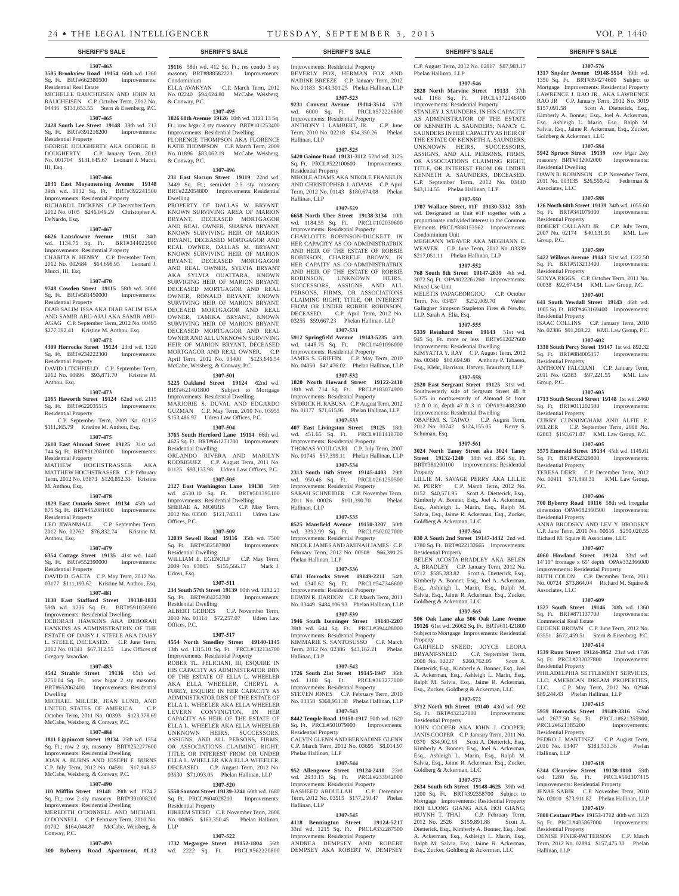#### **1307-463 3505 Brookview Road 19154** 66th wd. 1360<br>Sq. Ft. BRT#662380500 Improvements: Sq. Ft. BRT#662380500 Residential Real Estate

MICHELLE RAUCHEISEN AND JOHN M. RAUCHEISEN C.P. October Term, 2012 No. 04436 \$133,853.55 Stern & Eisenberg, P.C.

#### **1307-465**

**2428 South Lee Street 19148** 39th wd. 713 Sq. Ft. BRT#391216200 Improvements: Residential Property

GEORGE DOUGHERTY AKA GEORGE B. DOUGHERTY C.P. January Term, 2013 No. 001704 \$131,645.67 Leonard J. Mucci, III, Esq.

#### **1307-466**

**2031 East Moyamensing Avenue 19148**  39th wd. 1032 Sq. Ft. BRT#392241500 Improvements: Residential Property RICHARD L. DICKENS C.P. December Term,

#### 2012 No. 0105 \$246,049.29 Christopher A. DeNardo, Esq.

#### **1307-467**

**6626 Lansdowne Avenue 19151** 34th wd. 1134.75 Sq. Ft. BRT#344022900 Improvements: Residential Property CHARITA N. HENRY C.P. December Term, 2012 No. 002684 \$64,698.95 Leonard J.

#### **1307-470**

Mucci, III, Esq.

**9748 Cowden Street 19115** 58th wd. 3000 Sq. Ft. BRT#581450000 Improvements: Residential Property DIAB SALIM ISSA AKA DIAB SALIM ISSA AND SAMIR ABU-AJAJ AKA SAMIR ABU-AGAG C.P. September Term, 2012 No. 00495 \$277,392.41 Kristine M. Anthou, Esq.

#### **1307-472**

**4309 Horrocks Street 19124** 23rd wd. 1320 Sq. Ft. BRT#234222300 Improvements: Residential Property DAVID LITCHFIELD C.P. September Term, 2012 No. 00996 \$93,871.70 Kristine M.

## Anthou, Esq. **1307-473**

**2165 Haworth Street 19124** 62nd wd. 2115 Sq. Ft. BRT#622035515 Improvements: Residential Property

 C.P. September Term, 2009 No. 02137 \$111,365.79 Kristine M. Anthou, Esq.

#### **1307-475**

**2610 East Almond Street 19125** 31st wd. 744 Sq. Ft. BRT#312081000 Improvements: Residential Property<br>MATHEW HO

HOCHSTRASSER AKA MATTHEW HOCHSTRASSER C.P. February Term, 2012 No. 03873 \$120,852.33 Kristine M. Anthou, Esq.

#### **1307-478**

**1829 East Ontario Street 19134** 45th wd. 875 Sq. Ft. BRT#452081000 Improvements: Residential Property LEO JIWANMALL C.P. September Term,

2012 No. 02762 \$76,832.74 Kristine M. Anthou, Esq.

## **1307-479**

**6354 Cottage Street 19135** 41st wd. 1440 Sq. Ft. BRT#552390000 Improvements: Residential Property

DAVID D. GAETA C.P. May Term, 2012 No. 03177 \$111,193.62 Kristine M. Anthou, Esq.

#### **1307-481 1138 East Stafford Street 19138-1831**

59th wd. 1236 Sq. Ft. BRT#591036900 Improvements: Residential Dwelling DEBORAH HAWKINS AKA DEBORAH HANKINS AS ADMINISTRATRIX OF THE ESTATE OF DAISY J. STEELE AKA DAISY L. STEELE, DECEASED. C.P. June Term, 2012 No. 01341 \$67,312.55 Law Offices of Gregory Javardian

#### **1307-483**

**4542 Strahle Street 19136** 65th wd. 2751.04 Sq. Ft.; row b/gar 2 sty masonry BRT#652062400 Improvements: Residential Dwelling

MICHAEL MILLER, JEAN LUND, AND UNITED STATES OF AMERICA C.P. October Term, 2011 No. 00393 \$123,378.69 McCabe, Weisberg, & Conway, P.C.

#### **1307-484**

**1811 Lippincott Street 19134** 25th wd. 1554 Sq. Ft.; row 2 sty, masonry BRT#252277600 Improvements: Residential Dwelling JOAN A. BURNS AND JOSEPH F. BURNS C.P. July Term, 2012 No. 04591 \$17,948.57 McCabe, Weisberg, & Conway, P.C.

## **1307-490**

Conway, P.C.

**110 Mifflin Street 19148** 39th wd. 1924.2 Sq. Ft.; row 2 sty masonry BRT#391008200 Improvements: Residential Dwelling MEREDITH O'DONNELL AND MICHAEL O'DONNELL C.P. February Term, 2010 No.

## 01702 \$164,044.87 McCabe, Weisberg, & **1307-493**

**300 Byberry Road Apartment, #L12**  wd. 2222 Sq. Ft. PRCL#562220800

**19116** 58th wd. 412 Sq. Ft.; res condo 3 sty masonry BRT#888582223 Improvements: Condominium ELLA AVAKYAN C.P. March Term, 2012 No. 02240 \$94,024.80 McCabe, Weisberg,

## & Conway, P.C. **1307-495**

**1826 68th Avenue 19126** 10th wd. 3121.13 Sq. Ft.; row b/gar 2 sty masonry BRT#101253400 Improvements: Residential Dwelling

FLORENCE THOMPSON AKA FLORENCE KATIE THOMPSON C.P. March Term, 2009 No. 01896 \$83,062.19 McCabe, Weisberg, & Conway, P.C.

## **1307-496**

**231 East Slocum Street 19119** 22nd wd. 3449 Sq. Ft.; semi/det 2.5 sty masonry BRT#222054800 Improvements: Residential Dwelling PROPERTY OF DALLAS W. BRYANT, KNOWN SURVIVING AREA OF MARION BRYANT, DECEASED MORTGAGOR

AND REAL OWNER, SHARNA BRYANT, KNOWN SURVIVING HEIR OF MARION BRYANT, DECEASED MORTGAGOR AND REAL OWNER, DALLAS M. BRYANT, KNOWN SURVIVING HEIR OF MARION BRYANT, DECEASED MORTGAGOR AND REAL OWNER, SYLVIA BRYANT AKA SYLVIA OUATTARA, KNOWN SURVIGING HEIR OF MARION BRYANT, DECEASED MORTGAGOR AND REAL OWNER, RONALD BRYANT, KNOWN SURVIVING HEIR OF MARION BRYANT, DECEAED MORTGAGOR AND REAL OWNER, TAMIKA BRYANT, KNOWN SURVIVING HEIR OF MARION BRYANT, DECEASED MORTGAGOR AND REAL OWNER AND ALL UNKNOWN SURVIVING HEIR OF MARION BRYANT, DECEASED MORTGAGOR AND REAL OWNER. C.P. April Term, 2012 No. 03400 \$123,646.54 McCabe, Weisberg, & Conway, P.C.

#### **1307-501**

**5225 Oakland Street 19124** 62nd wd. BRT#621401800 Subject to Mortgage Improvements: Residential Dwelling MARJORIE S. DUVAL AND EDGARDO GUZMAN C.P. May Term, 2010 No. 03955 \$153,486.97 Udren Law Offices, P.C.

#### **1307-504**

**3765 South Hereford Lane 19114** 66th wd. 4625 Sq. Ft. BRT#661271700 Improvements: Residential Dwelling

ORLANDO RIVERA AND MARILYN RODRIGUEZ C.P. August Term, 2011 No. 01125 \$93,133.98 Udren Law Offices, P.C. **1307-505**

## **2127 East Washington Lane 19138** 50th

wd. 4530.10 Sq. Ft. BRT#501395100 Improvements: Residential Dwelling SHERAE A. MORRIS C.P. May Term, 2012 No. 03500 \$121,743.11 Udren Law Offices, P.C.

#### **1307-509**

**12039 Sewell Road 19116** 35th wd. 7500 Sq. Ft. BRT#582587800 Residential Dwelling WILLIAM E. EGENOLF C.P. May Term, 2009 No. 03805 \$155,566.17 Mark J. Udren, Esq.

**1307-511**

#### **234 South 57th Street 19139** 60th wd. 1282.23 <br>Sq. Ft. BRT#604252700 Improvements: Sq. Ft. BRT#604252700

Residential Dwelling ALBERT GEDDES C.P. November Term, 2010 No. 03114 \$72,257.07 Udren Law Offices, P.C.

## **1307-517**

**4554 North Smedley Street 19140-1145**  13th wd. 1315.10 Sq. Ft. PRCL#132134700 Improvements: Residential Property

ROBER TL. FELICIANI, III, ESQUIRE IN HIS CAPACITY AS ADMINISTRATOR DBN OF THE ESTATE OF ELLA L. WHEELER AKA ELLA WHEELER, CHERYL A. FUREY, ESQUIRE IN HER CAPACITY AS ADMINISTRATOR DBN OF THE ESTATE OF ELLA L. WHEELER AKA ELLA WHEELER LEVERN CONVINGTON, IN HER CAPACITY AS HEIR OF THE ESTATE OF ELLA L. WHEELER AKA ELLA WHEELER UNKNOWN HEIRS, SUCCESSORS, ASSIGNS, AND ALL PERSONS, FIRMS, ASSOCIATIONS CLAIMING RIGHT, TITLE, OR INTEREST FROM OR UNDER ELLA L. WHELLER AKA ELLA WHEELER, DECEASED. C.P. August Term, 2012 No. 03530 \$71,093.05 Phelan Hallinan, LLP

## **1307-520**

**5550 Sansom Street 19139-3241** 60th wd. 1680 Sq. Ft. PRCL#604028200 Improvements: Residential Property HIKEEM STEED C.P. November Term, 2008 No. 00865 \$163,350.45 Phelan Hallinan,

LLP

**1307-522 1732 Megargee Street 19152-1804** 56th

## **SHERIFF'S SALE SHERIFF'S SALE SHERIFF'S SALE SHERIFF'S SALE SHERIFF'S SALE**

Improvements: Residential Property BEVERLY FOX, HERMAN FOX AND NADINE BREEZE C.P. January Term, 2012 No. 01183 \$143,301.25 Phelan Hallinan, LLP **1307-523**

#### **9231 Convent Avenue 19114-3514** 57th wd. 6000 Sq. Ft. PRCL#572226800 Improvements: Residential Property<br>ANTHONY L. LAMBERT, JR. C.P. June ANTHONY I. LAMBERT, JR.

Term, 2010 No. 02218 \$34,350.26 Phelan Hallinan, LLP **1307-525**

## **5420 Gainor Road 19131-3112** 52nd wd. 3125

Sq. Ft. PRCL#522100600 Improvements: Residential Property NIKOLE ADAMS AKA NIKOLE FRANKLIN AND CHRISTOPHER J. ADAMS C.P. April Term, 2012 No. 01143 \$180,674.08 Phelan

Hallinan, LLP **1307-529**

**6658 North Uber Street 19138-3134** 10th wd. 1184.55 Sq. Ft. PRCL#102030600 Improvements: Residential Property

CHARLOTTE ROBINSON-DUCKETT, IN HER CAPACITY AS CO-ADMINISTRATRIX AND HEIR OF THE ESTATE OF ROBBIE ROBINSON, CHARRELE BROWN, IN HER CAPAITY AS CO-ADMINISTRATRIX AND HEIR OF THE ESTATE OF ROBBIE ROBINSON, UNKNOWN HEIRS, SUCCESSORS, ASSIGNS, AND ALL PERSONS, FIRMS, OR ASSOCIATIONS CLAIMING RIGHT, TITLE, OR INTEREST FROM OR UNDER ROBBIE ROBINSON, DECEASED. C.P. April Term, 2012 No. 03255 \$59,667.23 Phelan Hallinan, LLP

## **1307-531**

**5912 Springfield Avenue 19143-5235** 40th wd. 1448.75 Sq. Ft. PRCL#401096000 Improvements: Residential Property JAMES S. GRIFFIN C.P. May Term, 2010 No. 04050 \$47,476.02 Phelan Hallinan, LLP

## **1307-532**

**1820 North Howard Street 19122-2410**  18th wd. 714 Sq. Ft. PRCL#183074900 Improvements: Residential Property SYDRICK H. RABUSA C.P. August Term, 2012 No. 01177 \$71,615.95 Phelan Hallinan, LLP

**1307-533**

**407 East Livingston Street 19125** 18th wd. 451.65 Sq. Ft. PRCL#181418700 Improvements: Residential Property THOMAS VOULGARI C.P. July Term, 2007

No. 01745 \$57,399.11 Phelan Hallinan, LLP **1307-534 2313 South 16th Street 19145-4403** 29th

wd. 950.46 Sq. Ft. PRCL#261250500 Improvements: Residential Property SARAH SCHNEIDER C.P. November Term,<br>2011 No. 00026 \$101,390.70 Phelan 2011 No. 00026 \$101,390.70 Hallinan, LLP

#### **1307-535**

**8525 Mansfield Avenue 19150-3207** 50th wd. 3392.99 Sq. Ft. PRCL#502027000 Improvements: Residential Property NICOLE JAMES AND AMINAH JAMES C.P. February Term, 2012 No. 00508 \$66,390.25 Phelan Hallinan, LLP

### **1307-536**

**6741 Horrocks Street 19149-2211** 54th wd. 1340.62 Sq. Ft. PRCL#542346600 Improvements: Residential Property EDWIN R. DARDON C.P. March Term, 2011 No. 03449 \$484,106.93 Phelan Hallinan, LLP

**1307-539 1946 South Iseminger Street 19148-2207**  39th wd. 644 Sq. Ft. PRCL#394408000 Improvements: Residential Property KIMMARIE S. SANTOSUSSO C.P. March Term, 2012 No. 02386 \$43,162.21 Phelan Hallinan, LLP

#### **1307-542**

**1726 South 21st Street 19145-1947** 36th wd. 1188 Sq. Ft. PRCL#363277000 Improvements: Residential Property STEVEN JONES C.P. February Term, 2010 No. 03358 \$368,951.38 Phelan Hallinan, LLP

## **1307-543**

**8442 Temple Road 19150-1917** 50th wd. 1620 Sq. Ft. PRCL#501079900 Improvements: Residential Property CALVIN GLENN AND BERNADINE GLENN

#### March Term, 2012 No. 03695 Phelan Hallinan, LLP

**1307-544 952 Allengrove Street 19124-2410** 23rd wd. 2933.15 Sq. Ft. PRCL#233042000 Improvements: Residential Property<br>RASHEED ABDULLAH C.P. December RASHEED ABDULLAH Term, 2012 No. 03515 \$157,250.47 Phelan

#### **1307-545**

Hallinan, LLP

**4118 Bennington Street 19124-5217**  33rd wd. 1215 Sq. Ft. PRCL#332287500 Improvements: Residential Property ANDREA DEMPSEY AND ROBERT DEMPSEY AKA ROBERT W. DEMPSEY

C.P. August Term, 2012 No. 02817 \$87,983.17 Phelan Hallinan, LLP

**1307-576 1317 Snyder Avenue 19148-5514** 39th wd. 1350 Sq. Ft. BRT#394274600 Subject to Mortgage Improvements: Residential Property LAWRENCE J. RAO JR., AKA LAWRENCE RAO JR C.P. January Term, 2012 No. 3019 \$157,091.58 Scott A. Dietterick, Esq., Kimberly A. Bonner, Esq., Joel A. Ackerman, Esq., Ashleigh L. Marin, Esq., Ralph M. Salvia, Esq., Jaime R. Ackerman, Esq., Zucker,

**1307-584 5942 Spruce Street 19139** row b/gar 2sty masonry BRT#032002000 Improvements:

DAWN R. ROBINSON C.P. November Term, 2011 No. 003135 \$26,550.42 Federman &

**1307-588 126 North 60th Street 19139** 34th wd. 1055.60 Sq. Ft. BRT#341079300 Improvements:

ROBERT CALLAND JR C.P. July Term, 2007 No. 02174 \$40,131.91 KML Law

**1307-589 5422 Willows Avenue 19143** 51st wd. 1222.50

SONYA RIGGS C.P. October Term, 2011 No. 00038 \$92,674.94 KML Law Group, P.C. **1307-601 641 South Yewdall Street 19143** 46th wd. 1005 Sq. Ft. BRT#463169400 Improvements:

ISAAC COLLINS C.P. January Term, 2010 No. 02386 \$91,203.22 KML Law Group, P.C. **1307-602 1338 South Percy Street 19147** 1st wd. 892.32 Sq. Ft. BRT#884005357 Improvements:

ANTHONY FALCIANI C.P. January Term, 2011 No. 02383 \$97,221.55 KML Law

**1307-603 1713 South Second Street 19148** 1st wd. 2460 Sq. Ft. BRT#011202500 Improvements:

CURRY CUNNINGHAM AND ALFIE R. PELZER C.P. September Term, 2008 No. 02803 \$193,671.87 KML Law Group, P.C. **1307-605 3575 Emerald Street 19134** 45th wd. 1149.61 Sq. Ft. BRT#452329800 Improvements:

TERESA DERR C.P. December Term, 2012 No. 00911 \$71,899.31 KML Law Group,

**1307-606 700 Byberry Road 19116** 58th wd. Irregular dimension OPA#582360500 Improvements:

ANNA BRODSKY AND LEV Y. BRODSKY C.P. June Term, 2011 No. 00616 \$250,020.55 Richard M. Squire & Associates, LLC **1307-607 4060 Howland Street 19124** 33rd wd. 14'10" frontage x 65' depth OPA#332366000 Improvements: Residential Property RUTH COLON C.P. December Term, 2011 No. 00724 \$73,864.04 Richard M. Squire &

**1307-609 1527 South Street 19146** 30th wd. 1360 Sq. Ft. BRT#871137700 Improvements:

EUGENE BROWN C.P. June Term, 2012 No. 03551 \$672,459.51 Stern & Eisenberg, P.C. **1307-614 1539 Ruan Street 19124-3952** 23rd wd. 1746 Sq. Ft. PRCL#232027800 Improvements:

PHILADELPHIA SETTLEMENT SERVICES, LLC; AMERICAN DREAM PROPERTIES,<br>LLC C.P. May Term. 2012 No. 02946 C.P. May Term, 2012 No. 02946

PEDRO J. MARTINEZ C.P. August Term, 8183,533.36

**1307-618 6244 Clearview Street 19138-1010** 59th

DENISE PINER-PATTERSON C.P. March Term, 2012 No. 02894 \$157,475.30 Phelan

\$89,244.43 Phelan Hallinan, LLP **1307-615 5959 Horrocks Street 19149-3316** 62nd wd. 2677.50 Sq. Ft. PRCL1#621355900, PRCL2#621385200 Improvements:

Goldberg & Ackerman, LLC

Residential Dwelling

Associates, LLC

Residential Property

Sq. Ft. BRT#513213400 Residential Property

Residential Property

Residential Property

Residential Property

Residential Property

Residential Property

Associates, LLC

Commercial Real Estate

Residential Property

Residential Property

wd. 1280 Sq. Ft. Improvements: Residential Property JENAE SABIR C.P. November Term, 2010 No. 02010 \$73,911.82 Phelan Hallinan, LLP **1307-619 7808 Centaur Place 19153-1712** 40th wd. 3123 Sq. Ft. PRCL#405867000 Improvements:

Residential Property

Hallinan, LLP

Hallinan, LLP

P.C.

Group, P.C.

 $G$ roup,  $PC$ .

#### **1307-546 2828 North Marvine Street 19133** 37th

wd. 1168 Sq. Ft. PRCL#372246400 Improvements: Residential Property STANLEY J. SAUNDERS, IN HIS CAPACITY AS ADMINISTRATOR OF THE ESTATE OF KENNETH A. SAUNDERS; NANCY C. SAUNDERS IN HER CAPACITY AS HEIR OF THE ESTATE OF KENNETH A. SAUNDERS; UNKNOWN HEIRS, SUCCESSORS, ASSIGNS, AND ALL PERSONS, FIRMS, OR ASSOCIATIONS CLAIMING RIGHT. TITLE, OR INTEREST FROM OR UNDER KENNETH A. SAUNDERS, DECEASED. C.P. September Term, 2012 No. 03440 \$43,114.55 Phelan Hallinan, LLP

## **1307-550 1707 Wallace Street, #1F 19130-3312** 88th

Condominium Unit

Mixed Use Unit

Schuman, Esq.

Property

LLP, Sarah A. Elia, Esq.

wd. Designated as Unit #1F together with a proportionate undivided interest in the Common Elements. PRCL#888153562 Improvements:

MEGHANN WEAVER AKA MEGHANN E. WEAVER C.P. June Term, 2012 No. 03339 \$217,051.11 Phelan Hallinan, LLP **1307-552 768 South 8th Street 19147-2839** 4th wd. 3072 Sq. Ft. OPA#022261260 Improvements:

MELETIS PAPAGEORGIOU C.P. October<br>Term. No. 03457 \$252,009.70 Weber Term, No. 03457 \$252,009.70 Gallagher Simpson Stapleton Fires & Newby,

**1307-555 5339 Reinhard Street 19143** 51st wd. 945 Sq. Ft. more or less BRT#512027600 Improvements: Residential Dwelling KIMYATTA Y. RAY C.P. August Term, 2012 No. 00340 \$60,694.98 Anthony P. Tabasso, Esq., Klehr, Harrison, Harvey, Branzburg LLP **1307-558 2520 East Sergeant Street 19125** 31st wd. Southwesterly side of Sergeant Street 48 ft 5.375 in northwesterly of Almond St front 12 ft 0 in, depth 47 ft 3 in OPA#314082300 Improvements: Residential Dwelling OBAFEMI S. TAIWO C.P. August Term, 2012 No. 00742 \$124,155.05 Kerry S.

**1307-561 3024 North Taney Street aka 3024 Taney Street 19132-1240** 38th wd. 856 Sq. Ft. BRT#381200100 Improvements: Residential

LILLIE M. SAVAGE PERRY AKA LILLIE M. PERRY C.P. March Term, 2012 No. 0152 \$40,571.95 Scott A. Dietterick, Esq., Kimberly A. Bonner, Esq., Joel A. Ackerman, Esq., Ashleigh L. Marin, Esq., Ralph M. Salvia, Esq., Jaime R. Ackerman, Esq., Zucker,

**1307-564 830 A South 2nd Street 19147-3432** 2nd wd. 1780 Sq. Ft. BRT#022132665 Improvements:

BELEN ACOSTA-BRADLEY AKA BELEN A. BRADLEY C.P. January Term, 2012 No. 0712 \$585,283.82 Scott A. Dietterick, Esq., Kimberly A. Bonner, Esq., Joel A. Ackerman, Esq., Ashleigh L. Marin, Esq., Ralph M. Salvia, Esq., Jaime R. Ackerman, Esq., Zucker,

**1307-565 506 Oak Lane aka 506 Oak Lane Avenue 19126** 61st wd. 26062 Sq. Ft. BRT#611421800 Subject to Mortgage Improvements: Residential

GARFIELD SNEED; JOYCE LEORA BRYANT-SNEED C.P. September Term, 2008 No. 02227 \$260,762.05 Scott A Dietterick, Esq., Kimberly A. Bonner, Esq., Joel A. Ackerman, Esq., Ashleigh L. Marin, Esq., Ralph M. Salvia, Esq., Jaime R. Ackerman, Esq., Zucker, Goldberg & Ackerman, LLC **1307-572 3712 North 9th Street 19140** 43rd wd. 992 Sq. Ft. BRT#432327000 Improvements:

JOHN COOPER AKA JOHN J. COOPER; JANIS COOPER C.P. January Term, 2011 No.<br>0370 \$34,902.18 Scott A. Dietterick, Esq.,

Kimberly A. Bonner, Esq., Joel A. Ackerman, Esq., Ashleigh L. Marin, Esq., Ralph M. Salvia, Esq., Jaime R. Ackerman, Esq., Zucker,

**1307-573 2634 South 6th Street 19148-4625** 39th wd. 1200 Sq. Ft. BRT#392358700 Subject to Mortgage Improvements: Residential Property HOI LUONG GIANG AKA HOI GIANG; HUYNH T. THAI C.P. February Term, 2012 No. 2526 \$159,891.88 Scott A. Dietterick, Esq., Kimberly A. Bonner, Esq., Joel A. Ackerman, Esq., Ashleigh L. Marin, Esq., Ralph M. Salvia, Esq., Jaime R. Ackerman, Esq., Zucker, Goldberg & Ackerman, LLC

Scott A. Dietterick, Esq.,

Goldberg & Ackerman, LLC

Goldberg & Ackerman, LLC

Residential Property

Property

Residential Property

Goldberg & Ackerman, LLC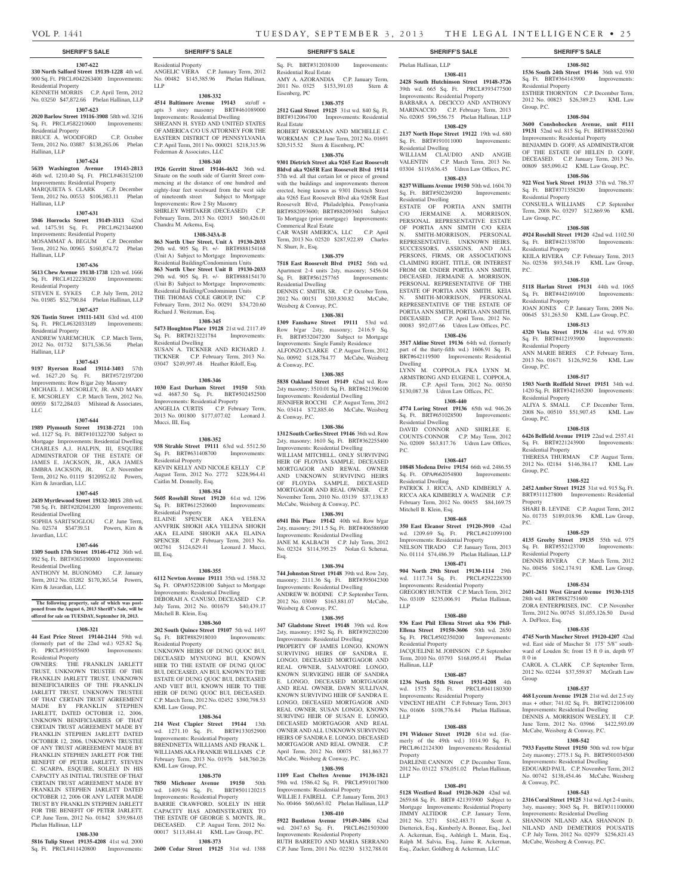#### **SHERIFF'S SALE SHERIFF'S SALE SHERIFF'S SALE SHERIFF'S SALE SHERIFF'S SALE**

### **1307-622**

#### **330 North Salford Street 19139-1228** 4th wd. 900 Sq. Ft. PRCL#042263400 Improvements: Residential Property

KENNETH MORRIS C.P. April Term, 2012 No. 03250 \$47,872.66 Phelan Hallinan, LLP

## **1307-623**

**2020 Barlow Street 19116-3908** 58th wd. 3216 Sq. Ft. PRCL#582210600 Improvements: Residential Property

BRUCE A. WOODFORD C.P. October Term, 2012 No. 03887 \$138,265.06 Phelan Hallinan, LLP

#### **1307-624**

**5639 Washington Avenue 19143-2813**  46th wd. 1210.40 Sq. Ft. PRCL#463152100

Improvements: Residential Property<br>MARQUIETA S. CLARK C.P. December MARQUIETA S. CLARK Term, 2012 No. 00553 \$106,983.11 Phelan Hallinan, LLP

#### **1307-631**

**5946 Horrocks Street 19149-3313** 62nd wd. 1475.91 Sq. Ft. PRCL#621344900 Improvements: Residential Property MOSAMMAT A. BEGUM C.P. December Term, 2012 No. 00965 \$160,874.72 Phelan Hallinan, LLP

#### **1307-636**

**5613 Chew Avenue 19138-1738** 12th wd. 1666 Sq. Ft. PRCL#122230200 Improvements: Residential Property

### STEVEN E. SYKES C.P. July Term, 2012 No. 01985 \$52,790.84 Phelan Hallinan, LLP

**1307-637**

**926 Tustin Street 19111-1431** 63rd wd. 4100 Sq. Ft. PRCL#632033189 Improvements: Residential Property

ANDREW YAREMCHUK C.P. March Term, 2012 No. 01732 \$171,536.56 Phelan Hallinan, LLP

#### **1307-643**

**9197 Ryerson Road 19114-3403** 57th wd. 1627.20 Sq. Ft. BRT#572197200 Improvements: Row B/gar 2sty Masonry MICHAEL J. MCSORLEY, JR. AND MARY E. MCSORLEY C.P. March Term, 2012 No. 00959 \$172,284.03 Milstead & Associates, LLC.

## **1307-644**

**1989 Plymouth Street 19138-2721** 10th wd. 1127 Sq. Ft. BRT#101322700 Subject to Mortgage Improvements: Residential Dwelling CHARLES A.J. HALPIN, III, ESQUIRE ADMINSTRATOR OF THE ESTATE OF JAMES E. JACKSON, JR., AKA JAMES EMBRA JACKSON, JR. C.P. November Term, 2012 No. 01119 \$120952.02 Powers, Kirn & Javardian, LLC

#### **1307-645**

**2439 Myrtlewood Street 19132-3015** 28th wd. 798 Sq. Ft. BRT#282041200 Improvements: Residential Dwelling SOPHIA SARITSOGLOU C.P. June Term,

No. 02574 \$54739.51 Powers, Kirn & Javardian, LLC

## **1307-646**

**1309 South 17th Street 19146-4712** 36th wd. 992 Sq. Ft. BRT#365190000 Improvements:

## Residential Dwelling

ANTHONY M. BUONOMO C.P. January Term, 2012 No. 03282 \$170,365.54 Powers, Kirn & Javardian, LLC

#### **The following property, sale of which was postponed from the August 6, 2013 Sheriff's Sale, will be offered for sale on TUESDAY, September 10, 2013.**

## **1308-321**

**44 East Price Street 19144-2144** 59th wd. (formerly part of the 22nd wd.) 925.82 Sq. Ft. PRCL#591055600 Improvements: Residential Property

OWNERS: THE FRANKLIN JARLETT TRUST, UNKNOWN TRUSTEE OF THE FRANKLIN JARLETT TRUST, UNKNOWN BENEIFICIAIRIES OF THE FRANKLIN JARLETT TRUST, UNKNOWN TRUSTEE OF THAT CERTAIN TRUST AGREEMENT MADE BY FRANKLIN STEPHEN JARLETT, DATED OCTOBER 12, 2006, UNKNOWN BENIFICIAIRIES OF THAT CERTAIN TRUST AGREEMENT MADE BY FRANKLIN STEPHEN JARLETT DATED OCTOBER 12, 2006, UNKNOWN TRUSTEE OF ANY TRUST AGREEEMENT MADE BY FRANKLIN STEPHEN JARLETT FOR THE BENEFIT OF PETER JARLETT, STEVEN C. SCARPA, ESQUIRE, SOLELY IN HIS CAPACITY AS INITIAL TRUSTEE OF THAT CERTAIN TRUST AGREEMENT MADE BY FRANKLIN STEPHEN JARLETT DATED OCTOBER 12, 2006 OR ANY LATER MADE TRUST BY FRANKLIN STEPHEN JARLETT FOR THE BENEFIT OF PETER JARLETT. C.P. June Term, 2012 No. 01842 \$39,984.03 Phelan Hallinan, LLP

#### **1308-330**

**5816 Tulip Street 19135-4208** 41st wd. 2000 Sq. Ft. PRCL#411420800 Improvements: Residential Property ANGELIC VIERA C.P. January Term, 2012 No. 00482 \$145,385.96 Phelan Hallinan, LLP

#### **1308-332**

**4514 Baltimore Avenue 19143** str/off + apts 3 story masonry BRT#461089000 Improvements: Residential Dwelling SHEZANN H. SYED AND UNITED STATES OF AMERICA C/O US ATTORNEY FOR THE EASTERN DISTRICT OF PENNSYLVANIA C.P. April Term, 2011 No. 000021 \$218,315.96 Federman & Associates, LLC

## **1308-340**

**1926 Gerritt Street 19146-4632** 36th wd. Situate on the south side of Garritt Street commencing at the distance of one hundred and eighty-four feet westward from the west side of nineteenth street Subject to Mortgage Improvements: Row 2 Sty Masonry SHIRLEY WHITAKER (DECEASED) C.P. February Term, 2013 No. 02013 \$60,426.01 Chandra M. Arkema, Esq.

#### **1308-343A-B**

**863 North Uber Street, Unit A 19130-2033**  29th wd. 905 Sq. Ft. +/- BRT#888154168 (Unit A) Subject to Mortgage Improvements: Residential Building/Condominium Units **863 North Uber Street Unit B 19130-2033**  29th wd. 905 Sq. Ft. +/- BRT#888154170 (Unit B) Subject to Mortgage Improvements: Residential Building/Condominium Units THE THOMAS COLE GROUP, INC C.P. February Term, 2012 No. 00291 \$34,720.60 Richard J. Weitzman, Esq.

#### **1308-345**

**5473 Houghton Place 19128** 21st wd. 2117.49 Sq. Ft. BRT#213221784 Improvements: Residential Dwelling SUSAN A. TICKNER AND RICHARD J. TICKNER C.P. February Term, 2013 No. 03047 \$249,997.48 Heather Riloff, Esq.

#### **1308-346**

**1030 East Durham Street 19150** 50th wd. 4687.50 Sq. Ft. BRT#502452500 Improvements: Residential Property ANGELIA CURTIS C.P. February Term, 2013 No. 001800 \$177,077.02 Leonard J. Mucci, III, Esq.

#### **1308-352**

**938 Strahle Street 19111** 63rd wd. 5512.50 Sq. Ft. BRT#631408700 Improvements: Residential Property KEVIN KELLY AND NICOLE KELLY C.P. August Term, 2012 No. 2772 \$228,964.41 Caitlin M. Donnelly, Esq.

#### **1308-354**

**5605 Rosehill Street 19120** 61st wd. 1296 Sq. Ft. BRT#612520600 Improvements: Residential Property ELAINE SPENCER AKA YELENA ANVFRIK SHOKH AKA YELENA SHOKH AKA ELAINE SHOKH AKA ELAINA SPENCER C.P. February Term, 2013 No. 002761 \$124,629.41 Leonard J. Mucci, III, Esq.

### **1308-355**

**6112 Newton Avenue 19111** 35th wd. 1588.32 Sq. Ft. OPA#352208100 Subject to Mortgage Improvements: Residential Dwelling DEBORAH A. CANUSO, DECEASED C.P. July Term, 2012 No. 001679 \$40,439.17 Mitchell B. Klein, Esq.

#### **1308-360**

**202 South Quince Street 19107** 5th wd. 1497 Sq. Ft. BRT#882918010 Improvements: Residential Property

UNKNOWN HEIRS OF DUNG QUOC BUI, DECEASED MYNUONG BUI, KNOWN HIER TO THE ESTATE OF DUNG QUOC BUI, DECEASED, AN BUI, KNOWN TO THE ESTATE OF DUNG QUOC BUI, DECEASED AND VIET BUI, KNOWN HEIR TO THE HEIR OF DUNG QUOC BUI, DECEASED. C.P. March Term, 2012 No. 02452 \$390,798.53 KML Law Group, P.C.

#### **1308-364**

**214 West Clapier Street 19144** 13th wd. 1271.10 Sq. Ft. BRT#133052900 Improvements: Residential Property

BRENDNETTA WILLIAMS AND FRA WILLIAMS AKA FRANKIE WILLIAMS C.P. February Term, 2013 No. 01976 \$48,760.26 KML Law Group, P.C.

## **1308-370**

**7850 Michener Avenue 19150** 50th wd. 1409.94 Sq. Ft. BRT#501120215 Improvements: Residential Property BARRIE CRAWFORD, SOLELY IN HER CAPACITY HAS ADMINSTRATRIX TO THE ESTATE OF GEORGE S. MONTS, JR. DECEASED. C.P. August Term, 2012 No. 00017 \$113,484.41 KML Law Group, P.C.

## **1308-373**

**2600 Cedar Street 19125** 31st wd. 1388

Sq. Ft. BRT#312038100 Improvements: Residential Real Estate AMY A. AZORANDIA C.P. January Term, 2011 No. 0325 \$153,391.03 Stern & Eisenberg, PC

#### **1308-375**

**2512 Gaul Street 19125** 31st wd. 840 Sq. Ft. BRT#312064700 Improvements: Residential Real Estate ROBERT WORKMAN AND MICHELLE C.

WORKMAN C.P. June Term, 2012 No. 01691 \$20,515.52 Stern & Eisenberg, PC **1308-376**

#### **9301 Dietrich Street aka 9265 East Roosevelt Bldvd aka 9265R East Roosevelt Blvd 19114**  57th wd. all that certain lot or piece of ground

with the buildings and improvements thereon erected, being known as 9301 Dietrich Street aka 9265 East Roosevelt Blvd aka 9265R East Roosevelt Blvd, Philadelphia, Pensylvania BRT#882093600; BRT#882093601 Subject To Mortgage (prior mortgage) Improvements: Commerical Real Estate CAR WASH AMERICA, LLC C.P. April Term, 2013 No. 02520 \$287,922.89 Charles

## **1308-379**

N. Shurr, Jr., Esq.

**7518 East Roosevelt Blvd 19152** 56th wd. Apartment 2-4 units 2sty, masonry; 5456.04 Sq. Ft. BRT#561257765 Improvements: Residential Dwelling

DENNIS C. SMITH, SR. C.P. October Term, 2012 No. 00151 \$203,830.82 McCabe,

#### Weisberg & Conway, P.C. **1308-381**

**1309 Fanshawe Street 19111** 53rd wd. Row b/gar 2sty, masonry; 2416.9 Sq. Ft. BRT#532047200 Subject to Mortgage Improvements: Single Family Residence ALFONZO CLARKE C.P. August Term, 2012 No. 00992 \$128,784.77 McCabe, Weisberg & Conway, P.C.

#### **1308-385**

**5838 Oakland Street 19149** 62nd wd. Row 2sty masonry; 3510.01 Sq. Ft. BRT#621396100 Improvements: Residential Dwelling JENNIFER ROCCHI C.P. August Term, 2012 No. 03414 \$72,885.46 McCabe, Weisberg & Conway, P.C.

### **1308-386**

**1312 South Corlies Street 19146** 36th wd. Row 2sty, masonry; 1610 Sq. Ft. BRT#362255400 Improvements: Residential Dwelling WILLIAM MITCHELL, ONLY SURVIVING HEIR OF FLOYDA SAMPLE, DECEASED MORTGAGOR AND REWAL OWNER AND UNKNOWN SURVIVING HEIRS OF FLOYDA SAMPLE, DECEASED MORTGAGOR AND REAL OWNER. C.P. November Term, 2010 No. 03139 \$37,138.83 McCabe, Weisberg & Conway, P.C.

#### **1308-391**

**6941 Ibis Place 19142** 40th wd. Row b/gar 2sty, masonry; 2911.5 Sq. Ft. BRT#406586900 Improvements: Residential Dwelling JANE M. KALBACH C.P. July Term, 2012 No. 02324 \$114,395.25 Nolan G. Schenai, Esq.

### **1308-394**

**744 Johnston Street 19148** 39th wd. Row 2sty, masonry; 2111.36 Sq. Ft. BRT#395042300 Improvements: Residential Dwelling ANDREW W. BODINE C.P. September Term, 2012 No. 03049 \$163,881.07 McCabe, Weisberg & Conway, P.C.

#### **1308-395**

**347 Gladstone Street 19148** 39th wd. Row 2sty, masonry; 1592 Sq. Ft. BRT#392202200 Improvements: Residential Dwelling

PROPERTY OF JAMES LONGO, KNOWN SURVIVING HEIRS OF SANDRA E. LONGO, DECEASED MORTGAGOR AND REAL OWNER, SALVATORE LONGO, KNOWN SURVIGING HEIR OF SANDRA E. LONGO, DECEASED MORTGAGOR AND REAL OWNER, DAWN SULLIVAN, KNOWN SURVIVING HEIR OF SANDRA E. LONGO, DECEASED MORTGAGOR AND REAL OWNER, SUSAN LONGO, KNOWN SURIVING HEIR OF SUSAN E. LONGO, DECEASED MORTGAGOR AND REAL OWNER AND ALL UNKNOWN SURVIVING HEIRS OF SANDRA E. LONGO, DECEASED MORTGAGOR AND REAL OWNER. C.P. April Term, 2012 No. 00075 \$81,863.77 McCabe, Weisberg & Conway, P.C.

#### **1308-398**

**1109 East Chelten Avenue 19138-1821**  59th wd. 1586.42 Sq. Ft. PRCL#591017800 Improvements: Residential Property WILLIE J. FAIRELL C.P. January Term, 2013 No. 00466 \$60,663.02 Phelan Hallinan, LLP

#### **1308-410**

**5922 Bustleton Avenue 19149-3406** 62nd wd. 2047.63 Sq. Ft. PRCL#621503000 Improvements: Residential Property RUTH BARRETO AND MARIA SERRANO C.P. June Term, 2011 No. 02230 \$132,788.01

Phelan Hallinan, LLP

**1308-411 2428 South Hutchinson Street 19148-3726**  39th wd. 665 Sq. Ft. PRCL#393477500 Improvements: Residential Property BARBARA A. DECICCO AND ANTHONY MARINACCIO C.P. February Term, 2013 No. 02005 \$96,556.75 Phelan Hallinan, LLP

**1308-502 1536 South 24th Street 19146** 36th wd. 930 Sq. Ft. BRT#364143900 Improvements:

ESTHER THORNTON C.P. December Term, 2012 No. 00823 \$26,389.23 KML Law

**1308-504 3600 Conshohocken Avenue, unit #111 19131** 52nd wd. 815 Sq. Ft. BRT#888520360 Improvements: Residential Property BENJAMIN D. GOFF, AS ADMINISTRATOR OF THE ESTATE OF HELEN D. GOFF, DECEASED. C.P. January Term, 2013 No. 00809 \$85,090.42 KML Law Group, P.C. **1308-506 922 West York Street 19133** 37th wd. 786.37 Sq. Ft. BRT#371358200 Improvements:

CONSUELA WILLIAMS C.P. September Term, 2008 No. 03297 \$12,869.96 KML

**1308-508 4924 Rosehill Street 19120** 42nd wd. 1102.50 Sq. Ft. BRT#421338700 Improvements:

KEILA RIVERA C.P. February Term, 2013 No. 02536 \$93,548.19 KML Law Group,

**1308-510 5118 Harlan Street 19131** 44th wd. 1065 Sq. Ft. BRT#442169100 Improvements:

JOAN JONES C.P. January Term, 2008 No. 00645 \$31,263.50 KML Law Group, P.C. **1308-513 4320 Vista Street 19136** 41st wd. 979.80

ANN MARIE BERES C.P. February Term, 2013 No. 01671 \$126,592.56 KML Law

**1308-517 1503 North Redfield Street 19151** 34th wd. 1420 Sq. Ft. BRT#342165200 Improvements:

ALIYA S. SMALL C.P. December Term, 2008 No. 00510 \$51,907.45 KML Law

**1308-518 6426 Belfield Avenue 19119** 22nd wd. 2557.41 Sq. Ft. BRT#221243900 Improvements:

THERESA THURMAN C.P. August Term, 2012 No. 02184 \$146,384.17 KML Law

**1308-522 2452 Amber Street 19125** 31st wd. 915 Sq. Ft. BRT#311127800 Improvements: Residential

SHARI B. LEVINE C.P. August Term, 2012 No. 01735 \$189,018.96 KML Law Group,

**1308-529 4135 Greeby Street 19135** 55th wd. 975 Sq. Ft. BRT#552123700 Improvements:

DENNIS RIVERA C.P. March Term, 2012 No. 00456 \$162,174.91 KML Law Group,

**1308-534 2601-2611 West Girard Avenue 19130-1315** 

ZORA ENTERPRISES, INC. C.P. November Term, 2012 No. 00745 \$1,055,126.50 David

**1308-535 4745 North Mascher Street 19120-4207** 42nd wd. East side of Mascher St 175' 5/8" southward of Louden St; front 15 ft 0 in, depth 97

CAROL A. CLARK C.P. September Term, 2012 No. 02244 \$37,559.87 McGrath Law

**1308-537 468 Lyceum Avenue 19128** 21st wd. det 2.5 sty mas + other; 741.02 Sq. Ft. BRT#212106100 Improvements: Residential Dwelling DENNIS A. MORRISON WESLEY, II C.P. June Term, 2012 No. 03966 \$422,593.09 McCabe, Weisberg & Conway, P.C. **1308-542 7933 Fayette Street 19150** 50th wd. row b/gar 2sty masonry; 2775.1 Sq. Ft. BRT#501034500 Improvements: Residential Dwelling EDOUARD PAUL C.P. November Term, 2012 No. 00742 \$138,454.46 McCabe, Weisberg

**1308-543 2316 Coral Street 19125** 31st wd. Apt 2-4 units, 3sty, masonry; 3045 Sq. Ft. BRT#311100000 Improvements: Residential Dwelling SHANNON NILAND AKA SHANNON D. NILAND AND DEMETRIOS POUSATIS C.P. July Term, 2012 No. 02979 \$256,821.43 McCabe, Weisberg & Conway, P.C.

Residential Property

Residential Property

Residential Property

Residential Property

Group, P.C.

Group, P.C.

Group, P.C.

Property

P.C.

P.C.

ft 0 in

Group

& Conway, P.C.

Residential Property

Residential Property

Residential Property

A. DeFlece, Esq.

28th wd. BRT#882751600

Sq. Ft. BRT#412193900 Residential Property

P.C.

Law Group, P.C.

Group, P.C.

## **1308-429**

**2137 North Hope Street 19122** 19th wd. 680 Sq. Ft. BRT#191011000 Improvements: Residential Dwelling WILLIAM CLAUDIO AND ANGIE VALENTIN C.P. March Term, 2013 No. 03304 \$119,636.45 Udren Law Offices, P.C.

**1308-433 8237 Williams Avenue 19150** 50th wd. 1604.70

Sq. Ft. BRT#502269200 Improvements: Residential Dwelling ESTATE OF PORTIA ANN SMITH

C/O JERMAINE A. MORRISON, PERSONAL REPRESENTATIVE ESTATE OF PORTIA ANN SIMTH C/O KEIA N. SMITH-MORRISON, PERSONAL REPRESENTATIVE. UNKNOWN HEIRS, SUCCESSORS, ASSIGNS, AND ALL PERSONS, FIRMS, OR ASSOCIATIONS CLAIMING RIGHT, TITLE, OR INTEREST FROM OR UNDER PORTIA ANN SMITH, DECEASED. JERMAINE A. MORRISON, PERSONAL REPRESENTATIVE OF THE ESTATE OF PORTIA ANN SMITH. KEIA N. SMITH-MORRISON, PERSONAL REPRESENTATIVE OF THE ESTATE OF PORTIA ANN SMITH, PORTIA ANN SMITH, DECEASED. C.P. April Term, 2012 No. 00083 \$92,077.66 Udren Law Offices, P.C.

### **1308-436**

Residential Dwelling

Residential Dwelling

Mitchell B. Klein, Esq.

P.C.

LLP

Residential Property

Hallinan, LLP

LLP

Property

LLP

**3517 Aldine Street 19136** 64th wd. (formerly part of the thirty-fifth wd.) 1606.91 Sq. Ft. BRT#642119500 Improvements: Residential Dwelling LYNN M. COPPOLA FKA LYNN M.

ARMSTRONG AND EUGENE L. COPPOLA, JR. C.P. April Term, 2012 No. 00350 \$130,087.38 Udren Law Offices, P.C. **1308-440 4774 Loring Street 19136** 65th wd. 946.26 Sq. Ft. BRT#651028500 Improvements:

DAVID CONNOR AND SHIRLEE E. COUNTS-CONNOR C.P. May Term, 2012 No. 02009 \$63,817.76 Udren Law Offices,

**1308-447 10848 Modena Drive 19154** 66th wd. 2486.55 Sq. Ft. OPA#662054800 Improvements:

PATRICK J. RICCA, AND KIMBERLY A. RICCA AKA KIMBERLY A. WAGNER C.P. February Term, 2012 No. 00455 \$84,169.75

**1308-468 350 East Eleanor Street 19120-3910** 42nd wd. 1209.69 Sq. Ft. PRCL#421099100 Improvements: Residential Property NELSON TIRADO C.P. January Term, 2013 No. 01114 \$74,486.39 Phelan Hallinan, LLP **1308-471 904 North 29th Street 19130-1114** 29th wd. 1117.74 Sq. Ft. PRCL#292228300 Improvements: Residential Property GREGORY HUNTER C.P. March Term, 2012 No. 03109 \$235,006.91 Phelan Hallinan,

**1308-480 936 East Phil Ellena Street aka 936 Phil-Ellena Street 19150-3606** 50th wd. 2650 Sq. Ft. PRCL#502350200 Improvements:

JACQUELINE M. JOHNSON C.P. September Term, 2010 No. 03793 \$168,095.41 Phelan

**1308-487 1236 North 55th Street 1931-4208** 4th wd. 1575 Sq. Ft. PRCL#041180300 Improvements: Residential Property VINCENT HEATH C.P. February Term, 2013 No. 01606 \$108,776.84 Phelan Hallinan,

**1308-488 191 Widener Street 19120** 61st wd. (formerly of the 49th wd.) 1014.90 Sq. Ft. PRCL#612124300 Improvements: Residential

DARLENE CANNON C.P. December Term, 2012 No. 03122 \$78,051.02 Phelan Hallinan,

**1308-491 5128 Westford Road 19120-3620** 42nd wd. 2659.68 Sq. Ft. BRT# 421393900 Subject to Mortgage Improvements: Residential Property JIMMY ALTIDOR C.P. January Term, 2012 No. 3271 \$162,483.71 Scott A. Dietterick, Esq., Kimberly A. Bonner, Esq., Joel A. Ackerman, Esq., Ashleigh L. Marin, Esq., Ralph M. Salvia, Esq., Jaime R. Ackerman, Esq., Zucker, Goldberg & Ackerman, LLC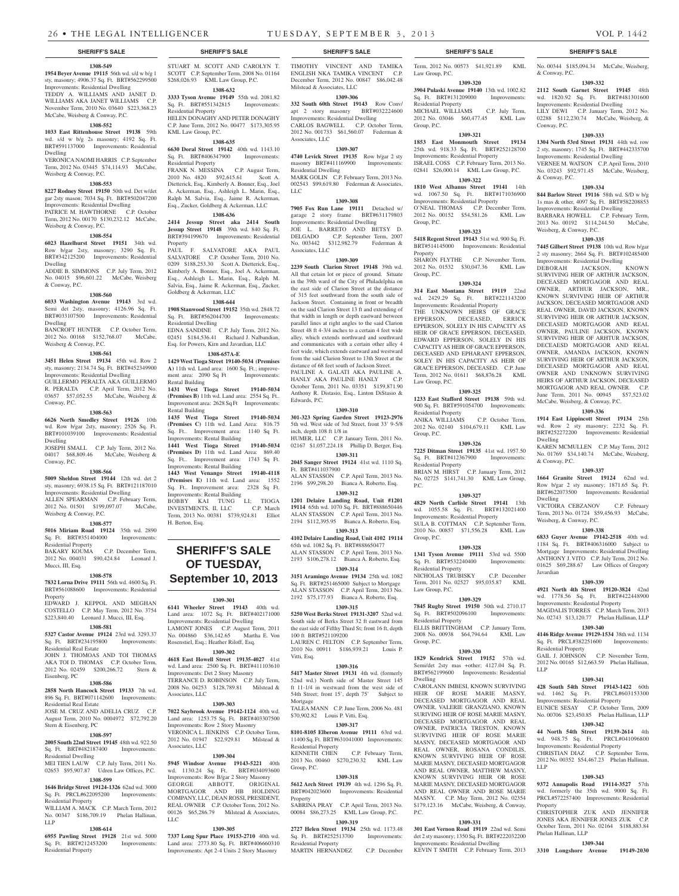**1308-549 1954 Beyer Avenue 19115** 56th wd. s/d w b/g 1 sty, masonry; 4906.37 Sq. Ft. BRT#562299500 Improvements: Residential Dwelling TEDDY A. WILLIAMS AND JANET D. WILLIAMS AKA JANET WILLIAMS C.P. November Term, 2010 No. 03640 \$223,368.23 McCabe, Weisberg & Conway, P.C.

#### **1308-552**

**1033 East Rittenhouse Street 19138** 59th wd. s/d w b/g 2s masonry; 4192 Sq. Ft. BRT#591137000 Improvements: Residential Dwelling

VERONICA NAOMI HARRIS C.P. September Term, 2012 No. 03445 \$74,114.93 McCabe, Weisberg & Conway, P.C.

#### **1308-553**

**8227 Rodney Street 19150** 50th wd. Det w/det gar 2sty mason; 7034 Sq. Ft. BRT#502047200 Improvements: Residential Dwelling PATRICE M. HAWTHORNE C.P. October Term, 2012 No. 00170 \$130,232.12 McCabe, Weisberg & Conway, P.C.

#### **1308-554**

**6023 Hazelhurst Street 19151** 34th wd. Row b/gar 2sty, masonry; 3290 Sq. Ft. BRT#342125200 Improvements: Residential Dwelling ADDIE B. SIMMONS C.P. July Term, 2012

No. 04015 \$96,601.22 McCabe, Weisberg & Conway, P.C.

#### **1308-560**

**6033 Washington Avenue 19143** 3rd wd. Semi det 2sty, masonry; 4126.96 Sq. Ft. BRT#033107500 Improvements: Residential Dwelling

BANCROFT HUNTER C.P. October Term, 2012 No. 00168 \$152,768.07 McCabe, Weisberg & Conway, P.C.

#### **1308-561**

**3451 Helen Street 19134** 45th wd. Row 2 sty, masonry; 2134.74 Sq. Ft. BRT#452349900 Improvements: Residential Dwelling GUILLERMO PERALTA AKA GUILLERMO R. PERALTA C.P. April Term, 2012 No. 03657 \$57,052.55 McCabe, Weisberg & Conway, P.C.

#### **1308-563**

**6626 North Smedley Street 19126** 10th wd. Row b/gar 2sty, masonry; 2526 Sq. Ft. BRT#101039100 Improvements: Residential Dwelling

JOSEPH SMALL C.P. July Term, 2012 No. 04017 \$68,809.46 McCabe, Weisberg & Conway, P.C.

## **1308-566**

**5009 Sheldon Street 19144** 12th wd. det 2 sty, masonry; 6938.15 Sq. Ft. BRT#121187010 Improvements: Residential Dwelling ALLEN SPEARMAN C.P. February Term,

2012 No. 01501 \$199,097.07 McCabe, Weisberg & Conway, P.C. **1308-577**

**5016 Miriam Road 19124** 35th wd. 2890 Sq. Ft. BRT#351404000 Improvements: Residential Property BAKARY KOUMA C.P. December Term,

2012 No. 004031 \$90,424.84 Leonard J. Mucci, III, Esq.

#### **1308-578**

**7832 Lorna Drive 19111** 56th wd. 4600 Sq. Ft. BRT#561088600 Improvements: Residential Property EDWARD J. KEPPOL AND MEGHAN

COSTELLO C.P. May Term, 2012 No. 3754 \$223,840.40 Leonard J. Mucci, III, Esq.

## **1308-581**

**5327 Castor Avenue 19124** 23rd wd. 3293.37 Sq. Ft. BRT#234195800 Improvements: Residential Real Estate JOHN J. THOMOAS AND TOI THOMAS AKA TOI D. THOMAS C.P. October Term,

2012 No. 02459 \$200,266.72 Stern & Eisenberg, PC **1308-586**

**2858 North Hancock Street 19133** 7th wd. 896 Sq. Ft. BRT#071142600 Improvements: Residential Real Estate JOSE M. CRUZ AND ADELIA CRUZ C.P.

August Term, 2010 No. 0004972 \$72,792.20 Stern & Eisenberg, PC

#### **1308-597**

**2005 South 22nd Street 19145** 48th wd. 922.50 Sq. Ft. BRT#482187400 Improvements: Residential Dwelling

MEI TIEN LAUW C.P. July Term, 2011 No. 02653 \$95,907.87 Udren Law Offices, P.C. **1308-599**

#### **1646 Bridge Street 19124-1326** 62nd wd. 3000 Sq. Ft. PRCL#622095200 Improvements:

esidential Property WILLIAM A. MACK C.P. March Term, 2012 No. 00347 \$186,709.19 Phelan Hallinan, LLP

#### **1308-614**

**6955 Pawling Street 19128** 21st wd. 5000 Sq. Ft. BRT#212453200 Improvements: Residential Property

STUART M. SCOTT AND CAROLYN T. SCOTT C.P. September Term, 2008 No. 01164 \$268,026.93 KML Law Group, P.C.

## **1308-632**

**3333 Tyson Avenue 19149** 55th wd. 2081.82 Sq. Ft. BRT#551342815 Improvements: Residential Property HELEN DONAGHY AND PETER DONAGHY C.P. June Term, 2012 No. 00477 \$173,305.95 KML Law Group, P.C.

#### **1308-635**

**6630 Doral Street 19142** 40th wd. 1143.10 Sq. Ft. BRT#406347900 Improvements: Residential Property

FRANK N. MESSINA C.P. August Term, 2010 No. 4820 \$92,615.61 Scott A. Dietterick, Esq., Kimberly A. Bonner, Esq., Joel A. Ackerman, Esq., Ashleigh L. Marin, Esq., Ralph M. Salvia, Esq., Jaime R. Ackerman, Esq., Zucker, Goldberg & Ackerman, LLC **1308-636**

**2414 Jessup Street aka 2414 South Jessup Street 19148** 39th wd. 840 Sq. Ft. BRT#394199670 Improvements: Residential Property

PAUL F. SALVATORE AKA PAUL SALVATORE C.P. October Term, 2010 No. 0209 \$188,253.30 Scott A. Dietterick, Esq., Kimberly A. Bonner, Esq., Joel A. Ackerman, Esq., Ashleigh L. Marin, Esq., Ralph M. Salvia, Esq., Jaime R. Ackerman, Esq., Zucker, Goldberg & Ackerman, LLC

#### **1308-644**

**1908 Stanwood Street 19152** 35th wd. 2848.72 Sq. Ft. BRT#562044700 Improvements: Residential Dwelling EDNA SANDINE C.P. July Term, 2012 No.

02451 \$184,536.41 Richard J. Nalbandian, Esq. for Powers, Kirn and Javardian, LLC **1308-657A-E**

**1429 West Tioga Street 19140-5034 (Premises A)** 11th wd. Land area: 1600 Sq. Ft.; improvement area: 2090 Sq Ft Improvements: Rental Building

**1431 West Tioga Street 19140-5034 (Premises B)** 11th wd. Land area: 2554 Sq. Ft.. Improvement area: 2628 Sq Ft Improvements: Rental Building

**1435 West Tioga Street 19140-5034 (Premises C)** 11th wd. Land Area: 816.75 Sq. Ft.. Improvement area: 1140 Sq Ft. Improvements: Rental Building **1441 West Tioga Street 19140-5034 (Premises D)** 11th wd. Land Area: 869.40 Sq. Ft.. Improvement area: 1743 Sq Ft. Improvements: Rental Building **1443 West Venango Street 19140-4118 (Premises E)** 11th wd. Land area: 1552 Sq. Ft.. Improvement area: 2328 Sq Ft. Improvements: Rental Building

BOBBY KAI TUNG LI; TIOGA<br>INVESTMENTS, II, LLC C.P. March INVESTMENTS, II, LLC Term, 2013 No. 00381 \$739,924.81 Elliot H. Berton, Esq.

# **SHERIFF'S SALE OF TUESDAY,**

# **September 10, 2013**

#### **1309-301**

**6141 Wheeler Street 19143** 40th wd. Land area: 1072 Sq. Ft. BRT#402171000 Improvements: Residential Dwelling LAMONT JONES C.P. August Term, 2011 No. 004860 \$36,142.65 Martha E. Von Rosenstiel, Esq.; Heather Riloff, Esq.

## **1309-302**

**4618 East Howell Street 19135-4027** 41st wd. Land area: 2500 Sq. Ft. BRT#411103610 Improvements: Det 2 Story Masonry TERRANCE D. ROBINSON C.P. July Term, 2008 No. 04253 \$128,789.81 Milstead & Associates, LLC

## **1309-303**

**7022 Saybrook Avenue 19142-1124** 40th wd. Land area: 1253.75 Sq. Ft. BRT#403307500 Improvements: Row 2 Story Masonry VERONICA L. JENKINS C.P. October Term, 2012 No. 01947 \$22,929.81 Milstead & Associates, LLC

#### **1309-304**

**5945 Windsor Avenue 19143-5221** 40th wd. 1130.24 Sq. Ft. BRT#034093600 Improvements: Row B/gar 2 Story Masonry GEORGE ABBOTT, ORIGINAL MORTGAGOR AND HB HOLDING COMPANY, LLC, DEAN ROSSI, PRESIDENT, REAL OWNER C.P. October Term, 2012 No. 00126 \$65,286.79 Milstead & Associates LLC

#### **1309-305**

**7337 Long Spur Place 19153-2710** 40th wd. Land area: 2773.80 Sq. Ft. BRT#406660310 Improvements: Apt 2-4 Units 2 Story Masonry

### **SHERIFF'S SALE SHERIFF'S SALE SHERIFF'S SALE SHERIFF'S SALE SHERIFF'S SALE**

TIMOTHY VINCENT AND TAMIKA ENGLISH NKA TAMIKA VINCENT C.P. December Term, 2012 No. 00847 \$86,042.48 Milstead & Associates, LLC **1309-306**

Term, 2012 No. 00573 \$41,921.89 KML

No. 00344 \$185,094.34 McCabe, Weisberg,

**1309-332 2112 South Garnet Street 19145** 48th wd. 1820.92 Sq. Ft. BRT#481301600 Improvements: Residential Dwelling LILY DEWI C.P. January Term, 2012 No. 02288 \$112,230.74 McCabe, Weisberg, &

**1309-333 1304 North 53rd Street 19131** 44th wd. row 2 sty, masonry; 1745 Sq. Ft. BRT#442335700 Improvements: Residential Dwelling VERNEE M. WATSON C.P. April Term, 2010 No. 03243 \$92,971.45 McCabe, Weisberg,

**1309-334 844 Barlow Street 19116** 58th wd. S/D w b/g 1s mas & other, 4097 Sq. Ft. BRT#582208853 Improvements: Residential Dwelling BARBARA HOWELL C.P. February Term, 2013 No. 00192 \$114,244.50 McCabe,

**1309-335 7445 Gilbert Street 19138** 10th wd. Row b/gar 2 sty masonry; 2664 Sq. Ft. BRT#102485400 Improvements: Residential Dwelling DEBORAH JACKSON, KNOWN SURVIVING HEIR OF ARTHUR JACKSON, DECEASED MORTGAGOR AND REAL OWNER, ARTHUR JACKSON, MR., KNOWN SURVIVING HEIR OF ARTHUR JACKSON, DECEASED MORTGAGOR AND REAL OWNER, DAVID JACKSON, KNOWN SURVIVING HEIR OR ARTHUR JACKSON, DECEASED MORTGAGOR AND REAL OWNER, PAULINE JACKSON, KNOWN SURVIVING HEIR OF ARHTUR JACKSON, DECEAESD MORTGAGOR AND REAL OWNER, AMANDA JACKSON, KNOWN SURVIVING HEIR OF ARTHUR JACKSON, DECEASED MORTGAGOR AND REAL OWNER AND UNKNOWN SURVIVING HEIRS OF ARTHUR JACKSON, DECEASED MORTGAGOR AND REAL OWNER. C.P. June Term, 2011 No. 00945 \$57,523.02 McCabe, Weisberg, & Conway, P.C. **1309-336 1914 East Lippincott Street 19134** 25th wd. Row 2 sty masonry; 2232 Sq. Ft. BRT#252272200 Improvements: Residential

KAREN MCMULLEN C.P. May Term, 2012 No. 01769 \$34,140.74 McCabe, Weisberg,

**1309-337 1664 Granite Street 19124** 62nd wd. Row b/gar 2 sty masonry; 1871.65 Sq. Ft. BRT#622073500 Improvements: Residential

VICTOIRA CEBZANOV C.P. February Term, 2013 No. 01724 \$59,456.93 McCabe,

**1309-338 6833 Guyer Avenue 19142-2518** 40th wd. 1184 Sq. Ft. BRT#406316000 Subject to Mortgage Improvements: Residential Dwelling ANTHONY J. VITO C.P. July Term, 2012 No. 01625 \$69,288.67 Law Offices of Gregory

**1309-339 4921 North 4th Street 19120-3824** 42nd wd. 1778.56 Sq. Ft. BRT#422448900 Improvements: Residential Property MAGDALIS TORRES C.P. March Term, 2013 No. 02743 \$13,120.77 Phelan Hallinan, LLP **1309-340 4146 Ridge Avenue 19129-1534** 38th wd. 1134 Sq. Ft. PRCL#382251600 Improvements:

GAIL J. JOHNSON C.P. November Term, 2012 No. 00165 \$12,663.59 Phelan Hallinan,

**1309-341 428 South 54th Street 19143-1422** 60th wd. 1462 Sq. Ft. PRCL#603153300 Improvements: Residential Property EUNICE SESAY C.P. October Term, 2009 No. 00706 \$23,450.85 Phelan Hallinan, LLP **1309-342 44 North 54th Street 19139-2614** 4th

**1309-343 9372 Annapolis Road 19114-3527** 57th wd. formerly the 35th wd. 9000 Sq. Ft. PRCL#572257400 Improvements: Residential

CHRISTOPHER ZUK AND JENNIFER JONES AKA JENNIFER JONES ZUK C.P. October Term, 2011 No. 02164 \$188,883.84

**1309-344 3310 Longshore Avenue 19149-2030** 

& Conway, P.C.

Conway, P.C.

& Conway, P.C.

Dwelling

Dwelling

Javardian

Residential Property

wd. 948.75 Sq. Ft. Improvements: Residential Property CHRISTIAN DIAZ C.P. September Term, 2012 No. 00352 \$54,467.23 Phelan Hallinan,

Phelan Hallinan, LLP

LLP

LLP

Property

& Conway, P.C.

Weisberg, & Conway, P.C.

Weisberg, & Conway, P.C.

**1309-320 3904 Pulaski Avenue 19140** 13th wd. 1002.82 Sq. Ft. BRT#131209000 Improvements:

MICHAEL WILLIAMS C.P. July Term, 2012 No. 03046 \$60,477.45 KML Law

**1309-321 1853 East Monmouth Street 19134**  25th wd. 918.33 Sq. Ft. BRT#252128700 Improvements: Residential Property ISRAEL COSS C.P. February Term, 2013 No. 02841 \$26,000.14 KML Law Group, P.C. **1309-322 1810 West Albanus Street 19141** 14th wd. 1067.50 Sq. Ft. BRT#171036900 Improvements: Residential Property O'NEAL THOMAS C.P. December Term, 2012 No. 00152 \$54,581.26 KML Law

**1309-323 5418 Regent Street 19143** 51st wd. 900 Sq. Ft. BRT#514145000 Improvements: Residential

SHARON FLYTHE C.P. November Term, 2012 No. 01532 \$30,047.36 KML Law

**1309-324 314 East Montana Street 19119** 22nd wd. 2429.29 Sq. Ft. BRT#221143200 Improvements: Residential Property THE UNKNOWN HEIRS OF GRACE EPPERSON, DECEASED, ERRICK EPPERSON, SOLELY IN HIS CAPACITY AS HEIR OF GRACE EPPERSON, DECEASED EDWARD EPPERSON, SOLELY IN HIS CAPACITY AS HEIR OF GRACE EPPERSON, DECEASED AND EPHARANT EPPERSON, SOLEY IN HIS CAPACITY AS HEIR OF GRACE EPPERSON, DECEASED. C.P. June Term, 2012 No. 01611 \$68,876.28 KML

**1309-325 1233 East Stafford Street 19138** 59th wd. 900 Sq. Ft. BRT#591054700 Improvements:

ANIKA WILLIAMS C.P. October Term, 2012 No. 02140 \$104,679.11 KML Law

**1309-326 7225 Ditman Street 19135** 41st wd. 1957.50 Sq. Ft. BRT#412367900 Improvements:

BRIAN M. HIRST C.P. January Term, 2012 No. 02725 \$141,741.30 KML Law Group,

**1309-327 4829 North Carlisle Street 19141** 13th wd. 1055.58 Sq. Ft. BRT#132021400 Improvements: Residential Property SULA B. COTTMAN C.P. September Term, 2010 No. 00857 \$71,556.28 KML Law

**1309-328 1341 Tyson Avenue 19111** 53rd wd. 5500 Sq. Ft. BRT#532240400 Improvements:

NICHOLAS TRUBISKY C.P. December Term, 2011 No. 02527 \$95,035.87 KML

**1309-329 7845 Rugby Street 19150** 50th wd. 2710.17 Sq. Ft. BRT#502096100 Improvements:

ELLIS BRITTINGHAM C.P. January Term, 2008 No. 00938 \$64,794.64 KML Law

**1309-330 1829 Kendrick Street 19152** 57th wd. Semi/det 2sty mas +other; 4127.04 Sq. Ft. BRT#562199600 Improvements: Residential

CAROLANN IMBESI, KNOWN SURVIVING HEIR OF ROSE MARIE MASNY, DECEASED MORTGAGOR AND REAL OWNER, VALERIE GRANZIANO, KNOWN SURIVING HEIR OF ROSE MARIE MASNY, DECEASED MORTGAGOR AND REAL OWNER, PATRICIA TRESTON, KNOWN SURVIVING HEIR OF ROSE MARIE MASNY, DECEASED MORTGAGOR AND REAL OWNER, ROSANA CONDILIS, KNOWN SURVIVING HEIR OF ROSE MARIE MASNY, DECEASED MORTGAGOR AND REAL OWNER, MATTHEW MASNY KNOWN SURVIVING HEIR OR ROSE MARIE MASNY, DECEASED MORTGAGOR AND REAL OWNER AND ROSE MARIE MASNY. C.P. May Term, 2012 No. 02354 \$179,123.16 McCabe, Weisberg, & Conway,

**1309-331 301 East Vernon Road 19119** 22nd wd. Semi det 2 sty masonry; 1350 Sq. Ft. BRT#222032200 Improvements: Residential Dwelling KEVIN T SMITH C.P. February Term, 2013

Law Group, P.C.

Residential Property

Group, P.C.

Group, P.C.

Property

Group, P.C.

Law Group, P.C.

Residential Property

Residential Property

Group, P.C.

P.C.

Group, P.C.

Residential Property

Law Group, P.C.

Residential Property

Group, P.C.

Dwelling

P.C.

**332 South 60th Street 19143** Row Conv/ apt 2 story masonry BRT#032224600 Improvements: Residential Dwelling CARLOS BAGWELL C.P. October Term, 2012 No. 001733 \$61,560.07 Federman & Associates, LLC

### **1309-307**

**4740 Levick Street 19135** Row b/gar 2 sty masonry BRT#411169900 Improvements: Residential Dwelling MARK GOLIN C.P. February Term, 2013 No. 002543 \$99,619.80 Federman & Associates, LLC

## **1309-308**

**7905 Fox Run Lane 19111** Detached w/ garage 2 story frame BRT#631179803

Improvements: Residential Dwelling JOE L. BARRETO AND BETSY D. DELGADO C.P. September Term, 2007 No. 003442 \$312,982.79 Federman & Associates, LLC

#### **1309-309**

**2239 South Clarion Street 19148** 39th wd. All that cetain lot or piece of ground. Situate in the 39th ward of the City of Philadelphia on the east side of Clarion Street at the distance of 315 feet southward from the south side of Jackson Street. Containing in front or breadth on the said Clarion Street 13 ft and extending of that width in length or depth eastward between parallel lines at right angles to the said Clarion Street 48 ft 4-3/4 inches to a certain 4 feet wide alley, which extends northward and southward and communicates with a certain other alley 4 feet wide, which extends eastward and westward from the said Clarion Street to 13th Street at the distance of 68 feet south of Jackson Street.

PAULINE A. GALATI AKA PAULINE A. HANLY AKA PAULINE HANLY C.P. October Term, 2011 No. 03351 \$159,871.90 Anthony R. Distasio, Esq., Linton DiStasio & Edwards, P.C.

## **1309-310**

**301-323 Spring Garden Street 19123-2976**  5th wd. West side of 3rd Street, front 33' 9-5/8 inch, depth 108 ft 1/8 in HUMER, LLC C.P. January Term, 2011 No. 02167 \$1,057,224.18 Phillip D. Berger, Esq.

**1309-311 2045 Sanger Street 19124** 41st wd. 1110 Sq.

Ft. BRT#411037900 ALAN STASSON C.P. April Term, 2013 No. 2196 \$99,298.20 Bianca A. Roberto, Esq.

**1309-312 1201 Delaire Landing Road, Unit #1201** 

**19114** 65th wd. 1070 Sq. Ft. BRT#888650446 ALAN STASSON C.P. April Term, 2013 No. 2194 \$112,395.95 Bianca A. Roberto, Esq. **1309-313**

**4102 Delaire Landing Road, Unit 4102 19114**  65th wd. 1082 Sq. Ft. BRT#888650477 ALAN STASSON C.P. April Term, 2013 No.

2193 \$106,278.12 Bianca A. Roberto, Esq. **1309-314**

**3151 Aramingo Avenue 19134** 25th wd. 1082 Sq. Ft. BRT#251465000 Subject to Mortgage ALAN STASSON C.P. April Term, 2013 No. 2192 \$75,177.93 Bianca A. Roberto, Esq.

**1309-315 5250 West Berks Street 19131-3207** 52nd wd. South side of Berks Street 32 ft eastward from the east side of Fifthy Third St; front 16 ft, depth 100 ft BRT#521109200

LAUREN C. FELTON C.P. September Term, 2010 No. 00911 \$186,939.21 Louis P. Vitti, Esq.

#### **1309-316**

**5417 Master Street 19131** 4th wd. (formerly 52nd wd.) North side of Master Street 145 ft 11-1/4 in westward from the west side of 54th Street; front 15', depth 75' Subject to Mortgage

### TALEA MANN C.P. June Term, 2006 No. 481 \$70,902.82 Louis P. Vitti, Esq.

**1309-317 8101-8105 Elberon Avenue 19111** 63rd wd. 11400 Sq. Ft. BRT#631041000 Improvements: ial Property KENNETH CHEN C.P. February Term,

2013 No. 00460 \$270,230.32 KML Law Group, P.C.

## **1309-318**

**5612 Arch Street 19139** 4th wd. 1296 Sq. Ft. BRT#042023600 Improvements: Residential Property

SABRINA PRAY C.P. April Term, 2013 No. 00084 \$86,273.25 KML Law Group, P.C. **1309-319**

MARTIN HERNANDEZ C.P. December

# **2727 Helen Street 19134** 25th wd. 1173.48<br>Sq. Ft. BRT#252513700 Improvements:

Sq. Ft. BRT#252513700 Residential Property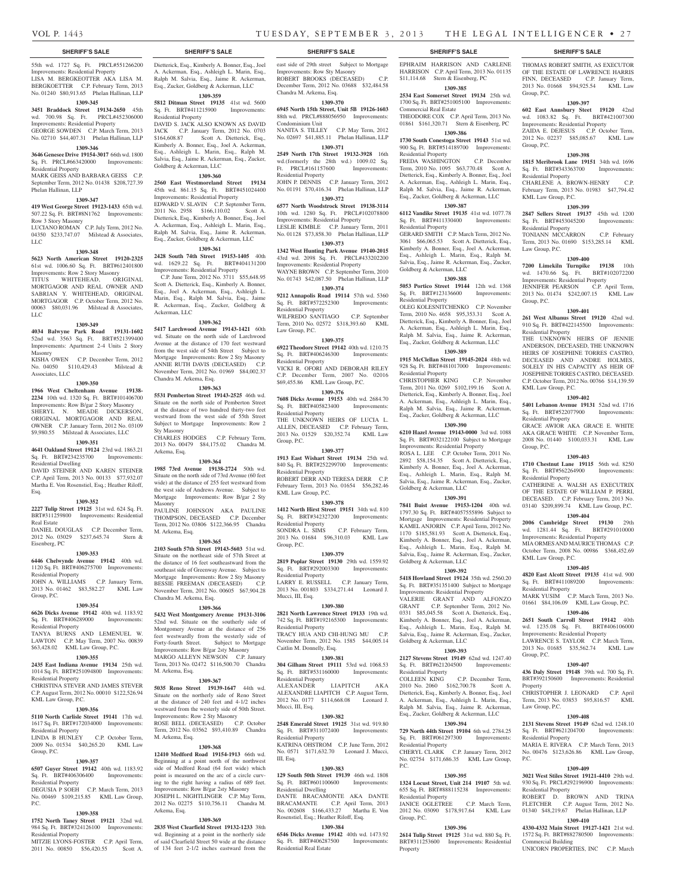Commercial Real Estate

Residential Property

Residential Property

Goldberg & Ackerman, LLC

Sq. Ft. BRT#123136600 Residential Property

Residential Property

Goldberg & Ackerman, LLC

Goldberg & Ackerman, LLC

Goldberg & Ackerman, LLC

Residential Property<br>COLLEEN KING

Residential Property

Residential Property<br>JANICE OGLETREE

Group, P.C.

Property

 $PC$ 

**1309-391 7841 Buist Avenue 19153-1204** 40th wd. 1797.30 Sq. Ft. BRT#4057555896 Subject to Mortgage Improvements: Residential Property KAMEL ANJORIN C.P. April Term, 2012 No. 1170 \$185,581.93 Scott A. Dietterick, Esq., Kimberly A. Bonner, Esq., Joel A. Ackerman, Esq., Ashleigh L. Marin, Esq., Ralph M. Salvia, Esq., Jaime R. Ackerman, Esq., Zucker,

**1309-392 5418 Howland Street 19124** 35th wd. 2560.20 Sq. Ft. BRT#351351400 Subject to Mortgage Improvements: Residential Property VALERIE GRANT AND ALFONZO GRANT C.P. September Term, 2012 No. 0331 \$85,045.58 Scott A. Dietterick, Esq., Kimberly A. Bonner, Esq., Joel A. Ackerman, Esq., Ashleigh L. Marin, Esq., Ralph M. Salvia, Esq., Jaime R. Ackerman, Esq., Zucker,

**1309-393 2127 Stevens Street 19149** 62nd wd. 1247.40 Sq. Ft. BRT#621204500 Improvements:

2010 No. 2060 \$162,700.78 Scott A. Dietterick, Esq., Kimberly A. Bonner, Esq., Joel A. Ackerman, Esq., Ashleigh L. Marin, Esq., Ralph M. Salvia, Esq., Jaime R. Ackerman, Esq., Zucker, Goldberg & Ackerman, LLC **1309-394 729 North 44th Street 19104** 6th wd. 2784.25 Sq. Ft. BRT#061297300 Improvements:

CHERYL CLARK C.P. January Term, 2012 No. 02754 \$171,686.35 KML Law Group,

**1309-395 1324 Locust Street, Unit 214 19107** 5th wd. 655 Sq. Ft. BRT#888115238 Improvements:

2012 No. 03090 \$178,917.64 KML Law

**1309-396 2614 Tulip Street 19125** 31st wd. 880 Sq. Ft. BRT#311253600 Improvements: Residential

C.P. December Term,

C.P. March Term,

EPHRAIM HARRISON AND CARLENE HARRISON C.P. April Term, 2013 No. 01135 \$11,114.68 Stern & Eisenberg, PC **1309-385 2534 East Somerset Street 19134** 25th wd. 1700 Sq. Ft. BRT#251005100 Improvements:

THOMAS ROBERT SMITH, AS EXECUTOR OF THE ESTATE OF LAWRENCE HARRIS FINN, DECEASED C.P. January Term, 2013 No. 01668 \$94,925.54 KML Law

**1309-397 602 East Annsbury Steet 19120** 42nd wd. 1083.82 Sq. Ft. BRT#421007300 Improvements: Residential Property ZAIDA E. DEJESUS C.P. October Term, 2012 No. 02237 \$85,085.67 KML Law

**1309-398 1815 Meribrook Lane 19151** 34th wd. 1696 Sq. Ft. BRT#343363700 Improvements:

CHARLENE A. BROWN-HENRY C.P. February Term, 2013 No. 01983 \$47,794.42

**1309-399 2847 Sellers Street 19137** 45th wd. 1200 Sq. Ft. BRT#453045200 Improvements:

TONIANN MCCARRON C.P. February Term, 2013 No. 01690 \$153,285.14 KML

**1309-400 7200 Limekiln Turnpike 19138** 10th wd. 1470.66 Sq. Ft. BRT#102072200 WQ. 1470.00 Sq. 16. EXERTS JENNIFER PEARSON C.P. April Term, 2013 No. 01474 \$242,007.15 KML Law

**1309-401 261 West Albanus Street 19120** 42nd wd. 910 Sq. Ft. BRT#422145500 Improvements:

THE UNKNOWN HEIRS OF JENNIE ANDERSON, DECEASED, THE UNKNOWN HEIRS OF JOSEPHINE TORRES CASTRO, DECEASED AND ANDRE HOLMES, SOLELY IN HIS CAPACITY AS HEIR OF JOSEPHINE TORRES CASTRO, DECEASED. C.P. October Term, 2012 No. 00766 \$14,139.59

**1309-402 5401 Lebanon Avenue 19131** 52nd wd. 1716 Sq. Ft. BRT#522077900 Improvements:

GRACE AWIOR AKA GRACE E. WHITE AKA GRACE WHITE C.P. November Term, 2008 No. 01440 \$100,033.31 KML Law

**1309-403 1710 Chestnut Lane 19115** 56th wd. 8250 Sq. Ft. BRT#562264900 Improvements:

CATHERINE A. WALSH AS EXECUTRIX OF THE ESTATE OF WILLIAM P. PERRI, DECEASED. C.P. February Term, 2013 No. 03140 \$209,899.74 KML Law Group, P.C. **1309-404 2006 Cambridge Street 19130** 29th wd. 1281.44 Sq. Ft. BRT#291010000 Improvements: Residential Property MIA ORMES AND MAURICE THOMAS C.P. October Term, 2008 No. 00986 \$368,452.69

**1309-405 4820 East Alcott Street 19135** 41st wd. 900 Sq. Ft. BRT#411089200 Improvements:

MARK YUSIM C.P. March Term, 2013 No. 01661 \$84,106.09 KML Law Group, P.C. **1309-406 2651 South Carroll Street 19142** 40th wd. 1235.08 Sq. Ft. BRT#406106000 Improvements: Residential Property LAWRENCE S. TAYLOR C.P. March Term, 2013 No. 01685 \$35,562.74 KML Law

**1309-407 436 Daly Street 19148** 39th wd. 700 Sq. Ft. BRT#392150600 Improvements: Residential

CHRISTOPHER J. LEONARD C.P. April Term, 2013 No. 03853 \$95,816.57 KML

**1309-408 2131 Stevens Street 19149** 62nd wd. 1248.10 Sq. Ft. BRT#621204700 Improvements:

MARIA E. RIVERA C.P. March Term, 2013 No. 00476 \$123,626.86 KML Law Group,

**1309-409 3021 West Stiles Street 19121-4410** 29th wd. 930 Sq. Ft. PRCL#292196900 Improvements:

ROBERT D. BROWN AND TRINA FLETCHER C.P. August Term, 2012 No. 01340 \$48,219.67 Phelan Hallinan, LLP **1309-410 4330-4332 Main Street 19127-1421** 21st wd. 1572 Sq. Ft. BRT#882780500 Improvements:

UNICORN PROPERTIES, INC C.P. March

Group, P.C.

Group, P.C.

Residential Property

KML Law Group, P.C.

Residential Property

Law Group, P.C.

Group, P.C.

Residential Property

KML Law Group, P.C.

Residential Property

Residential Property

KML Law Group, P.C.

Residential Property

Group, P.C.

Property

P.C.

Law Group, P.C.

Residential Property

Residential Property

Commercial Building

Group, P.C.

THEODORE COX C.P. April Term, 2013 No. 01861 \$161,320.71 Stern & Eisenberg, PC **1309-386 1730 South Conestoga Street 19143** 51st wd. 900 Sq. Ft. BRT#514189700 Improvements:

FREDA WASHINGTON C.P. December Term, 2010 No. 1095 \$63,770.48 Scott A. Dietterick, Esq., Kimberly A. Bonner, Esq., Joel A. Ackerman, Esq., Ashleigh L. Marin, Esq., Ralph M. Salvia, Esq., Jaime R. Ackerman, Esq., Zucker, Goldberg & Ackerman, LLC **1309-387 6112 Vandike Street 19135** 41st wd. 1077.78 Sq. Ft. BRT#411330400 Improvements:

GERARD SMITH C.P. March Term, 2012 No. 3061 \$66,065.53 Scott A. Dietterick, Esq., Kimberly A. Bonner, Esq., Joel A. Ackerman, Esq., Ashleigh L. Marin, Esq., Ralph M. Salvia, Esq., Jaime R. Ackerman, Esq., Zucker,

**1309-388 5053 Portico Street 19144** 12th wd. 1368

OLEG KOLESNITCHENKO C.P. November Term, 2010 No. 4658 \$95,353.31 Scott A. Dietterick, Esq., Kimberly A. Bonner, Esq., Joel A. Ackerman, Esq., Ashleigh L. Marin, Esq., Ralph M. Salvia, Esq., Jaime R. Ackerman, Esq., Zucker, Goldberg & Ackerman, LLC **1309-389 1915 McClellan Street 19145-2024** 48th wd. 928 Sq. Ft. BRT#481017000 Improvements:

CHRISTOPHER KING C.P. November Term, 2011 No. 0269 \$102,199.16 Scott A. Dietterick, Esq., Kimberly A. Bonner, Esq., Joel A. Ackerman, Esq., Ashleigh L. Marin, Esq., Ralph M. Salvia, Esq., Jaime R. Ackerman, Esq., Zucker, Goldberg & Ackerman, LLC **1309-390 6210 Hazel Avenue 19143-0000** 3rd wd. 1088 Sq. Ft. BRT#032122100 Subject to Mortgage Improvements: Residential Property ROSA L. LEE C.P. October Term, 2011 No. 2892 \$58,154.35 Scott A. Dietterick, Esq., Kimberly A. Bonner, Esq., Joel A. Ackerman, Esq., Ashleigh L. Marin, Esq., Ralph M. Salvia, Esq., Jaime R. Ackerman, Esq., Zucker,

#### **SHERIFF'S SALE SHERIFF'S SALE SHERIFF'S SALE SHERIFF'S SALE SHERIFF'S SALE**

55th wd. 1727 Sq. Ft. PRCL#551266200 Improvements: Residential Property LISA M. BERGKEOTTER AKA LISA M. BERGKOETTER C.P. February Term, 2013 No. 01240 \$80,913.65 Phelan Hallinan, LLP

#### **1309-345**

**3451 Braddock Street 19134-2650** 45th wd. 700.98 Sq. Ft. PRCL#452306000 Improvements: Residential Property GEORGE SOWDEN C.P. March Term, 2013 No. 02710 \$44,407.31 Phelan Hallinan, LLP

## **1309-346**

**3646 Genesee Drive 19154-3017** 66th wd. 1800 Sq. Ft. PRCL#663420000 Improvements: Residential Property

MARK GEISS AND BARBARA GEISS C.P. September Term, 2012 No. 01438 \$208,727.39 Phelan Hallinan, LLP

#### **1309-347**

**419 West George Street 19123-1433** 65th wd. 507.22 Sq. Ft. BRT#8N1762 Improvements: Row 3 Story Masonry

LUCIANO ROMAN C.P. July Term, 2012 No. 04350 \$233,747.07 Milstead & Associates, LLC

#### **1309-348**

**5623 North American Street 19120-2325**  61st wd. 1006.60 Sq. Ft. BRT#612401800 Improvements: Row 2 Story Masonry

TITUS WHITEHEAD, ORIGINAL MORTGAGOR AND REAL OWNER AND SABRIAN Y. WHITEHEAD, ORIGINAL MORTGAGOR C.P. October Term, 2012 No. 00063 \$80,031.96 Milstead & Associates, LLC

#### **1309-349**

**4034 Balwyne Park Road 19131-1602**  52nd wd. 3563 Sq. Ft. BRT#521399400 Improvements: Apartment 2-4 Units 2 Story Masonry

KISHA OWEN C.P. December Term, 2012 No. 04050 \$110,429.43 Milstead & Associates, LLC

#### **1309-350**

**1966 West Cheltenham Avenue 19138- 2234** 10th wd. 1320 Sq. Ft. BRT#101406700 Improvements: Row B/gar 2 Story Masonry SHERYL N. MEADE DICKERSON, ORIGINAL MORTGAGOR AND REAL OWNER C.P. January Term, 2012 No. 03109 \$9,980.55 Milstead & Associates, LLC

### **1309-351**

**4641 Oakland Street 19124** 23rd wd. 1863.21 Sq. Ft. BRT#234235700 Improvements: Residential Dwelling

DAVID STEINER AND KAREN STEINER C.P. April Term, 2013 No. 00133 \$77,932.07 Martha E. Von Rosenstiel, Esq.; Heather Riloff, Esq.

#### **1309-352**

**2227 Tulip Street 19125** 31st wd. 624 Sq. Ft. BRT#311259800 Improvements: Residential

Real Estate DANIEL DOUGLAS C.P. December Term, 2012 No. 03029 \$237,645.74 Stern & Eisenberg, PC

#### **1309-353**

**6446 Chelwynde Avenue 19142** 40th wd. 1120 Sq. Ft. BRT#406275700 Improvements:

Residential Property JOHN A. WILLIAMS C.P. January Term, 2013 No. 01462 \$83,582.27 KML Law Group, P.C.

### **1309-354**

**6626 Dicks Avenue 19142** 40th wd. 1183.92 Sq. Ft. BRT#406289000 Improvements: Residential Property

TANYA BURNS AND LEMENUEL W. LAWTON C.P. May Term, 2007 No. 00839 \$63,428.02 KML Law Group, P.C.

## **1309-355**

**2435 East Indiana Avenue 19134** 25th wd. 1014 Sq. Ft. BRT#251094800 Improvements: Residential Property CHRISTINA STEVER AND JAMES STEVER C.P. August Term, 2012 No. 00010 \$122,526.94 KML Law Group, P.C.

### **1309-356**

**5110 North Carlisle Street 19141** 17th wd. 1617 Sq. Ft. BRT#172034000 Improvements: Residential Property LINDA B HUNLEY C.P. October Term,

## 2009 No. 01534 \$40,265.20 KML Law Group, P.C.

## **1309-357**

**6507 Guyer Street 19142** 40th wd. 1183.92 Sq. Ft. BRT#406306400 Improvements: Residential Property

DEGUSIA P SOEH C.P. March Term, 2013 No. 00469 \$109,215.85 KML Law Group, P.C.

#### **1309-358**

**1752 North Taney Street 19121** 32nd wd. 984 Sq. Ft. BRT#324126100 Improvements: Residential Property

MITZIE LYONS-FOSTER C.P. April Term, 2011 No. 00850 \$56,420.55 Scott A.

A. Ackerman, Esq., Ashleigh L. Marin, Esq., Ralph M. Salvia, Esq., Jaime R. Ackerman, Esq., Zucker, Goldberg & Ackerman, LLC

Dietterick, Esq., Kimberly A. Bonner, Esq., Joel

## **1309-359**

**5812 Ditman Street 19135** 41st wd. 5600 Sq. Ft. BRT#411215900 Improvements: Residential Property DAVID S. JACK ALSO KNOWN AS DAVID JACK C.P. January Term, 2012 No. 0703 \$164,608.87 Scott A. Dietterick, Esq., Kimberly A. Bonner, Esq., Joel A. Ackerman, Esq., Ashleigh L. Marin, Esq., Ralph M. Salvia, Esq., Jaime R. Ackerman, Esq., Zucker, Goldberg & Ackerman, LLC

#### **1309-360**

**2560 East Westmoreland Street 19134**  45th wd. 861.15 Sq. Ft. BRT#451024400 Improvements: Residential Property EDWARD V. SLAVIN C.P. September Term, 2011 No. 2958 \$166,110.02 Scott A. Dietterick, Esq., Kimberly A. Bonner, Esq., Joel A. Ackerman, Esq., Ashleigh L. Marin, Esq., Ralph M. Salvia, Esq., Jaime R. Ackerman, Esq., Zucker, Goldberg & Ackerman, LLC

#### **1309-361**

**2428 South 74th Street 19153-1405** 40th wd. 1629.22 Sq. Ft. BRT#404131200

Improvements: Residential Property C.P. June Term, 2012 No. 3711 \$55,648.95 Scott A. Dietterick, Esq., Kimberly A. Bonner, Esq., Joel A. Ackerman, Esq., Ashleigh L. Marin, Esq., Ralph M. Salvia, Esq., Jaime R. Ackerman, Esq., Zucker, Goldberg & Ackerman, LLC

#### **1309-362**

**5417 Larchwood Avenue 19143-1421** 60th wd. Situate on the north side of Larchwood Avenue at the distance of 170 feet westward from the west side of 54th Street Subject to Mortgage Improvements: Row 2 Sty Masonry ANNIE RUTH DAVIS (DECEASED) C.P. November Term, 2012 No. 01969 \$84,002.37 Chandra M. Arkema, Esq.

#### **1309-363**

**5531 Pemberton Street 19143-2525** 46th wd. Situate on the north side of Pemberton Street at the distance of two hundred thirty-two feet westward from the west side of 55th Street Subject to Mortgage Improvements: Row 2 Sty Masonry CHARLES HODGES C.P. February Term,

2013 No. 00479 \$84,175.02 Chandra M. Arkema, Esq.

## **1309-364**

**1985 73rd Avenue 19138-2724** 50th wd. Situate on the north side of 73rd Avenue (60 feet wide) at the distance of 255 feet westward from the west side of Andrews Avenue. Subject to Mortgage Improvements: Row B/gar 2 Sty Masonry

PAULINE JOHNSON AKA PAULINE THOMPSON, DECEASED C.P. December Term, 2012 No. 03806 \$122,366.95 Chandra M. Arkema, Esq.

#### **1309-365**

**2103 South 57th Street 19143-5603** 51st wd. Situate on the northeast side of 57th Street at the distance of 16 feet southeastward from the southeast side of Greenway Avenue. Subject to Mortgage Improvements: Row 2 Sty Masonry BESSIE FREEMAN (DECEASED) C.P. November Term, 2012 No. 00605 \$67,904.28 Chandra M. Arkema, Esq.

#### **1309-366**

**5432 West Montgomery Avenue 19131-3106**  52nd wd. Situate on the southerly side of Montgomery Avenue at the distance of 256 feet westwardly from the westerly side of Forty-fourth Street. Subject to Mortgage Improvements: Row B/gar 2sty Masonry MARGO ALLEYN NEWSON C.P. January Term, 2013 No. 02472 \$116,500.70 Chandra M. Arkema, Esq.

#### **1309-367**

**5035 Reno Street 19139-1647** 44th wd. Situate on the northerly side of Reno Street at the distance of 240 feet and 4-1/2 inches westward from the westerly side of 50th Street. Improvements: Row 2 Sty Masonry ROSE BELL (DECEASED) C.P. October Term, 2012 No. 03562 \$93,410.89 Chandra M. Arkema, Esq.

#### **1309-368**

**12410 Medford Road 19154-1913** 66th wd. Beginning at a point north of the northwest side of Medford Road (64 feet wide) which point is measured on the arc of a circle curving to the right having a radius of 689 feet. Improvements: Row B/gar 2sty Masonry JOSEPH L. NIGHTLINGER C.P. May Term, 2012 No. 02275 \$110,756.11 Chandra M. Arkema, Esq.

#### **1309-369**

**2835 West Clearfield Street 19132-1233** 38th wd. Beginning at a point in the northerly side of said Clearfield Street 50 wide at the distance of 134 feet 2-1/2 inches eastward from the

east side of 29th street Subject to Mortgage Improvements: Row Sty Masonry ROBERT BROOKS (DECEASED) C.P. December Term, 2012 No. 03688 \$32,484.58 Chandra M. Arkema, Esq.

## **1309-370**

**6945 North 15th Street, Unit 5B 19126-1603**  88th wd. PRCL#888056950 Improvements: Condominium Unit

NANITA S. TILLEY C.P. May Term, 2012 No. 02697 \$41,885.11 Phelan Hallinan, LLP **1309-371**

**2549 North 17th Street 19132-3928** 16th wd.(formerly the 28th wd.) 1009.02 Sq. Ft. PRCL#161157600 Improvements: Residential Property JOHN P. DENNIS C.P. January Term, 2012

No. 01191 \$70,416.34 Phelan Hallinan, LLP **1309-372 6577 North Woodstrock Street 19138-3114** 

10th wd. 1280 Sq. Ft. PRCL#102078800 Improvements: Residential Property LESLIE KIMBLE C.P. January Term, 2011 No. 01128 \$73,858.30 Phelan Hallinan, LLP

#### **1309-373**

**1342 West Hunting Park Avenue 19140-2015**  43rd wd. 2098 Sq. Ft. PRCL#433202200 Improvements: Residential Property WAYNE BROWN C.P. September Term, 2010 No. 01743 \$42,087.50 Phelan Hallinan, LLP

**1309-374 9212 Annapolis Road 19114** 57th wd. 5360 Sq. Ft. BRT#572252300 Improvements: Residential Property

WILFREDO SANTIAGO C.P. September Term, 2010 No. 02572 \$318,393.60 KML Law Group, P.C.

#### **1309-375**

**6922 Theodore Street 19142** 40th wd. 1210.75 Sq. Ft. BRT#406246300 Improvements: Residential Property VICKI R. OFORI AND DEBORAH RILEY C.P. December Term, 2007 No. 02016 \$69,455.86 KML Law Group, P.C.

#### **1309-376**

**7608 Dicks Avenue 19153** 40th wd. 2684.70 Sq. Ft. BRT#405823400 Improvements: Residential Property THE UNKNOWN HEIRS OF LUCIA L. ALLEN, DECEASED C.P. February Term, 2013 No. 01529 \$20,352.74 KML Law Group, P.C.

#### **1309-377**

**1913 East Wishart Street 19134** 25th wd. 840 Sq. Ft. BRT#252299700 Improvements: Residential Property ROBERT DERR AND TERESA DERR C.P. February Term, 2013 No. 01654 \$56,282.46

KML Law Group, P.C.

## **1309-378**

**1412 North Hirst Street 19151** 34th wd. 810 Sq. Ft. BRT#342327200 Improvements: Residential Property SONDRA L. SIMS C.P. February Term, 2013 No. 01684 \$96,310.03 KML Law Group, P.C.

#### **1309-379**

**2819 Poplar Street 19130** 29th wd. 1559.92 Sq. Ft. BRT#292003300 Improvements: Residential Property LARRY E. RUSSELL C.P. January Term, 2013 No. 001803 \$334,271.44 Leonard J.

Mucci, III, Esq. **1309-380**

#### **2821 North Lawrence Street 19133** 19th wd. 742 Sq. Ft. BRT#192165300 Improvements: Residential Property TRACY HUA AND CHI-HUNG MU C.P.

November Term, 2012 No. 1585 \$44,005.14 Caitlin M. Donnelly, Esq. **1309-381**

**304 Gilham Street 19111** 53rd wd. 1068.53 Sq. Ft. BRT#531160000 Improvements: Residential Property LIAPITCH AKA ALEXANDRE LIAPITCH C.P. August Term, 2012 No. 0177 \$114,668.08 Leonard J. Mucci, III, Esq.

## **1309-382**

**2548 Emerald Street 19125** 31st wd. 919.80 Sq. Ft. BRT#311072400 Improvements: Residential Property KATRINA OHSTROM C.P. June Term, 2012

## No. 0571 \$171,632.70 Leonard J. Mucci, III, Esq. **1309-383 129 South 50th Street 19139** 46th wd. 1808

Sq. Ft. BRT#601100600 Improvements: Residential Dwelling DANTE BRACAMONTE AKA DANTE BRACAMANTE C.P. April Term, 2013 No. 002608 \$166,433.27 Martha E. Von Rosenstiel, Esq.; Heather Riloff, Esq.

**1309-384 6546 Dicks Avenue 19142** 40th wd. 1473.92 Sq. Ft. BRT#406287500 Improvements:

Sq. Ft. BRT#406287500 Residential Real Estate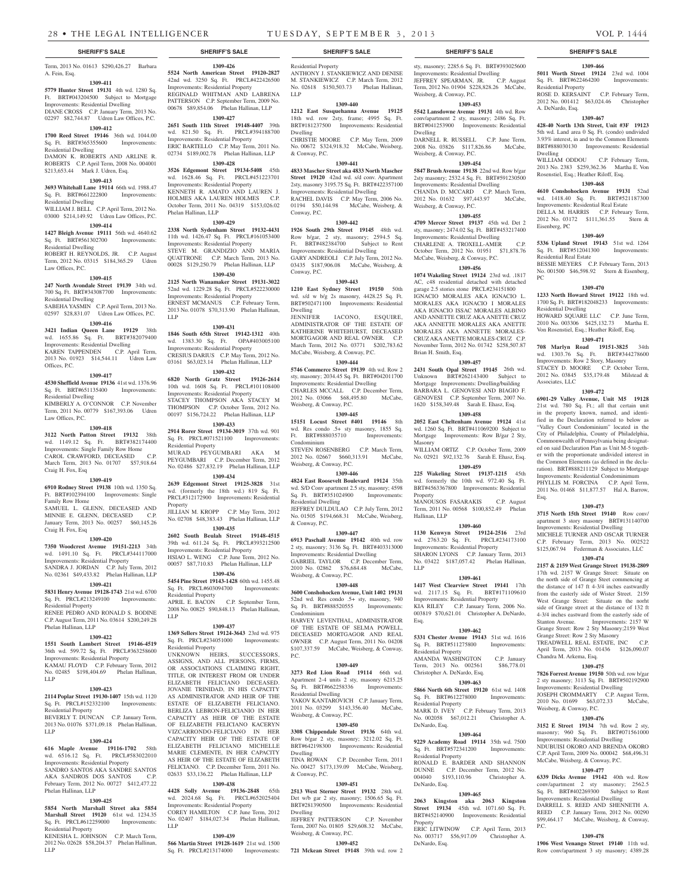Term, 2013 No. 01613 \$290,426.27 Barbara A. Fein, Esq.

#### **1309-411**

**5779 Hunter Street 19131** 4th wd. 1280 Sq. Ft. BRT#043204500 Subject to Mortgage Improvements: Residential Dwelling DIANE CROSS C.P. January Term, 2013 No. 02297 \$82,744.87 Udren Law Offices, P.C.

## **1309-412**

**1700 Reed Street 19146** 36th wd. 1044.00 Sq. Ft. BRT#365355600 Improvements: Residential Dwelling

DAMON K. ROBERTS AND ARLINE R. ROBERTS C.P. April Term, 2008 No. 004001 \$213,653.44 Mark J. Udren, Esq.

### **1309-413**

**3693 Whitehall Lane 19114** 66th wd. 1988.47

## Sq. Ft. BRT#661222800 Improvements:

Residential Dwelling WILLIAM J. BELL C.P. April Term, 2012 No. 03000 \$214,149.92 Udren Law Offices, P.C.

#### **1309-414**

**1427 Bleigh Avenue 19111** 56th wd. 4640.62 Sq. Ft. BRT#561302700 Improvements:

Residential Dwelling ROBERT H. REYNOLDS, JR. C.P. August Term, 2012 No. 03315 \$184,365.29 Udren

## Law Offices, P.C.

**1309-415 247 North Avondale Street 19139** 34th wd. 700 Sq. Ft. BRT#343087700 Improvements: Residential Dwelling

## SABEHA YASMIN C.P. April Term, 2013 No. 02597 \$28,831.07 Udren Law Offices, P.C.

## **1309-416**

**3421 Indian Queen Lane 19129** 38th wd. 1655.86 Sq. Ft. BRT#382079400

Improvements: Residential Dwelling KAREN TAPPENDEN C.P. April Term, 2013 No. 01923 \$14,544.11 Udren Law Offices, P.C.

#### **1309-417**

**4530 Sheffield Avenue 19136** 41st wd. 1376.96 Sq. Ft. BRT#651135400 Improvements: Residential Dwelling

KIMBERLY A. O'CONNOR C.P. November Term, 2011 No. 00779 \$167,393.06 Udren

### **1309-418**

Law Offices, P.C.

**3122 North Patton Street 19132** 38th wd. 1149.12 Sq. Ft. BRT#382174400 Improvements: Single Family Row Home CAROL CRAWFORD, DECEASED March Term, 2013 No. 01707 \$57,918.64 Craig H. Fox, Esq

#### **1309-419**

**6910 Rodney Street 19138** 10th wd. 1350 Sq. Ft. BRT#102394100 Improvements: Single Family Row Home SAMUEL L. GLENN, DECEASED AND MINNIE E. GLENN, DECEASED C.P. January Term, 2013 No. 00257 \$60,145.26 Craig H. Fox, Esq

#### **1309-420**

**7350 Woodcrest Avenue 19151-2213** 34th wd. 1491.10 Sq. Ft. PRCL#344117000 Improvements: Residential Property SANDRA J. JORDAN C.P. July Term, 2012 No. 02361 \$49,433.82 Phelan Hallinan, LLP

#### **1309-421**

**5831 Henry Avenue 19128-1743** 21st wd. 6700 Sq. Ft. PRCL#213249100 Improvements: Residential Property

RENEE PEDRO AND RONALD S. BODINE C.P. August Term, 2011 No. 03614 \$200,249.28 Phelan Hallinan, LLP

## **1309-422**

**1551 South Lambert Street 19146-4519**  36th wd. 599.72 Sq. Ft. PRCL#363258600 Improvements: Residential Property KAMAU FLOYD C.P. February Term, 2012

#### No. 02485 \$198,404.69 Phelan Hallinan, LLP **1309-423**

**2114 Poplar Street 19130-1407** 15th wd. 1120 Sq. Ft. PRCL#152332100 Improvements: Residential Property BEVERLY T. DUNCAN C.P. January Term,

2013 No. 01076 \$371,09.18 Phelan Hallinan, LLP

## **1309-424**

**616 Maple Avenue 19116-1702** 58th wd. 6516.12 Sq. Ft. PRCL#583022010 Improvements: Residential Property SANDRO SANTOS AKA SANDRE SANTOS<br>AKA SANDROS DOS SANTOS C.P. AKA SANDROS DOS SANTOS February Term, 2012 No. 00727 \$412,477.22 Phelan Hallinan, LLP

#### **1309-425**

**5854 North Marshall Street aka 5854 Marshall Street 19120** 61st wd. 1234.35 Sq. Ft. PRCL#612259000 Improvements: Residential Property

KENESHA L. JOHNSON C.P. March Term, 2012 No. 02628 \$58,204.37 Phelan Hallinan, LLP

**1309-426 5524 North American Street 19120-2827**  42nd wd. 3250 Sq. Ft. PRCL#422426500 Improvements: Residential Property REGINALD WHITMAN AND LABRENA PATTERSON C.P. September Term, 2009 No. 00678 \$89,854.06 Phelan Hallinan, LLP

#### **1309-427**

**2651 South 11th Street 19148-4407** 39th wd. 821.50 Sq. Ft. PRCL#394188700 Improvements: Residential Property ERIC BARTELLO C.P. May Term, 2011 No.

## 02734 \$189,002.78 Phelan Hallinan, LLP

#### **1309-428**

**3526 Edgemont Street 19134-5408** 45th wd. 1628.46 Sq. Ft. PRCL#451223701 Improvements: Residential Property KENNETH R. AMATO AND LAUREN J. HOLMES AKA LAUREN HOLMES C.P. October Term, 2011 No. 04319 \$153,026.02 Phelan Hallinan, LLP

#### **1309-429**

**2338 North Sydenham Street 19132-4431**  11th wd. 1426.47 Sq. Ft. PRCL#161053400 Improvements: Residential Property STEVE M. GRANDIZIO AND MARIA QUATTRONE C.P. March Term, 2013 No. 00028 \$129,250.79 Phelan Hallinan, LLP

**1309-430 2125 North Wanamaker Street 19131-3022**  52nd wd. 1229.28 Sq. Ft. PRCL#522230000 Improvements: Residential Property ERNEST MCMANUS C.P. February Term, 2013 No. 01078 \$70,313.90 Phelan Hallinan, LLP

#### **1309-431**

**1846 South 65th Street 19142-1312** 40th wd. 1383.30 Sq. Ft. OPA#403005100 Improvements: Residential Property CRESIUS DARIUS C.P. May Term, 2012 No. 03161 \$63,023.14 Phelan Hallinan, LLP

## **1309-432**

**6820 North Gratz Street 19126-2614**  10th wd. 1608 Sq. Ft. PRCL#101108400 Improvements: Residential Property STACEY THOMPSON AKA STACEY M THOMPSON C.P. October Term, 2012 No. 00197 \$156,724.22 Phelan Hallinan, LLP

#### **1309-433**

**2914 Rorer Street 19134-3019** 37th wd. 901 Sq. Ft. PRCL#071521100 Improvements: Residential Property MURAD PEYGUMBARI AKA M PEYGUMBARI C.P. December Term, 2012

No. 02486 \$27,832.19 Phelan Hallinan, LLP **1309-434 2639 Edgemont Street 19125-3828** 31st

wd. (formerly the 18th wd.) 819 Sq. Ft. PRCL#312172900 Improvements: Residential Property JILLIAN M. KROPP C.P. May Term, 2012

No. 02708 \$48,383.43 Phelan Hallinan, LLP **1309-435 2602 South Beulah Street 19148-4515** 

39th wd. 611.24 Sq. Ft. PRCL#393212500 Improvements: Residential Property

HSIAO L. WENG C.P. June Term, 2012 No. 00057 \$87,710.83 Phelan Hallinan, LLP

#### **1309-436**

**5454 Pine Street 19143-1428** 60th wd. 1455.48 Sq. Ft. PRCL#603094700 Improvements: Residential Property<br>APRIL E. BACON C.P. September Term, 2008 No. 00825 \$90,848.13 Phelan Hallinan,

#### **1309-437**

LLP

LLP

**1369 Sellers Street 19124-3643** 23rd wd. 975 Sq. Ft. PRCL#234051000 Improvements: Residential Property

UNKNOWN HEIRS, SUCCESSORS, ASSIGNS, AND ALL PERSONS, FIRMS, OR ASSOCIATIONS CLAIMING RIGHT TITLE, OR INTEREST FROM OR UNDER ELIZABETH FELICIANO DECEASED. JOVANIE TRINIDAD, IN HIS CAPACITY AS ADMINISTRATOR AND HEIR OF THE ESTATE OF ELIZABETH FELICIANO. BERLIZA LEBRON-FELICIANIO IN HER CAPACITY AS HEIR OF THE ESTATE OF ELIZABETH FELICIANO KACERYN VIZCARRONDO-FELICIANO IN HER CAPACITY HEIR OF THE ESTATE OF ELIZABETH FELICIANO MICHELLE MARIE CLEMENTE, IN HER CAPACITY AS HEIR OF THE ESTATE OF ELIZABETH FELICIANO. C.P. December Term, 2011 No. 02633 \$33,136.22 Phelan Hallinan, LLP

### **1309-438**

**4428 Solly Avenue 19136-2848** 65th wd. 2024.68 Sq. Ft. PRCL#652025404 Improvements: Residential Property COREY HAMILTON C.P. June Term, 2012 No. 02407 \$184,027.34 Phelan Hallinan,

## **1309-439**

**566 Martin Street 19128-1619** 21st wd. 1500 Sq. Ft. PRCL#213174000 Improvements:

### **SHERIFF'S SALE SHERIFF'S SALE SHERIFF'S SALE SHERIFF'S SALE SHERIFF'S SALE**

Residential Property ANTHONY J. STANKIEWICZ AND DENISE M. STANKIEWICZ C.P. March Term, 2012 No. 02618 \$150,503.73 Phelan Hallinan, LLP

sty, masonry; 2285.6 Sq. Ft. BRT#393025600 Improvements: Residential Dwelling JEFFREY SPEARMAN, JR. C.P. August Term, 2012 No. 01904 \$228,828.26 McCabe,

**1309-466 5011 Worth Street 19124** 23rd wd. 1004 Sq. Ft. BRT#622464200 Improvements:

ROSE D. KERSAINT C.P. February Term, 2012 No. 001412 \$63,024.46 Christopher

**1309-467 428-40 North 13th Street, Unit #3F 19123**  5th wd. Land area 0 Sq. Ft. (condo) undivided 3.93% interest, in and to the Common Elements BRT#888030130 Improvements: Residential

WILLIAM ODDOU C.P. February Term, 2013 No. 2383 \$259,362.36 Martha E. Von Rosenstiel, Esq.; Heather Riloff, Esq. **1309-468 4610 Conshohocken Avenue 19131** 52nd wd. 1418.40 Sq. Ft. BRT#521187300 Improvements: Residential Real Estate DELLA M. HARRIS C.P. February Term, 2012 No. 03172 \$111,361.55 Stern &

**1309-469 5336 Upland Street 19143** 51st wd. 1264 Sq. Ft. BRT#512041300 Improvements:

BESSIE MEYERS C.P. February Term, 2013 No. 001500 \$46,598.92 Stern & Eisenberg,

**1309-470 1233 North Howard Street 19122** 18th wd. 1700 Sq. Ft. BRT#182048233 Improvements:

HOWARD SQUARE LLC C.P. June Term, 2010 No. 003306 \$425,132.73 Martha E. Von Rosenstiel, Esq.; Heather Riloff, Esq. **1309-471 708 Marlyn Road 19151-3825** 34th wd. 1303.76 Sq. Ft. BRT#344278600 Improvements: Row 2 Story, Masonry STACEY D. MOORE C.P. October Term, 2012 No. 03845 \$35,179.48 Milstead &

**1309-472 6901-29 Valley Avenue, Unit M5 19128**  21st wd. 780 Sq. Ft.; all that certain unit in the property known, named, and identified in the Declaration referred to below as "Valley Court Condominium" located in the City of Philadelphia, County of Philadelphia, Commonwealth of Pennsylvania being designated on said Declaration Plan as Unit M-5 together with the proportionate undivided interest in the Common Elements (as defined in the declaration). BRT#888211129 Subject to Mortgage Improvements: Residential Condominimum PHYLLIS M. FORCINA C.P. April Term, 2011 No. 01468 \$11,877.57 Hal A. Barrow,

**1309-473 3715 North 15th Street 19140** Row conv/ apartment 3 story masonry BRT#131140700 Improvements: Residential Dwelling MICHELE TURNER AND OSCAR TURNER C.P. February Term, 2013 No. 002522 \$125,067.94 Federman & Associates, LLC **1309-474 2157 & 2159 West Grange Street 19138-2809**  17th wd. 2157 W Grange Street: Situate on the north side of Grange Steet commencing at the distance of 147 ft 4-3/4 inches eastwardly from the easterly side of Wister Street. 2159 West Grange Street: Situate on the norht side of Grange street at the distance of 132 ft 4-3/4 inches eastward from the easterly side of Stanton Avenue. Improvements: 2157 W Grange Street: Row 2 Sty Masonry;2159 West Grange Street: Row 2 Sty Masonry TREADWELL REAL ESTATE, INC C.P. April Term, 2013 No. 01436 \$126,090.07

Chandra M. Arkema, Esq.

Weisberg, & Conway, P.C.

P.C.

**1309-475 7826 Forrest Avenue 19150** 50th wd. row b/gar 2 sty masonry; 3113 Sq. Ft. BRT#502192900 Improvements: Residential Dwelling JOSEPH CROMMARTY C.P. August Term, 2010 No. 01699 \$63,072.33 McCabe,

**1309-476 3152 E Street 19134** 7th wd. Row 2 sty, masonry; 960 Sq. Ft. BRT#071561000 Improvements: Residential Dwelling NDUBUISI OKORO AND BRENDA OKORO C.P. April Term, 2009 No. 000042 \$68,496.31 McCabe, Weisberg, & Conway, P.C. **1309-477 6339 Dicks Avenue 19142** 40th wd. Row conv/apartment 2 sty masonry; 2562.5 Sq. Ft. BRT#402269300 Subject to Rent Improvements: Residential Dwelling DARRELL S. REED AND SHENNETH A. REED C.P. January Term, 2012 No. 00290 \$99,464.17 McCabe, Weisberg, & Conway,

**1309-478 1906 West Venango Street 19140** 11th wd. Row conv/apartment 3 sty masonry; 4389.28

Residential Property

A. DeNardo, Esq.

Dwelling

Eisenberg, PC

PC

Residential Real Estate

Residential Dwelling

Associates, LLC

Esq.

**1309-453 5542 Lansdowne Avenue 19131** 4th wd. Row conv/apartment 2 sty, masonry; 2486 Sq. Ft. BRT#041253900 Improvements: Residential

DARNELL R. RUSSELL C.P. June Term, 2008 No. 03826 \$117,826.86 McCabe,

**1309-454 5847 Brush Avenue 19138** 22nd wd. Row b/gar 2sty masonry; 2532.4 Sq. Ft. BRT#591230500 Improvements: Residential Dwelling CHANDA D. MCCARD C.P. March Term, 2012 No. 01632 \$97,443.97 McCabe,

**1309-455 4709 Mercer Street 19137** 45th wd. Det 2 sty, masonry; 2474.02 Sq. Ft. BRT#453217400 Improvements: Residential Dwelling CHARLENE A. TROXELL-AMER C.P. October Term, 2012 No. 01951 \$71,878.76 McCabe, Weisberg, & Conway, P.C. **1309-456 1074 Wakeling Street 19124** 23rd wd. .1817 AC, c48 residential detached with detached garage 2.5 stories stone PRCL#234151800 IGNACIO MORALES AKA IGNACIO L. MORALES AKA IGNACIO I MORALES AKA IGNACIO ISSAC MORALES ALBINO AND ANNETTE CRUZ AKA ANETTE CRUZ AKA ANNETTE MORALES AKA ANETTE MORALES AKA ANNETTE MORALES-CRUZ AKA ANETTE MORALES-CRUZ C.P. November Term, 2012 No. 01742 \$258,507.87

**1309-457 2431 South Opal Street 19145** 26th wd. Unknown BRT#262143400 Subject to Mortgage Improvements: Dwelling/building BARBARA L. GENOVESI AND BIAGIO F. GENOVESI C.P. September Term, 2007 No. 1620 \$158,349.48 Sarah E. Ehasz, Esq. **1309-458 2052 East Cheltenham Avenue 19124** 41st wd. 1260 Sq. Ft. BRT#411069200 Subject to Mortgage Improvements: Row B/gar 2 Sty,

WILLIAM ORTIZ C.P. October Term, 2009 No. 02921 \$92,132.76 Sarah E. Ehasz, Esq. **1309-459 225 Wakeling Street 19137-1215** 45th wd. formerly the 10th wd. 972.40 Sq. Ft. BRT#4563367800 Improvements: Residential

MANOUSOS FASARAKIS C.P. August Term, 2011 No. 00568 \$100,852.49 Phelan

**1309-460 1130 Kenwyn Street 19124-2516** 23rd wd. 2763.20 Sq. Ft. PRCL#234173100 Improvements: Residential Property SHARON LYONS C.P. January Term, 2013 No. 03422 \$187,057.42 Phelan Hallinan,

**1309-461 1417 West Clearview Street 19141** 17th wd. 2117.15 Sq. Ft. BRT#171109610 Improvements: Residential Property KIA RILEY C.P. January Term, 2006 No. 003819 \$70,621.01 Christopher A. DeNardo,

**1309-462 5331 Chester Avenue 19143** 51st wd. 1616 Sq. Ft. BRT#511275800 Improvements:

AMANDA WASHINGTON C.P. January Term, 2013 No. 002561 \$86,778.01

**1309-463 5866 North 6th Street 19120** 61st wd. 1408 Sq. Ft. BRT#612278000 Improvements:

MARK D. IVEY C.P. February Term, 2013 No. 002058 \$67,012.21 Christopher A.

**1309-464 9229 Academy Road 19114** 35th wd. 7500 Sq. Ft. BRT#572341200 Improvements:

RONALD E. BARDER AND SHANNON DUNNE C.P. December Term, 2012 No.<br>004040 \$193,110.96 Christopher A.

**1309-465 2063 Kingston aka 2063 Kingston Street 19134** 45th wd. 1071.60 Sq. Ft. BRT#452140900 Improvements: Residential

ERIC LITWINOW C.P. April Term, 2013 No. 003717 \$56,917.09 Christopher A.

Weisberg, & Conway, P.C.

Weisberg, & Conway, P.C.

Weisberg, & Conway, P.C.

Brian H. Smith, Esq.

Masonry

Property

LLP

Esq.

Residential Property

Residential Property

Residential Property

 $004040$  \$193,110.96 DeNardo, Esq.

DeNardo, Esq.

Property

DeNardo, Esq.

Christopher A. DeNardo, Esq.

Hallinan, LLP

Dwelling

### **1309-440**

**1212 East Susquehanna Avenue 19125**  18th wd. row 2sty, frame; 4995 Sq. Ft. BRT#181237500 Improvements: Residential Dwelling

CHRISTIE MOORE C.P. May Term, 2009 No. 00672 \$324,918.32 McCabe, Weisberg, & Conway, P.C.

#### **1309-441**

**4833 Mascher Street aka 4833 North Mascher Street 19120** 42nd wd. s/d conv. Apartment 2sty, masonry 3195.75 Sq. Ft. BRT#422357100 Improvements: Residential Dwelling

RACHEL DAVIS C.P. May Term, 2006 No. 01194 \$50,144.98 McCabe, Weisberg, & Conway, P.C.

#### **1309-442**

**1926 South 29th Street 19145** 48th wd. Row b/gar, 2 sty, masonry; 2594.5 Sq. Ft. BRT#482384700 Subject to Rent Improvements: Residential Dwelling GARY ANDREOLI C.P. July Term, 2012 No. 03435 \$187,906.08 McCabe, Weisberg, & Conway, P.C.

#### **1309-443**

**1210 East Sydney Street 19150** 50th wd. s/d w b/g 2s masonry, 4428.25 Sq. Ft. BRT#502471100 Improvements: Residential Dwelling

JENNIFER IACONO, ESQUIRE, ADMINISTRATOR OF THE ESTATE OF KATHERINE WHITEHURST, DECEASED MORTGAGOR AND REAL OWNER. C.P. March Term, 2012 No. 03771 \$202,783.62 McCabe, Weisberg, & Conway, P.C.

#### **1309-444**

**5746 Commerce Street 19139** 4th wd. Row 2 sty, masonry; 2034.45 Sq. Ft. BRT#042011700 Improvements: Residential Dwelling CHARLES MCCALL C.P. December Term, 2012 No. 03066 \$68,495.80 McCabe, Weisberg, & Conway, P.C.

#### **1309-445**

**15151 Locust Street #401 19146** 8th wd. Res condo .5+ sty masonry, 1855 Sq. Ft. BRT#888035710 Improvements: Condominium STEVEN ROSENBERG C.P. March Term,

2012 No. 02667 \$660,313.91 McCabe, Weisberg, & Conway, P.C. **1309-446**

**4824 East Roosevelt Boulevard 19124** 35th wd. S/D Conv apartment 2.5 sty, masonry; 4598 Sq. Ft. BRT#351024900 Improvements: Residential Dwelling JEFFREY DULDULAO C.P. July Term, 2012

No. 01505 \$194,668.31 McCabe, Weisberg, & Conway, P.C. **1309-447**

**6913 Paschall Avenue 19142** 40th wd. row 2 sty, masonry; 3136 Sq. Ft. BRT#403313000 Improvements: Residential Dwelling GABRIEL TAYLOR C.P. December Term, 2010 No. 02862 \$76,684.48 McCabe, Weisberg, & Conway, P.C.

### **1309-448**

**3600 Conshohocken Avenue, Unit 1402 19131**  52nd wd. Res condo .5+ sty, masonry, 940 Sq. Ft. BRT#888520555 Improvements: Condominium

HARVEY LEVENTHAL, ADMINISTRATOR OF THE ESTATE OF SELMA POWELL, DECEASED MORTGAGOR AND REAL OWNER C.P. August Term, 2011 No. 04208 \$107,337.59 McCabe, Weisberg, & Conway, P.C.

#### **1309-449 3273 Red Lion Road 19114** 66th wd. Apartment 2-4 units 2 sty, masonry 6215.25

Sq. Ft. BRT#662258336 Improvements:

YAKOV KANTAROVICH C.P. January Term, 2011 No. 03299 \$143,356.40 McCabe,

**1309-450 3308 Chippendale Street 19136** 64th wd. Row b/gar 2 sty, masonry; 3212.02 Sq. Ft. BRT#642198300 Improvements: Residential

TINA ROWAN C.P. December Term, 2011 No. 00427 \$173,139.09 McCabe, Weisberg,

**1309-451 2513 West Sterner Street 19132** 28th wd. Det w/b gar 2 sty, masonry; 1506.65 Sq. Ft. BRT#281390500 Improvements: Residential

JEFFREY PATTERSON C.P. November Term, 2007 No. 01805 \$29,608.32 McCabe,

**1309-452 721 Mckean Street 19148** 39th wd. row 2

Residential Dwelling

Dwelling

Dwelling

& Conway, P.C.

Weisberg, & Conway, P.C.

Weisberg, & Conway, P.C.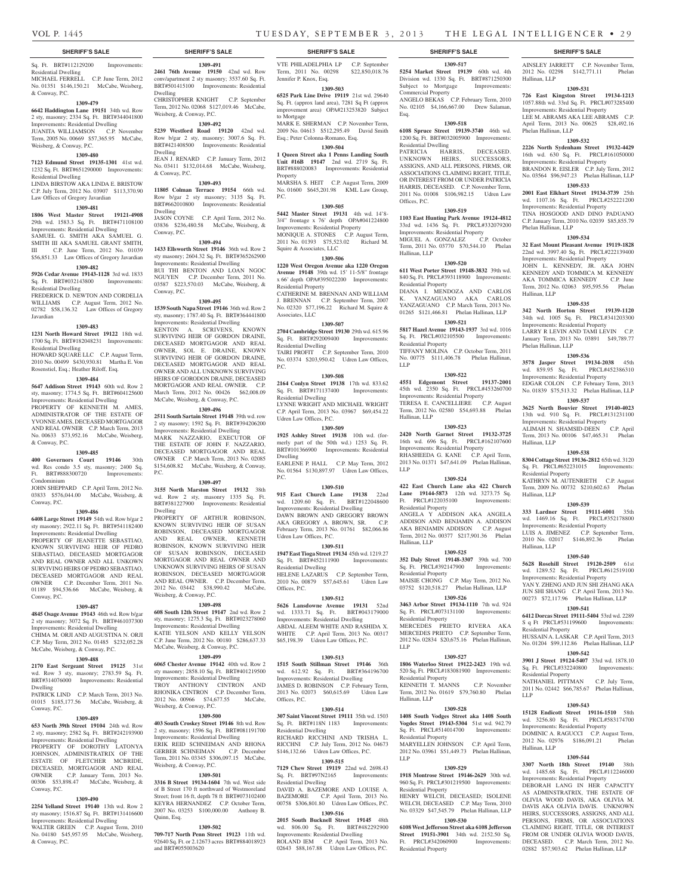#### Sq. Ft. BRT#112129200 Improvements: Residential Dwelling MICHAEL FERRELL C.P. June Term, 2012 No. 01351 \$146,150.21 McCabe, Weisberg, & Conway, P.C.

#### **1309-479**

**6642 Haddington Lane 19151** 34th wd. Row 2 sty, masonry; 2334 Sq. Ft. BRT#344041800 Improvements: Residential Dwelling JUANITA WILLIAMSON C.P. November Term, 2005 No. 00669 \$57,365.95 McCabe,

Weisberg, & Conway, P.C. **1309-480**

#### **7123 Edmund Street 19135-1301** 41st wd. 1232 Sq. Ft. BRT#651290000 Improvements: Residential Dwelling LINDA BIRSTOW AKA LINDA E. BRISTOW

C.P. July Term, 2012 No. 03907 \$113,370.90 Law Offices of Gregory Javardian

#### **1309-481**

**1806 West Master Street 19121-4908**  29th wd. 1583.3 Sq. Ft. BRT#471108100 Improvements: Residential Dwelling SAMUEL G. SMITH AKA SAMUEL G.

SMITH III AKA SAMUEL GRANT SMITH, III C.P. June Term, 2012 No. 01039 \$56,851.33 Law Offices of Gregory Javardian

## **1309-482**

#### **5926 Cedar Avenue 19143-1128** 3rd wd. 1833 Sq. Ft. BRT#032143800 Improvements: Residential Dwelling FREDERICK D. NEWTON AND CORDELIA

WILLIAMS C.P. August Term, 2012 No. 02782 \$58,136.32 Law Offices of Gregory Javardian

#### **1309-483**

**1231 North Howard Street 19122** 18th wd. 1700 Sq. Ft. BRT#182048231 Improvements: Residential Dwelling

HOWARD SQUARE LLC C.P. August Term, 2010 No. 00499 \$430,930.81 Martha E. Von Rosenstiel, Esq.; Heather Riloff, Esq.

#### **1309-484**

**5647 Addison Street 19143** 60th wd. Row 2 sty, masonry; 1774.5 Sq. Ft. BRT#604125600 Improvements: Residential Dwelling PROPERTY OF KENNETH M. AMES, ADMINISTRATOR OF THE ESTATE OF

YVONNE AMES, DECEASED MORTGAGOR AND REAL OWNER C.P. March Term, 2013 No. 00633 \$73,952.16 McCabe, Weisberg, & Conway, P.C.

## **1309-485**

**400 Governors Court 19146** 30th wd. Res condo 3.5 sty, masonry; 2400 Sq. Ft. BRT#888300720 Improvements: Condominium

JOHN SHEPPARD C.P. April Term, 2012 No. 03833 \$576,044.00 McCabe, Weisberg, & Conway, P.C.

#### **1309-486**

**6408 Large Street 19149** 54th wd. Row b/gar 2 sty masonry; 2922.11 Sq. Ft. BRT#541182400 Improvements: Residential Dwelling PROPERTY OF JEANETTE SEBASTIAO, KNOWN SURVIVING HEIR OF PEDRO SEBASTIAO, DECEASED MORTGAGOR AND REAL OWNER AND ALL UNKOWN SURVIVING HEIRS OF PEDRO SEBASTIAO, DECEASED MORTGAGOR AND REAL OWNER C.P. December Term, 2011 No. 01189 \$94,536.66 McCabe, Weisberg, & Conway, P.C.

#### **1309-487**

#### **4845 Osage Avenue 19143** 46th wd. Row b/gar 2 sty masonry; 3072 Sq. Ft. BRT#461037300 Improvements: Residential Dwelling CHIMA M. ORJI AND AUGUSTINA N. ORJI C.P. May Term, 2012 No. 01485 \$232,052.28 McCabe, Weisberg, & Conway, P.C.

#### **1309-488**

**2170 East Sergeant Street 19125** 31st wd. Row 3 sty, masonry; 2783.59 Sq. Ft. BRT#314076000 Improvements: Residential Dwelling

PATRICK LIND C.P. March Term, 2013 No. 01015 \$185,177.56 McCabe, Weisberg, & Conway, P.C.

### **1309-489**

**653 North 39th Street 19104** 24th wd. Row 2 sty, masonry; 2582 Sq. Ft. BRT#242193900 Improvements: Residential Dwelling PROPERTY OF DOROTHY LATONYA JOHNSON, ADMINISTRATRIX OF THE ESTATE OF FLETCHER MCBRIDE, DECEASED, MORTGAGOR AND REAL OWNER C.P. January Term, 2013 No. 00306 \$53,898.47 McCabe, Weisberg, & Conway, P.C.

#### **1309-490**

**2254 Yelland Street 19140** 13th wd. Row 2 sty masonry; 1516.87 Sq. Ft. BRT#131416600 Improvements: Residential Dwelling WALTER GREEN C.P. August Term, 2010 No. 04180 \$45,957.95 McCabe, Weisberg, & Conway, P.C.

**1309-491 2461 76th Avenue 19150** 42nd wd. Row

conv/apartment 2 sty masonry; 3537.60 Sq. Ft. BRT#501415100 Improvements: Residential Dwelling CHRISTOPHER KNIGHT C.P. September Term, 2012 No. 02068 \$127,019.46 McCabe,

Weisberg, & Conway, P.C. **1309-492 5239 Westford Road 19120** 42nd wd.

Row b/gar 2 sty, masonry; 3007.6 Sq. Ft. BRT#421408500 Improvements: Residential Dwelling

JEAN J. RENARD C.P. January Term, 2012 No. 03411 \$132,014.68 McCabe, Weisberg, & Conway, P.C. **1309-493**

**11805 Colman Terrace 19154** 66th wd. Row b/gar 2 sty masonry; 3135 Sq. Ft. BRT#662010800 Improvements: Residential Dwelling JASON COYNE C.P. April Term, 2012 No. 03836 \$236,480.58 McCabe, Weisberg, & Conway, P.C.

#### **1309-494**

**1433 Ellsworth Street 19146** 36th wd. Row 2 sty masonry; 2604.32 Sq. Ft. BRT#365262900 Improvements: Residential Dwelling BUI THI BENTON AND LOAN NGOC NGUYEN C.P. December Term, 2011 No. 03587 \$223,570.03 McCabe, Weisberg, &

## **1309-495**

Conway, P.C.

P.C.

**1539 South Napa Street 19146** 36th wd. Row 2 sty, masonry; 1787.40 Sq. Ft. BRT#364441800 Improvements: Residential Dwelling

KENTON A. SCRIVENS, KNOWN SURVIVING HEIR OF GORDON DRAINE, DECEASED MORTGAGOR AND REAL OWNER, SOL E. DRAINE, KNOWN SURVIVING HEIR OF GORDON DRAINE, DECEASED MORTGAGOR AND REAL OWNER AND ALL UNKNOWN SURVIVING HEIRS OF GORODON DRAINE, DECEASED MORTGAGOR AND REAL OWNER. C.P. March Term, 2012 No. 00426 \$62,008.09 McCabe, Weisberg, & Conway, P.C.

#### **1309-496**

**2511 South Sartain Street 19148** 39th wd. row 2 sty masonry; 1592 Sq. Ft. BRT#394206200 Improvements: Residential Dwelling MARK NAZZARIO, EXECUTOR OF THE ESTATE OF JOHN F. NAZZARIO, DECEASED MORTGAGOR AND REAL OWNER C.P. March Term, 2013 No. 02085 \$154,608.82 McCabe, Weisberg, & Conway,

#### **1309-497**

**3155 North Marston Street 19132** 38th wd. Row 2 sty, masonry 1335 Sq. Ft. BRT#381227900 Improvements: Residential Dwelling

PROPERTY OF ARTHUR ROBINSON, KNOWN SURVIVING HEIR OF SUSAN ROBINSON, DECEASED MORTGAGOR AND REAL OWNER, KENNETH ROBINSON, KNOWN SURVIVING HEIR OF SUSAN ROBINSON, DECEASED MORTGAGOR AND REAL OWNER AND UNKNOWN SURVIVING HEIRS OF SUSAN ROBINSON, DECEASED MORTGAGOR AND REAL OWNER. C.P. December Term, 2012 No. 03442 \$38,990.42 McCabe, Weisberg, & Conway, P.C.

#### **1309-498**

**608 South 12th Street 19147** 2nd wd. Row 2 sty, masonry; 1275.3 Sq. Ft. BRT#023278060 Improvements: Residential Dwelling KATIE YELSON AND KELLY YELSON C.P. June Term, 2012 No. 00180 \$286,637.33 McCabe, Weisberg, & Conway, P.C.

#### **1309-499**

**6065 Chester Avenue 19142** 40th wd. Row 2 sty masonry; 2858.10 Sq. Ft. BRT#401219500 Improvements: Residential Dwelling TROY ANTHONY CINTRON AND RHONIKA CINTRON C.P. December Term,

2012 No. 00966 \$74,677.55 McCabe, Weisberg, & Conway, P.C. **1309-500**

**403 South Croskey Street 19146** 8th wd. Row 2 sty, masonry; 1596 Sq. Ft. BRT#081191700 Improvements: Residential Dwelling ERIK REID SCHNEIMAN AND GERBER SCHNEIMAN C.P. December

Term, 2011 No. 03345 \$306,097.15 McCabe, Weisberg, & Conway, P.C. **1309-501**

**3316 B Street 19134-1604** 7th wd. West side of B Street 170 ft northward of Westmoreland Street; front 16 ft, depth 78 ft BRT#073102400 KEYRA HERNANDEZ C.P. October Term, 2007 No. 03253 \$100,000.00 Anthony B. Quinn, Esq.

#### **1309-502**

**709-717 North Penn Street 19123** 11th wd. 92640 Sq. Ft. or 2.12673 acres BRT#884018923 and BRT#055003620

VTE PHILADELPHIA LP C.P. September Term, 2011 No. 00298 \$22,850,018.76 Jennifer P. Knox, Esq.

#### **1309-503**

**6525 Park Line Drive 19119** 21st wd. 29640 Sq. Ft. (approx land area), 7281 Sq Ft (approx improvement area) OPA#213253820 Subject to Mortgage

MARK E. SHERMAN C.P. November Term, 2009 No. 04613 \$512,295.49 David Smith Esq.; Peter Colonna-Romano, Esq.

#### **1309-504**

**1 Queen Street aka 1 Penns Landing South Unit #16B 19147** 2nd wd. 2719 Sq. Ft. BRT#888020083 Improvements: Residential Property MARSHA S. HEIT C.P. August Term, 2009

No. 01600 \$645,201.98 KML Law Group,

P.C.

**1309-505 5442 Master Street 19131** 4th wd. 14'8- 3/4" frontage x 76' depth OPA#041224800 Improvements: Residential Property MONIQUE A. STONES C.P. August Term, 2011 No. 01393 \$75,523.02 Richard M. Squire & Associates, LLC

#### **1309-506**

**1220 West Oregon Avenue aka 1220 Oregon Avenue 19148** 39th wd. 15' 11-5/8" frontage x 66' depth OPA#395022200 Improvements: Residential Property CATHERINE M. BRENNAN AND WILLIAM J. BRENNAN C.P. September Term, 2007

No. 02320 \$77,196.22 Richard M. Squire & Associates, LLC **1309-507**

**2704 Cambridge Street 19130** 29th wd. 615.96 Sq. Ft. BRT#292009400 Improvements: Residential Dwelling

TAIRI PROFIT C.P. September Term, 2010 No. 03374 \$203,950.42 Udren Law Offices, P.C.

#### **1309-508**

**2164 Conlyn Street 19138** 17th wd. 833.62 Sq. Ft. BRT#171137400 Improvements: Residential Dwelling LYNNE WRIGHT AND MICHAEL WRIGHT C.P. April Term, 2013 No. 03967 \$69,454.22 Udren Law Offices, P.C.

#### **1309-509**

**1925 Ashley Street 19138** 10th wd. (formerly part of the 50th wd.) 1253 Sq. Ft. BRT#101366900 Improvements: Residential Dwelling

EARLENE P. HALL C.P. May Term, 2012 No. 01564 \$130,897.97 Udren Law Offices, P.C.

#### **1309-510**

**915 East Church Lane 19138** 22nd wd. 1209.60 Sq. Ft. BRT#122048600 Improvements: Residential Dwelling DAWN BROWN AND GREGORY BROWN AKA GREGORY A. BROWN, SR. C.P. February Term, 2013 No. 01761 \$82,066.86 Udren Law Offices, P.C.

#### **1309-511**

**1947 East Tioga Street 19134** 45th wd. 1219.27 Sq. Ft. BRT#452111900 Improvements: Residential Dwelling

HELENE LAZARUS C.P. September Term,<br>2010 No. 00879 \$57,645.61 Udren Law 2010 No. 00879 \$57,645.61 Offices, P.C.

## **1309-512**

**5626 Lansdowne Avenue 19131** 52nd wd. 1333.71 Sq. Ft. BRT#043179000 Improvements: Residential Dwelling ABDAL ALEEM WHITE AND RASHIDA X. WHITE C.P. April Term, 2013 No. 00317 \$65,198.39 Udren Law Offices, P.C.

#### **1309-513**

**1515 South Stillman Street 19146** 36th wd. 612.92 Sq. Ft. BRT#364196700 Improvements: Residential Dwelling JAMES D. ROBINSON C.P. February Term, 2013 No. 02073 \$60,615.69 Udren Law Offices, P.C.

## **1309-514**

**307 Saint Vincent Street 19111** 35th wd. 1503 Sq. Ft. BRT#118N 1183 Improvements: Residential Dwelling RICHARD RICCHINI AND TRISHA L. RICCHNI C.P. July Term, 2012 No. 04673 \$146,132.66 Udren Law Offices, P.C.

#### **1309-515**

**7129 Chew Street 19119** 22nd wd. 2698.43 Sq. Ft. BRT#97N2165 Improvements: Residential Dwelling DAVID A. BAZEMORE AND LOUISE A. BAZEMORE C.P. April Term, 2013 No. 00758 \$306,801.80 Udren Law Offices, P.C.

#### **1309-516**

**2015 South Bucknell Street 19145** 48th wd. 806.00 Sq. Ft. BRT#482292900 Improvements: Residential Dwelling ROLAND IEM C.P. April Term, 2013 No. 02643 \$88,167.88 Udren Law Offices, P.C.

### **SHERIFF'S SALE SHERIFF'S SALE SHERIFF'S SALE SHERIFF'S SALE SHERIFF'S SALE**

## **1309-517**

AINSLEY JARRETT C.P. November Term, 2012 No. 02298 \$142,771.11 Phelan

**1309-531 726 East Kingston Street 19134-1213**  1057.88th wd. 33rd Sq. Ft. PRCL#073285400 Improvements: Residential Property LEE M. ABRAMS AKA LEE ABRAMS C.P. April Term, 2013 No. 00625 \$28,492.16

**1309-532 2226 North Sydenham Street 19132-4429**  16th wd. 630 Sq. Ft. PRCL#161050000 Improvements: Residential Property BRANDON R. EISLER C.P. July Term, 2012 No. 03564 \$96,947.23 Phelan Hallinan, LLP **1309-533 2001 East Elkhart Street 19134-3739** 25th wd. 1107.16 Sq. Ft. PRCL#252221200 Improvements: Residential Property TINA HOSGOOD AND DINO PADUANO C.P. January Term, 2010 No. 02039 \$85,855.79

**1309-534 32 East Mount Pleasant Avenue 19119-1828**  22nd wd. 3997.40 Sq. Ft. PRCL#222139400 Improvements: Residential Property JOHN L. KENNEDY, JR. AKA JOHN KENNEDY AND TOMMICA M. KENNEDY AKA TOMMICA KENNEDY C.P. June Term, 2012 No. 02063 \$95,595.56 Phelan

**1309-535 342 North Horton Street 19139-1120**  34th wd. 1005 Sq. Ft. PRCL#341203300 Improvements: Residential Property LARRY R LEVIN AND TAMI LEVIN C.P. January Term, 2013 No. 03891 \$49,789.77

**1309-536 3578 Jasper Street 19134-2038** 45th wd. 859.95 Sq. Ft. PRCL#452386310 Improvements: Residential Property EDGAR COLON C.P. February Term, 2013 No. 01839 \$75,513.32 Phelan Hallinan, LLP **1309-537 3625 North Bouvier Street 19140-4023**  13th wd. 910 Sq. Ft. PRCL#131231100 Improvements: Residential Property ALIMAH N. SHAMSID-DEEN C.P. April Term, 2013 No. 00106 \$47,465.31 Phelan

**1309-538 8304 Cottage Street 19136-2812** 65th wd. 3120 Sq. Ft. PRCL#652231015 Improvements:

KATHRYN M. AUTENRIETH C.P. August Term, 2009 No. 00732 \$210,602.63 Phelan

**1309-539 333 Lardner Street 19111-6001** 35th wd. 1469.16 Sq. Ft. PRCL#352178800 Improvements: Residential Property LUIS A. JIMENEZ C.P. September Term, 2010 No. 02017 \$146,892.36 Phelan

**1309-540 5628 Rosehill Street 19120-2509** 61st wd. 1289.52 Sq. Ft. PRCL#612519100 Improvements: Residential Property YAN Y. ZHENG AND JUN SHI ZHANG AKA JUN SHI SHANG C.P. April Term, 2013 No. 00273 \$72,117.96 Phelan Hallinan, LLP **1309-541 6412 Dorcas Street 19111-5404** 53rd wd. 2289 S q Ft PRCL#531199600 Improvements:

HUSSAIN A. LASKAR C.P. April Term, 2013 No. 01204 \$99,112.86 Phelan Hallinan, LLP **1309-542 3901 J Street 19124-5407** 33rd wd. 1878.10 Sq. Ft. PRCL#332240800 Improvements:

NATHANIEL PITTMAN C.P. July Term, 2011 No. 02442 \$66,785.67 Phelan Hallinan,

**1309-543 15128 Endicott Street 19116-1510** 58th wd. 3256.80 Sq. Ft. PRCL#583174700 Improvements: Residential Property DOMINIC A. RAGUCCI C.P. August Term, 2012 No. 02976 \$186,091.21 Phelan

**1309-544 3307 North 18th Street 19140** 38th wd. 1485.68 Sq. Ft. PRCL#112246000 Improvements: Residential Property DEBORAH LANG IN HER CAPACITY AS ADMINSTRATRIX, THE ESTATE OF OLIVIA WOOD DAVIS, AKA OLIVIA M. DAVIS AKA OLIVIA DAVIS. UNKNOWN HEIRS, SUCCESSORS, ASSIGNS, AND ALL PERSONS, FIRMS, OR ASSOCIATIONS CLAIMING RIGHT, TITLE, OR INTEREST FROM OR UNDER OLIVIA WOOD DAVIS, DECEASED. C.P. March Term, 2012 No. 02882 \$57,903.62 Phelan Hallinan, LLP

Hallinan, LLP

Phelan Hallinan, LLP

Phelan Hallinan, LLP

Hallinan, LLP

Phelan Hallinan, LLP

Hallinan, LLP

Hallinan, LLP

Hallinan, LLP

Residential Property

Residential Property

LLP

Hallinan, LLP

Residential Property

**5254 Market Street 19139** 60th wd. 4th Division wd. 1330 Sq. Ft. BRT#871250300 Subject to Mortgage Improvements: Commercial Property ANGELO BEKAS C.P. February Term, 2010 No. 02105 \$4,166,667.00 Drew Salaman,

**1309-518 6108 Spruce Street 19139-3740** 46th wd. 1200 Sq. Ft. BRT#032005900 Improvements:

PATRICIA HARRIS, DECEASED. UNKNOWN HEIRS, SUCCESSORS, ASSIGNS, AND ALL PERSONS, FIRMS, OR ASSOCIATIONS CLAIMING RIGHT, TITLE, OR INTEREST FROM OR UNDER PATRICIA HARRIS, DECEASED. C.P. November Term, 2011 No. 01008 \$106,982.15 Udren Law

**1309-519 1103 East Hunting Park Avenue 19124-4812**  33rd wd. 1436 Sq. Ft. PRCL#332079200 Improvements: Residential Property<br>MIGUEL A. GONZALEZ C.P. October

Term, 2011 No. 03770 \$70,544.10 Phelan

**1309-520 611 West Porter Street 19148-3832** 39th wd. 840 Sq. Ft. PRCL#393118900 Improvements:

DIANA I. MENDOZA AND CARLOS YANZAGUANO AKA CARLOS YANZAGUANO C.P. March Term, 2013 No. 01265 \$121,466.81 Phelan Hallinan, LLP **1309-521 5817 Hazel Avenue 19143-1937** 3rd wd. 1016 Sq. Ft. PRCL#032105500 Improvements:

TIFFANY MOLINA C.P. October Term, 2011 No. 00775 \$111,406.78 Phelan Hallinan,

**1309-522 4551 Edgemont Street 19137-2001**  45th wd. 2350 Sq. Ft. PRCL#453260700 Improvements: Residential Property<br>TERESA E. CANCELLIERE C.P. August

Term, 2012 No. 02580 \$54,693.88 Phelan

**1309-523 2420 North Garnet Street 19132-3725**  16th wd. 696 Sq. Ft. PRCL#162107600 Improvements: Residential Property RHASHEEDA G. KANE C.P. April Term, 2013 No. 01371 \$47,641.09 Phelan Hallinan,

**1309-524 422 East Church Lane aka 422 Church Lane 19144-5873** 12th wd. 3273.75 Sq. Ft. PRCL#122035100 Improvements:

ANGELA Y ADDISON AKA ANGELA ADDISON AND BENJAMIN A. ADDISON AKA BENJAMIN ADDISON C.P. August Term, 2012 No. 00377 \$217,901.36 Phelan

**1309-525 352 Daly Street 19148-3307** 39th wd. 700 Sq. Ft. PRCL#392147900 Improvements:

MAISIE CHONG C.P. May Term, 2012 No. 03752 \$120,518.27 Phelan Hallinan, LLP **1309-526 3463 Arbor Street 19134-1110** 7th wd. 924 Sq. Ft. PRCL#073131100 Improvements:

MERCEDES PRIETO RIVERA AKA MERCEDES PRIETO C.P. September Term, 2012 No. 02834 \$20,675.16 Phelan Hallinan,

**1309-527 1806 Waterloo Street 19122-2423** 19th wd. 520 Sq. Ft. PRCL#183081900 Improvements:

KENNETH T. MANNS C.P. November Term, 2012 No. 01619 \$79,760.80 Phelan

**1309-528 1408 South Vodges Street aka 1408 South Vogdes Street 19143-5304** 51st wd. 942.79 Sq. Ft. PRCL#514014700 Improvements:

MARYELLEN JOHNSON C.P. April Term, 2012 No. 03961 \$51,449.73 Phelan Hallinan,

**1309-529 1918 Montrose Street 19146-2629** 30th wd. 960 Sq. Ft. PRCL#301219500 Improvements:

HENRY WELCH, DECEASED; ISOLENE WELCH, DECEASED C.P. May Term, 2010 No. 03329 \$47,545.79 Phelan Hallinan, LLP **1309-530 6108 West Jefferson Street aka 6108 Jefferson Street 19151-3901** 34th wd. 2152.50 Sq. Ft. PRCL#342060900 Improvements:

TERESA E. CANCELLIERE

Esq.

Residential Dwelling

Offices, P.C.

Hallinan, LLP

Residential Property

Residential Property

LLP

LLP

Hallinan, LLP

Residential Property

Residential Property

Residential Property

Residential Property

Residential Property

Residential Property

Residential Property

Hallinan, LLP

LLP

LLP

Hallinan, LLP

MIGUEL A. GONZALEZ